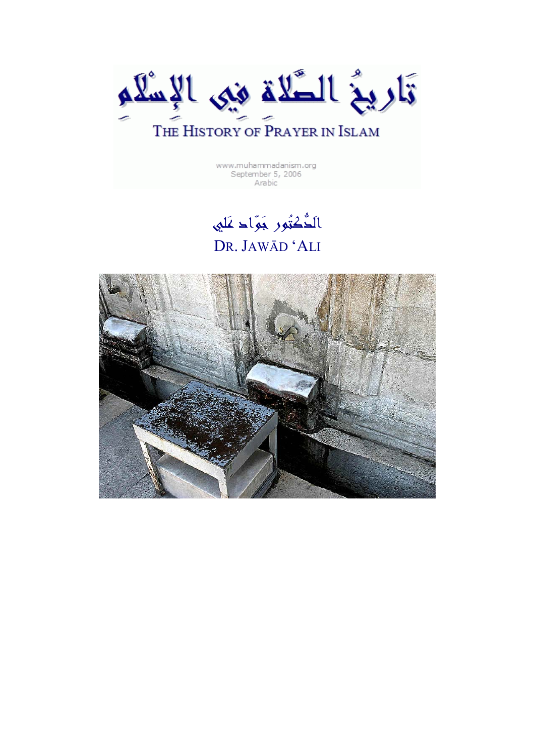

www.muhammadanism.org September 5, 2006 Arabic

## الدُّكْتُور جَوَّاد عَلي DR. JAWĀD 'ALI

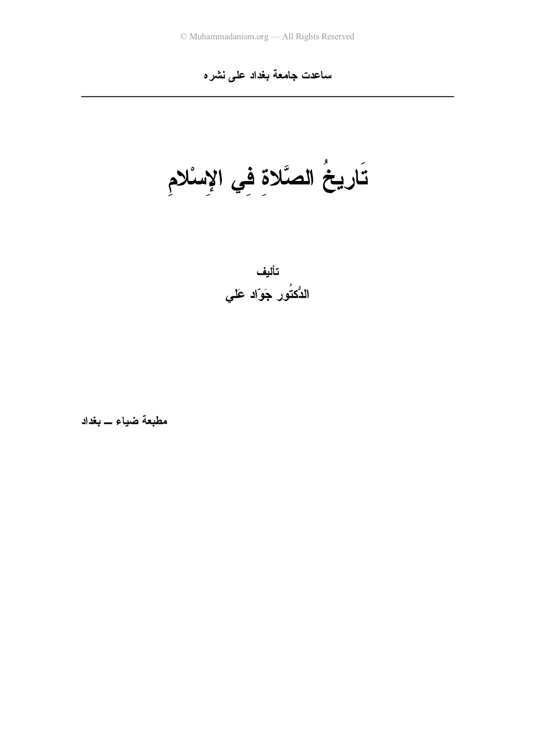### ساعدت جامعة بغداد على نشره

تَارِيخُ الصَّلاةِ فِي الإِسْلامِ



مطبعة ضياء \_ بغداد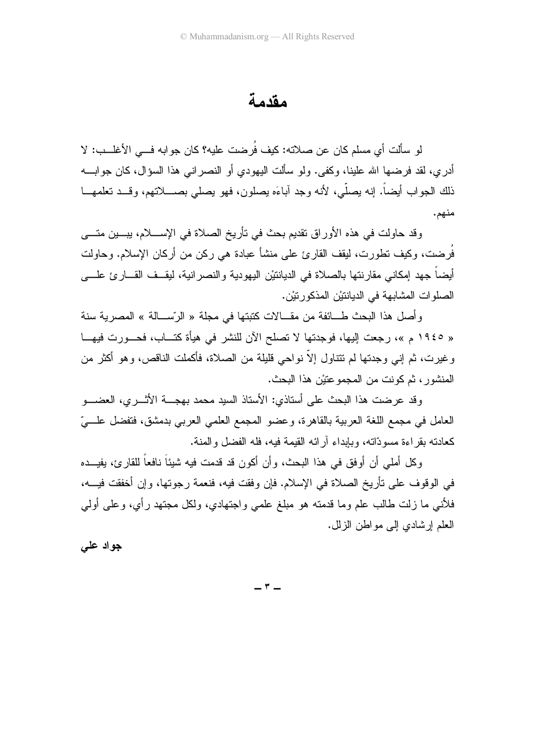مقدمة

لو سألت أي مسلم كان عن صلاته: كيف فُرِضت عليه؟ كان جوابه فـــي الأغلـــب: لا أدرى، لقد فرضها الله علينا، وكفي. ولو سألت اليهودي أو النصر انبي هذا السؤال، كان جوابـــه ذلك الجواب أيضاً. إنه يصلَّى، لأنه وجد آباءَه يصلون، فهو يصلبي بصــــلاتهم، وقـــد تعلمهـــا منهم.

وقد حاولت في هذه الأوراق تقديم بحث في تأريخ الصلاة في الإســــلام، يبـــين متــــي فُرِضت، وكيف نطورت، ليقف القارئ على منشأ عبادة هي ركن من أركان الإسلام. وحاولت أيضـاً جهد إمكانـي مقارنتها بالصـلاة فـي الديانتيْن اليهودية والنصـرانية، ليقــف القـــار ئ علــــي الصلو ات المشابهة في الدبانتيْن المذكور نيْن.

وأصل هذا البحث طـــائفة من مقـــالات كتبتها في مجلة « الرّســـالة » المصرية سنة « ١٩٤٥ م »، رجعت إليها، فوجدتها لا تصلح الآن للنشر في هيأة كتـــاب، فحـــورت فيهـــا و غير ت، ثم إني وجدتها لم تتناول إلاّ نواحي قليلة من الصلاة، فأكملت الناقص، و هو أكثر ً من المنشور ، ثم كونت من المجمو عتبْن هذا البحث.

وقد عرضت هذا البحث على أستاذي: الأستاذ السيد محمد بهجـــة الأثـــر ي، العضــــو العامل في مجمع اللغة العربية بالقاهرة، وعضو المجمع العلمي العربي بدمشق، فتفضل علـــيّ كعادته بقر اءة مسودّاته، وبابداء آر ائه القبمة فيه، فله الفضل والمنة.

وكل أملي أن أوفق في هذا البحث، وأن أكون قد قدمت فيه شيئاً نافعاً للقارئ، يفيـــده في الوقوف على تأريخ الصلاة في الإسلام. فإن وفقت فيه، فنعمة رجوتها، وإن أخفقت فيـــه، فلأنبي ما زلت طالب علم وما قدمته هو مبلغ علمي واجتهادي، ولكل مجتهد رأى، وعلى أولى العلم إر شادي إلى مو اطن الز لل.

جواد علمي

 $\mathsf{r}$   $-$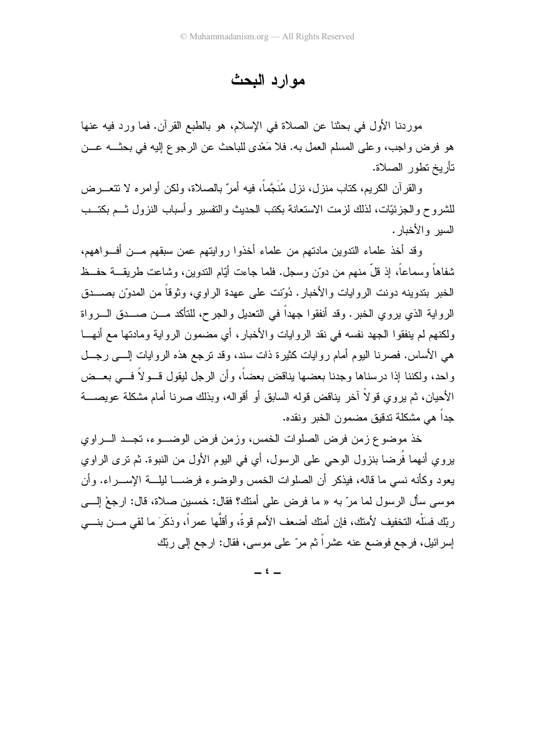مو ار د البحث

موردنا الأول في بحثنا عن الصلاة في الإسلام، هو بالطبع القرآن. فما ورد فيه عنها هو فرض واجب، وعلى المسلم العمل به. فلا مَعْدي للباحث عن الرجوع إليه في بحثـــه عـــن تأريخ تطور الصلاة.

والقرآن الكريم، كتاب منزل، نزل مُنَجَّمًا، فيه أمرٌ بالصلاة، ولكن أو امره لا تتعـــرض للشروح والجزئيّات، لذلك لزمت الاستعانة بكتب الحديث والتفسير وأسباب النزول ثـــم بكتـــب السير والأخبار .

وقد أخذ علماء الندوين مادتهم من علماء أخذوا روايتهم عمن سبقهم مـــن أفـــواههم، شفاهاً وسماعاً، إذ قلَّ منهم من دوّنٍ وسجلٍ. فلما جاءت أيّام الندوينِ، وشاعت طريقـــة حفــظ الخبر بندوبنه دونت الر و ايات و الأخبار . دُوّنت علي عهدة الر او ي، و ثوقاً من المدوّن بصــــدق الرواية الذي يروي الخبر. وقد أنفقوا جهداً في التعديل والجرح، للتأكد مـــن صـــدق الــــرواة ولكنهم لم ينفقوا الجهد نفسه في نقد الروايات والأخبار، أي مضمون الرواية ومادتها مع أنهـــا هي الأساس. فصرنا اليوم أمام روايات كثيرة ذات سند، وقد ترجع هذه الروايات إلـــي رجـــل واحد، ولكننا إذا درسناها وجدنا بعضها بناقض بعضاً، وأن الرجل ليقول قـــولاً فــــى بعـــض الأحيان، ثم ير و ي قو لاَ آخر بناقض قوله السابق أو أقو اله، وبذلك صر نا أمام مشكلة عويصــــة حداً هي مشكلة تدقيق مضمون الخبر ونقده.

خذ موضوع زمن فرض الصلوات الخمس، وزمن فرض الوضب و، تجب البراوي يروي أنهما فُرِضا بنزول الوحي على الرسول، أي في اليوم الأول من النبوة. ثم نرى الراوي يعود وكأنه نسبي ما قاله، فيذكر أن الصلوات الخمس والوضوء فرضـــا ليلـــة الإســـر اء. وأن موسى سأل الرسول لما مرّ به « ما فرض على أمتك؟ فقال: خمسين صلاة، قال: ارجعْ الِسي ربِّك فسلْه النخفيف لأمنك، فإن أمنك أضعف الأمم قوةً، وأقلَّها عمراً، وذكَرَ ما لقي مـــن بنــــي إسرائيل، فرجع فوضع عنه عشراً ثم مرّ على موسى، فقال: ارجع إلى ربِّك

 $i -$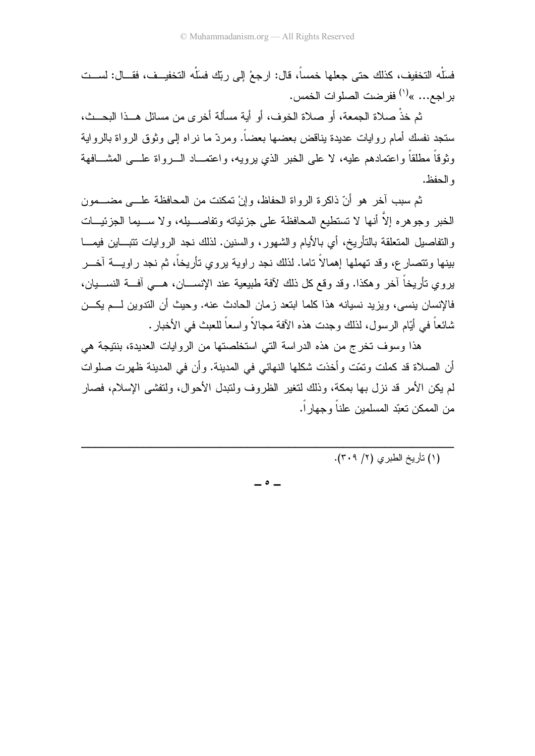فسَلْه التخفيف، كذلك حتى جعلها خمساً، قال: ارجعْ إلى ربِّك فسَلْه التخفيــف، فقـــال: لســـت براجع... »<sup>(י)</sup> ففرضت الصلوات الخمس.

ثم خذْ صلاة الجمعة، أو صلاة الخوف، أو أية مسألة أخرى من مسائل هــذا البحــث، ستجد نفسك أمام روايات عديدة بناقض بعضها بعضاً. ومردّ ما نراه إلى وثوق الرواة بالرواية وثوقاً مطلقاً واعتمادهم عليه، لا على الخبر الذي برويه، واعتمـــاد الــــرواة علــــى المشــــافهة و الحفظ.

ثم سبب آخر ٍ هو أنّ ذاكرة الرواة الحفاظ، وإنْ تمكنت من المحافظة علـــى مضــــمون الخبر وجوهره إلاَّ أنها لا تستطيع المحافظة على جزئياته وتفاصـــيله، ولا ســـيما الجزئيـــات و التفاصيل المتعلقة بالتأريخ، أي بالأيام و الشهور ، و السنين. لذلك نـجد الرو ايات تتبـــاين فيمـــا بينها ونتصارع، وقد تهملها إهمالاً تاما. لذلك نجد راوية بروي تأريخاً، ثم نجد راويــــة آخـــر يروي تأريخاً آخر وهكذا. وقد وقع كل ذلك لأفة طبيعية عند الإنســـان، هـــي أفـــة النســـيان، فالإنسان ينسي، ويزيد نسيانه هذا كلما ابتعد زمان الحادث عنه. وحيث أن التدوين لـــم يكـــن شائعاً في أيّام الرسول، لذلك وجدت هذه الآفة مجالاً واسعاً للعبث في الأخبار .

هذا وسوف تخرج من هذه الدراسة التي استخلصتها من الروايات العديدة، بنتيجة هي أن الصلاة قد كملت ونمّت وأخذت شكلها النهائي في المدينة. وأن في المدينة ظهرت صلوات لم بكن الأمر قد نزل بها بمكة، وذلك لتغير الظروف ولتبدل الأحوال، ولتفشى الإسلام، فصار من الممكن تعنّد المسلمين علناً وجهار اً.

(١) نأريخ الطبري (٢/ ٣٠٩).

 $\bullet$   $\bullet$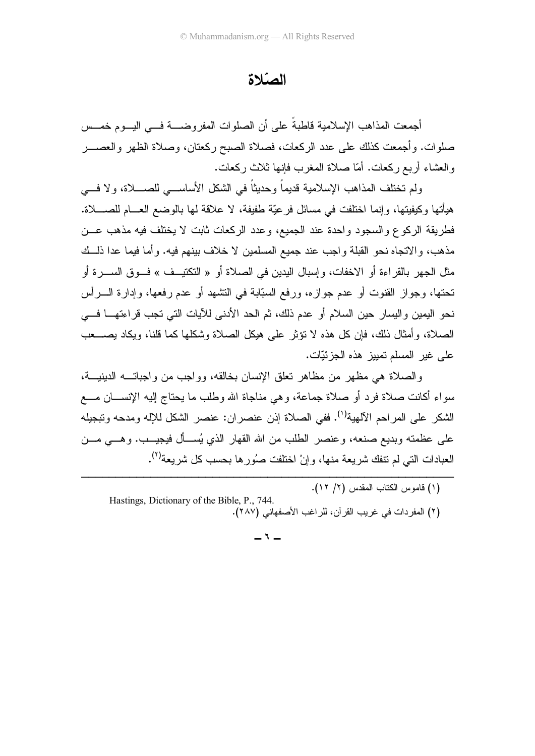#### الصّلاة

أجمعت المذاهب الإسلامية قاطبة على أن الصلوات المفروضـــة فـــي اليـــوم خمـــس صلوات. وأجمعت كذلك على عدد الركعات، فصلاة الصبح ركعتان، وصلاة الظهر والعصـــر والعشاء أربع ركعات. أمّا صلاة المغرب فإنها ثلاث ركعات.

ولم تختلف المذاهب الإسلامية قديما وحديثًا في الشكل الأساســـي للصــــلاة، ولا فــــي هيأتها وكيفيتها، وإنما اختلفت في مسائل فرعيّة طفيفة، لا علاقة لـها بالوضـع العـــام للصــــلاة. فطريقة الركوع والسجود واحدة عند الجميع، وعدد الركعات ثابت لا يختلف فيه مذهب عـــن مذهب، والاتجاه نحو القبلة واجب عند جميع المسلمين لا خلاف بينهم فيه. وأما فيما عدا ذلـــك مثل الجهر بالقراءة أو الاخفات، وإسبال البدين في الصلاة أو « النكتيــف » فـــوق الســــرة أو خُنَّها، وجواز القنوت أو عدم جوازه، ورفع السبَّابة في التشهد أو عدم رفعها، وإدارة الــــرأس نحو اليمين واليسار حين السلام أو عدم ذلك، ثم الحد الأدنى للأيات التي تجب قراءتهــــا فــــي الصلاة، وأمثال ذلك، فإن كل هذه لا نؤثر على هيكل الصلاة وشكلها كما قلنا، ويكاد يصــــعب على غير المسلم تمييز هذه الجزئيّات.

والصلاة هي مظهر من مظاهر نعلق الإنسان بخالقه، وواجب من واجباتـــه الدينيـــة، سواء أكانت صلاة فرد أو صلاة جماعة، وهي مناجاة الله وطلب ما يحتاج إليه الإنســـان مــــع الشكر على المراحم الآلهية<sup>(١)</sup>. ففي الصلاة إذن عنصران: عنصر الشكل للإله ومدحه وتبجيله علـي عظمته وبديع صنعه، وعنصـر الطلب من الله القهار الذي يُســأل فيجيـــب. وهـــي مـــن العبادات الني لم نتفك شريعة منها، وإنْ اختلفت صُورها بحسب كل شريعة<sup>(٢)</sup>.

> --(۱) قاموس الكتاب المقدس (۲/ ۱۲).

-----------

 Hastings, Dictionary of the Bible, P., 744. (٢) المفردات في غريب القرآن، للراغب الأصفهاني (٢٨٧).

 $-1$ 

 -----------------------------------------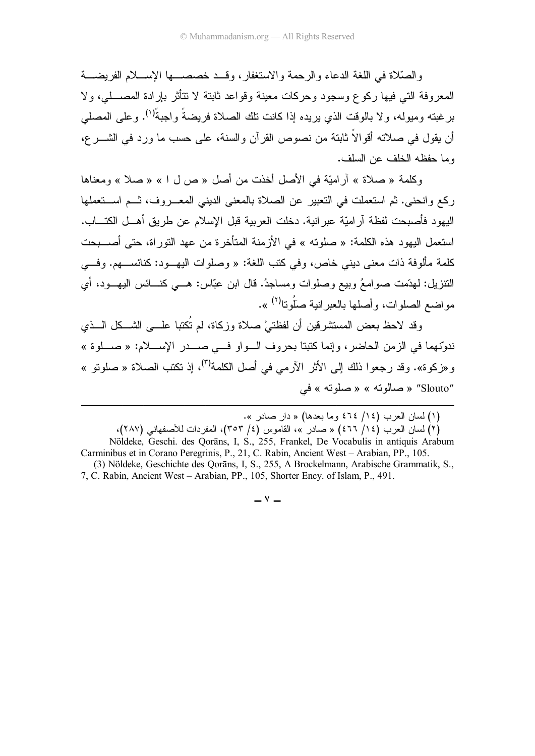والصَّلاة في اللُّغة الدعاء والرحمة والاستغفار ، وقــد خصصـــها الإســـلام الفريضـــة المعروفة التي فيها ركوع وسجود وحركات معينة وقواعد ثابتة لا نتأثر بإرادة المصـــلي، ولا برغبته وميوله، ولا بالوقت الذي يريده إذا كانت تلك الصلاة فريضةً واجبةً''). وعلى المصلى أن يقول في صلاته أقوالاً ثابتة من نصوص القرآن والسنة، على حسب ما ورد في الشــــرع، وما حفظه الخلف عن السلف.

وكلمة « صلاة » أراميّة في الأصل أخذت من أصل « ص ل ا » « صلا » ومعناها ركع وانحنى. ثم استعملت في التعبير عن الصلاة بالمعنى الديني المعـــروف، ثـــم اســـتعملها اليهو د فأصبحت لفظة آر اميّة عبر انية. دخلت العربية قبل الإسلام عن طريق أهـــل الكتـــاب. استعمل اليهود هذه الكلمة: « صلوته » في الأز منة المتأخر ة من عهد التور اة، حتى أصــــبحت كلمة مألوفة ذات معنى دبني خاص، وفي كتب اللغة: « وصلوات البهــود: كنائســـهم. وفـــي النتزيل: لهدَّمت صوامعُ وبيع وصلوات ومساجدُ. قال ابن عبَّاس: هـــي كنـــائس اليهـــود، أي مو اضبع الصلوات، و أصلها بالعدر انبة صلُّونا<sup>(٢)</sup> ».

وقد لاحظ بعض المستشرقين أن لفظتىْ صلاة وزكاة، لم نُكتبا علـــى الشـــكل الـــذي ندوّنهما في الزمن الحاضر، وإنما كتبتا بحروف الـــواو فـــي صــــدر الإســـلام: « صــــلوة » و «زكوة». وقد رجعوا ذلك إلى الأثر الآرمي في أصل الكلمة<sup>(٣)</sup>، إذ تكتب الصلاة « صلوتو » "Slouto" « صالونه » « صلونه » في

(٢) لسان العرب (١٤/ ٤٦٦) « صادر »، القاموس (٤/ ٣٥٣)، المفردات للأصفهاني (٢٨٧)، Nöldeke, Geschi. des Qorāns, I, S., 255, Frankel, De Vocabulis in antiquis Arabum Carminibus et in Corano Peregrinis, P., 21, C. Rabin, Ancient West - Arabian, PP., 105. (3) Nöldeke, Geschichte des Qorāns, I, S., 255, A Brockelmann, Arabische Grammatik, S., 7, C. Rabin, Ancient West - Arabian, PP., 105, Shorter Ency. of Islam, P., 491.

<sup>(</sup>١) لسان العرب (٤ / / ٤٦٤ وما بعدها) « دار صادر ».

 $-$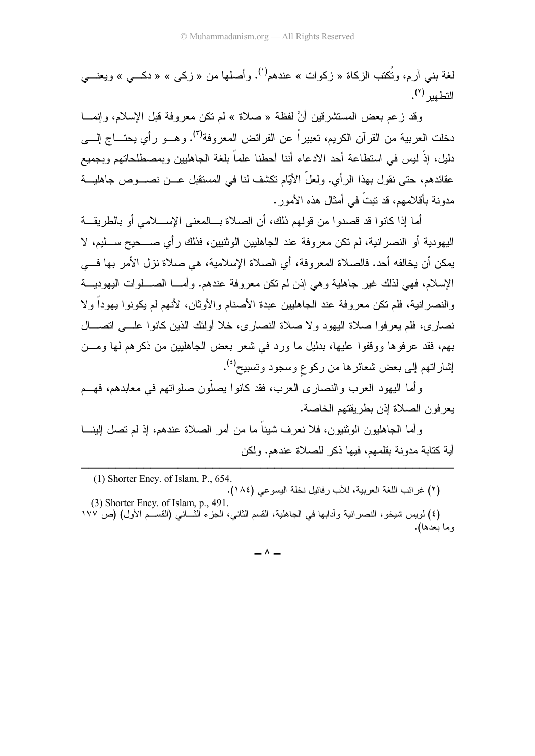لغة بني آرم، وتُكتب الزكاة « زكوات » عندهم<sup>(י)</sup>. وأصلها من « زكـي » « دكـــي » ويعنـــي التطهير <sup>(۲</sup>).

وقد زعم بعض المستشرقين أنَّ لفظة « صلاة » لم نكن معروفة قبل الإسلام، وإنمـــا نخلت العربية من القرآن الكريم، تعبيراً عن الفرائض المعروفة<sup>(٣)</sup>. وهـــو رأي يحتــــاج إلــــ<sub>ى</sub> دليل، إذْ ليس في استطاعة أحد الادعاء أننا أحطنا علماً بلغة الجاهليين وبمصطلحاتهم وبجميع عقائدهم، حتى نقول بهذا الرأي. ولعل الأيّام نكشف لنا في المستقبل عـــن نصــــوص جاهليـــة مدونة بأقلامهم، قد تبتّ في أمثال هذه الأمور .

أما إذا كانوا قد قصدوا من قولهم ذلك، أن الصلاة بـــالمعنى الإســــلامي أو بالطريقـــة اليهودية أو النصرانية، لم نكن معروفة عند الجاهليين الوثنيين، فذلك رأي صــــحيح ســـليم، لا بمكن أن يخالفه أحد. فالصلاة المعروفة، أي الصلاة الإسلامية، هي صلاة نزل الأمر بها فـــي الإسلام، فهي لذلك غير جاهلية وهي إذن لم نكن معروفة عندهم. وأمـــا الصــــلوات اليهوديــــة والنصر انية، فلم نكن معروفة عند الجاهليين عبدة الأصنام والأوثان، لأنهم لم يكونوا يهودا ولا نصارى، فلم يعرفوا صلاة اليهود ولا صلاة النصارى، خلا أولئك الذين كانوا علـــى اتصــــال بهم، فقد عرفوها ووقفوا عليها، بدليل ما ورد في شعر بعض الجاهليين من ذكرهم لمها ومـــن إشار اتهم إلى بعض شعائر ها من ركو ع وسجود وتسبيح<sup>(٤)</sup>.

وأما اليهود العرب والنصارى العرب، فقد كانوا بصلون صلواتهم في معابدهم، فهـــم يعر فون الصلاة إذن بطر يقتهم الخاصة.

وأما الجاهليون الوثنيون، فلا نعرف شيئا ما من أمر الصلاة عندهم، إذ لم تصل البينـــا أية كتابة مدونة بقلمهم، فيها ذكر للصلاة عندهم. ولكن

 (1) Shorter Ency. of Islam, P., 654. (٢) غرائب اللغة العربية، للأب رفائيل نخلة اليسوعي (١٨٤). (3) Shorter Ency. of Islam, p., 491.

 ------------------------------------------------------

(٤) لويس شيخو ، النصر انية وأدابها في الجاهلية، القسم الثاني، الجزء الثـــاني (القســـم الأول) (ص ١٧٧ و ما بعدها).

 $\wedge$   $-$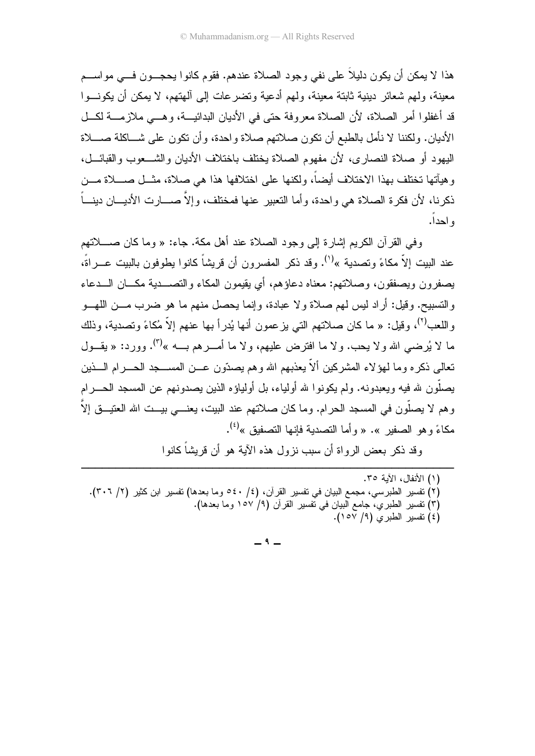هذا لا يمكن أن يكون دليلاً على نفي وجود الصلاة عندهم. فقوم كانوا يحجـــون فـــي مواســـم معينة، ولهم شعائر دينية ثابتة معينة، ولهم أدعية وتضر عات إلى آلهتهم، لا يمكن أن يكونــوا قد أغفلوا أمر الصلاة، لأن الصلاة معروفة حتى في الأديان البدائيـــة، وهـــي ملازمـــة لكـــل الأديان. ولكننا لا نأمل بالطبع أن نكون صلاتهم صلاة واحدة، وأن نكون على شـــاكلة صــــلاة اليهود أو صلاة النصاري، لأن مفهوم الصلاة يختلف باختلاف الأديان والشـــعوب والقبائـــل، و هيأتها تختلف بهذا الاختلاف أيضاً، ولكنها على اختلافها هذا هي صلاة، مثـــل صــــلاة مـــن ذكرنا، لأن فكرة الصلاة هي واحدة، وأما التعبير عنها فمختلف، وإلاّ صـــارت الأديـــان دينـــاً و احدا.

وفي القرآن الكريم إشارة إلى وجود الصلاة عند أهل مكة. جاء: « وما كان صــــلاتهم عند الببت إلاّ مكاءً وتصدية »<sup>(י)</sup>. وقد ذكر المفسر ون أن قريشاً كانوا بطوفون بالببت عــراةً، بصغرون وبصفقون، وصلاتهم: معناه دعاؤهم، أي بقيمون المكاء والتصـــدبة مكـــان الـــدعاء والتسبيح. وقيل: أراد ليس لهم صلاة ولا عبادة، وإنما يحصل منهم ما هو ضرب مـــن اللهـــو واللعب<sup>(٢)</sup>، وقيل: « ما كان صلاتهم التي يزعمون أنها يُدرأ بها عنهم إلاّ مُكاءً وتصدية، وذلك ما لا يُرضى الله ولا يحب. ولا ما افترض عليهم، ولا ما أمــــرهم بــــه »<sup>(٢)</sup>. وورد: « يقــــول تعالى ذكره وما لـهؤلاء المشركين ألاّ يعذبهم الله وهم يصدّون عـــن المســـــجد الـحــــرام الــــذين بصلُّون لله فبه وبعبدونه. ولم يكونوا لله أولباء، بل أولباؤه الذين بصدونهم عن المسجد الحـــرام و هم لا يصلُّون في المسجد الحر ام. وما كان صلاتهم عند البيت، يعنـــي بيـــت الله العتيـــق إلاّ ا مكاءً و هو الصفير ». « و أما التصدية فإنها التصفيق »<sup>(٤)</sup>.

وقد ذكر يعض الرواة أن سبب نزول هذه الآية هو أن قريشاً كانوا

(١) الأنفال، الآية ٣٥. (٢) تفسير الطبرسي، مجمع البيان في تفسير القرآن، (٤/ ٤٠ه وما بعدها) تفسير ابن كثير (٢/ ٣٠٦). (٣) نفسير الطبري، جامع البيان في نفسير القرآن (٩/ ١٥٧ وما بعدها). (٤) تفسير الطبرى (٩/ ١٥٧).

 $-9-$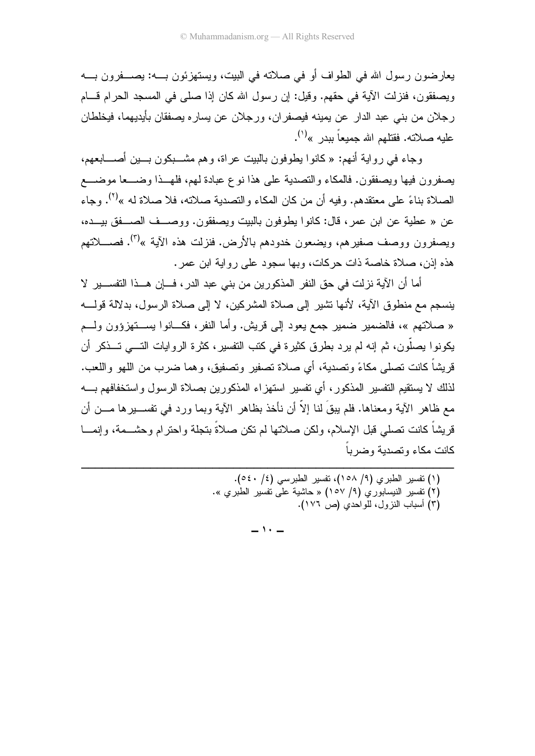يعار ضون ر سول الله في الطواف أو في صلاته في البيت، ويستهزئون بـــه: يصـــفرون بـــه ويصفقون، فنزلت الآية في حقهم. وقيل: إن رسول الله كان إذا صلَّى في المسجد الحرام قـــام رجلان من بني عبد الدار ٍ عن يمينه فيصفر ان، ورجلان عن يسار ِه يصفقان بأيديهما، فيخلطان علبه صلاته. فقتلهم الله جميعاً ببدر »<sup>(۱</sup>).

وجاء في رواية أنهم: « كانوا يطوفون بالبيت عراة، وهم مشـــبكون بـــين أصــــابعهم، يصفرون فيها ويصفقون. فالمكاء والتصدية على هذا نوع عبادة لهم، فلهــذا وضـــعا موضـــع الصلاة بناءً على معتقدهم. وفيه أن من كان المكاء والتصدية صلاته، فلا صلاة له »<sup>(٢)</sup>. وجاء عن « عطية عن ابن عمر ، قال: كانوا يطوفون بالبيت ويصفقون. ووصـــف الصـــفق بيـــده، ويصفرون ووصف صفيرهم، ويضعون خدودهم بالأرض. فنزلت هذه الآية »<sup>(٣)</sup>. فصـــــلاتهم هذه إذن، صلاة خاصة ذات حركات، وبها سجود على روابة ابن عمر .

أما أن الآية نزلت في حق النفر المذكورين من بني عبد الدر ، فـــان هـــذا التفســـير لا ينسجم مع منطوق الآية، لأنها تشير إلى صلاة المشركين، لا إلى صلاة الرسول، بدلالة قولــــه « صلاتهم »، فالضمير ضمير جمع يعود إلى قريش. وأما النفر، فكـــانوا يســـتهزؤون ولـــم يكونوا بصلُّون، ثم إنه لم يرد بطرق كثيرة في كتب التفسير، كثرة الروايات التــــى تـــذكر أن قريشاً كانت تصلَّى مكاءً وتصدية، أي صلاة تصفير وتصفيق، وهما ضرب من اللَّهو واللُّعب. لذلك لا بستقبم التفسير المذكور ، أي تفسير استهزاء المذكورين بصلاة الرسول واستخفافهم بـــه مع ظاهر الآية ومعناها. فلم يبقَ لنا إلاَّ أن نأخذ بظاهر الآية وبما ورد في نفســبر ها مـــن أن قر بِشاً كانت تصلِّي قبِل الإسلام، ولكن صلاتها لم تكن صلاةً بتجلَّة و احتر ام و حشـــمة، و إنمـــا كانت مكاء وتصدبة وضربأ

(٣) اسباب النزول، للواحدي (ص ١٧٦).

 $\cdot$   $-$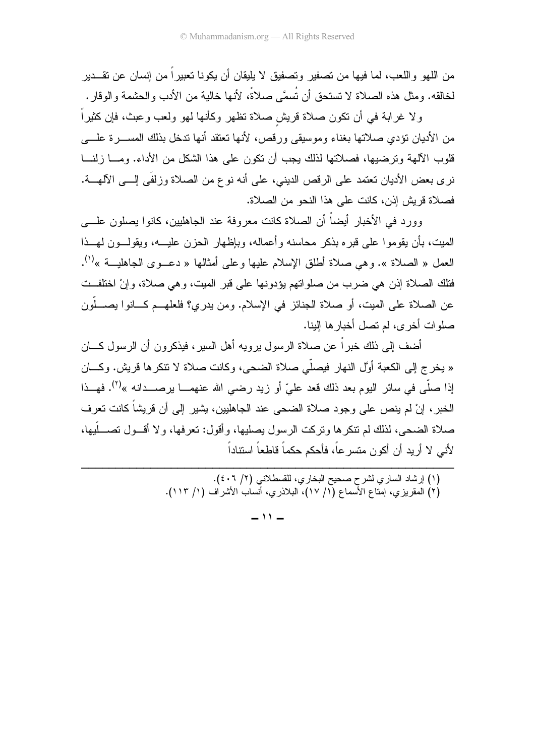من اللهو ، اللعب، لما فيها من تصفير وتصفيق لا يليقان أن يكونا تعبير اً من إنسان عن تقـــدير لخالقه. ومثل هذه الصلاة لا تستحق أن تُسمَّى صلاةً، لأنها خالية من الأدب والحشمة والوقار .

ولا غرابة في أن نكون صلاة قريش صلاة نظهر وكأنها لهو ولعب وعبث، فإن كثيراً من الأديان نؤدي صلاتها بغناء وموسيقى ورقص، لأنها تعتقد أنها ندخل بذلك المســـرة علــــي قلوب الألهة وترضيها، فصلاتها لذلك يجب أن نكون على هذا الشكل من الأداء. ومـــا زلنـــا نرى بعض الأديان تعتمد على الرقص الديني، على أنه نو ع من الصلاة وزلفَى إلـــى الآلهــــة. فصلاة قريش إذن، كانت على هذا النحو من الصلاة.

وور د في الأخبار أيضاً أن الصلاة كانت معروفة عند الجاهليين، كانوا يصلون علـــي الميت، بأن يقوموا على قبره بذكر محاسنه وأعماله، وبإظهار الحزن عليـــه، ويقولـــون لمهــذا العمل « الصلاة ». و هي صلاة أطلق الإسلام عليها و علي أمثالها « دعــو ي الجاهليـــة »<sup>(י)</sup>. فتلك الصلاة إذن هي ضرب من صلواتهم يؤدونها على قبر الميت، وهي صلاة، وإنْ اختلفــت عن الصلاة على الميت، أو صلاة الجنائز في الإسلام. ومن يدري؟ فلعلهــم كـــانوا يصــــلّون صلوات أخرى، لم تصل أخبارها إلينا.

أضف إلى ذلك خبراً عن صلاة الرسول برويه أهل السير، فيذكرون أن الرسول كــــان « يخرج إلى الكعبة أوَّل النهار فيصلَّى صلاة الضحى، وكانت صلاة لا نتكرها قريش. وكـــان إذا صلَّى في سائر البوم بعد ذلك قعد عليّ أو زيد رضبي الله عنهمـــا بر صـــدانه »<sup>(٢)</sup>. فهـــذا الخبر ، إنْ لم ينص على وجود صلاة الضحى عند الجاهليين، يشير الى أن قريشاً كانت تعر ف صلاة الضحى، لذلك لم نتكرها ونركت الرسول بصليها، وأقول: تعرفها، ولا أقـــول تصــــلَّيها، لأني لا أريد أن أكون متسرعاً، فأحكم حكماً قاطعاً استناداً

 $-11 -$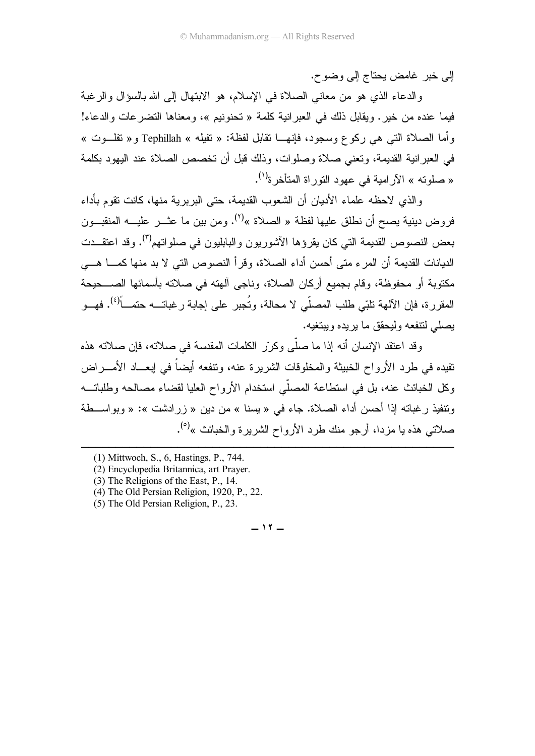إلى خبر غامض بحتاج إلى وضوح.

والدعاء الذي هو من معاني الصلاة في الإسلام، هو الابتهال إلى الله بالسؤال والرغبة فيما عنده من خيرٍ . ويقابل ذلك في العبر انية كلمة « تحنونيم »، ومعناها التضرعات والدعاء! وأما الصلاة التبي هي ركوع وسجود، فإنهـــا نقابل لفظة: « نفيله » Tephillah و « نفلـــوت » في العبر انية القديمة، وتعني صلاة وصلوات، وذلك قبل أن تخصص الصلاة عند اليهود بكلمة « صلوته » الآر امبة في عهود التور اة المتأخر ة<sup>(י)</sup>.

و الذي لاحظه علماء الأدبان أن الشعوب القديمة، حتى البريرية منها، كانت نقوم بأداء فر و ض دينية يصح أن نطلق عليها لفظة « الصلاة »<sup>(٢)</sup>. ومن بين ما عثــر عليـــه المنقبــون بعض النصوص القديمة التي كان يقرؤها الآشوريون والبابليون في صلواتهم<sup>(٣)</sup>. وقد اعتقـــدت الدبانات القديمة أن المر ء متى أحسن أداء الصلاة، و قر أ النصوص التي لا بد منها كمـــا هـــي مكتوبة أو محفوظة، وقام بجميع أركان الصلاة، وناجي آلهته في صلاته بأسمائها الصب جيحة المقررة، فإن الآلهة تلبّي طلب المصلّي لا محالة، وتُجبر على إجابة رغباتـــه حتمـــأ<sup>(٤)</sup>. فهـــو يصلبي لنتفعه وليحقق ما يريده ويبتغيه.

وقد اعتقد الإنسان أنه إذا ما صلَّى وكرِّر الكلمات المقدسة في صلاته، فإن صلاته هذه تفيده في طرد الأرواح الخبيثة والمخلوقات الشريرة عنه، ونتفعه أيضاً في ابعـــاد الأمـــراض وكل الخبائث عنه، بل في استطاعة المصلِّي استخدام الأرواح العلبا لقضاء مصالحه وطلباتــه ونتفيذ ر غباته إذا أحسن أداء الصلاة. جاء في « بسنا » من دين « ز ر ادشت »: « وبو اســـطة صلاتي هذه يا مز دا، أر جو منك طر د الأر و اح الشر بر ة و الخبائث »<sup>(٥)</sup>.

 $-11 -$ 

<sup>(1)</sup> Mittwoch, S., 6, Hastings, P., 744.

<sup>(2)</sup> Encyclopedia Britannica, art Prayer.

<sup>(3)</sup> The Religions of the East, P., 14.

<sup>(4)</sup> The Old Persian Religion, 1920, P., 22.

<sup>(5)</sup> The Old Persian Religion, P., 23.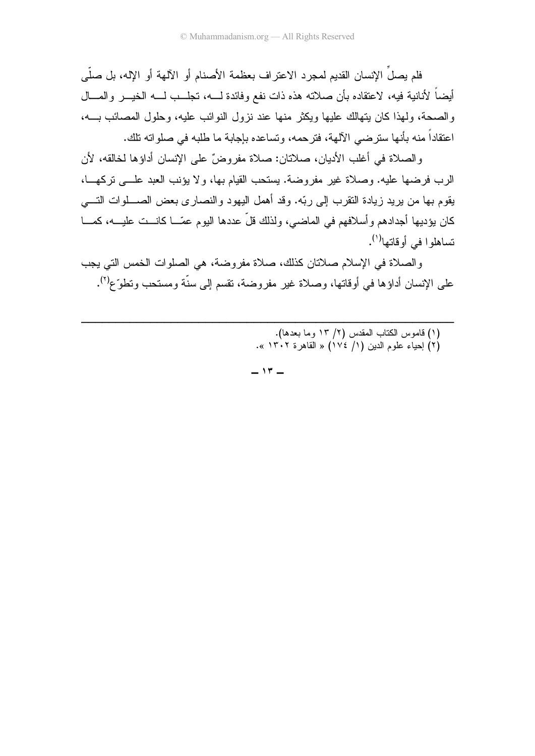فلم يصلِّ الإنسان القديم لمجرد الاعتراف بعظمة الأصنام أو الآلهة أو الإله، بل صلَّى أيضـاً لأنانية فيه، لاعتقاده بأن صلاته هذه ذات نفع وفائدة لـــه، تجلـــب لـــه الخيـــر و المــــال والصحة، ولمهذا كان يتهالك عليها ويكثر منها عند نزول النوائب عليه، وحلول المصائب بـــه، اعتقاداً منه بأنها سترضي الآلهة، فترحمه، وتساعده بإجابة ما طلبه في صلواته تلك.

والصلاة في أغلب الأديان، صلاتان: صلاة مفروضٌ على الإنسان أداؤها لخالقه، لأن الرب فرضها عليه. وصلاة غير مفروضة. يستحب القيام بها، ولا يؤنب العبد علـــي تركهـــا، يقوم بها من بريد زيادة النقرب إلى ربّه. وقد أهمل اليهود والنصارى بعض الصــــلوات النــــي كان يؤديها أجدادهم وأسلافهم في الماضي، ولذلك قلَّ عددها اليوم عمّـــا كانـــت عليــــه، كمــــا نساهلو ا في أو قاتها<sup>(۱</sup>).

والصلاة في الإسلام صلاتان كذلك، صلاة مفروضة، هي الصلوات الخمس التي يجب علي الإنسان أداؤها في أوقاتها، وصلاة غير مفر وضية، تقسم إلى سنَّة ومستحب وتطوَّع<sup>(٢)</sup>.

- (١) قاموس الكتاب المقدس (٢/ ١٣ وما بعدها).
- (٢) إحياء علوم الدين (١/ ١٧٤) « القاهرة ١٣٠٢ ».

 $-17-$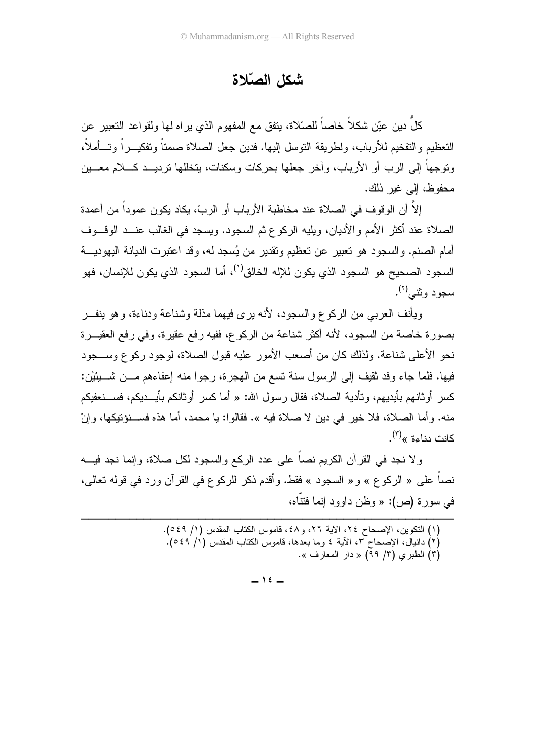### شكل الصّلاة

كلٌ دين عيّن شكلاً خاصـاً للصّلاة، يتفق مع المفهوم الذي يراه لمها ولقواعد النّعبير عن التعظيم والتفخيم للأرباب، ولطريقة التوسل إليها. فدين جعل الصلاة صمتاً وتفكيـــر اً وتـــأملاً، وتوجهاً إلى الرب أو الأرباب، وآخر جعلها بحركات وسكنات، بتخللها تر ديـــد كــــلام معــــين محفوظ، إلى غبر ذلك.

إلاَّ أن الوقوف في الصلاة عند مخاطبة الأرباب أو الربِّ، يكاد يكون عموداً من أعمدة الصلاة عند أكثر الأمم و الأديان، و يليه الركو ع ثم السجو د. ويسجد في الغالب عنــد الو قــوف أمام الصنم. والسجود هو نعبير عن نعظيم ونقدير من يُسجد له، وقد اعتبرت الديانة اليهوديـــة السجود الصحيح هو السجود الذي يكون للإله الخالق<sup>(י)</sup>، أما السجود الذي يكون للإنسان، فهو سجو د و شي<sup>(۲)</sup>.

ويأنف العربي من الركوع والسجود، لأنه يرى فيهما مذلة وشناعة ودناءة، وهو ينفـــر بصورة خاصة من السجود، لأنه أكثر شناعة من الركوع، ففيه رفع عقيرة، وفي رفع العقيـــرة نحو الأعلى شناعة. ولذلك كان من أصعب الأمور عليه قبول الصلاة، لوجود ركوع وســـجود فيها. فلما جاء وفد ثقيف إلى الرسول سنة تسع من الهجرة، رجوا منه إعفاءهم مـــن شــــبئيْن: كسر أو ثانهم بأيديهم، و تأدية الصـلاة، فقال ر سول الله: « أما كسر أو ثانكم بأيـــديكم، فســـنعفيكم منه. و أما الصلاة، فلا خير في دين لا صلاة فيه ». فقالو ا: يا محمد، أما هذه فســنوَتيكها، و إنْ كانت دناءة »<sup>(۳)</sup>.

و لا نجد في القرآن الكريم نصاً على عدد الركع والسجود لكل صلاة، وإنما نجد فيـــه نصاً على « الركوع » و« السجود » فقط. وأقدم ذكر للركوع في القرآن ورد في قوله تعالى، في سورة (ص): « وظن داوود إنما فتتَّاه،

> (١) النكوين، الإصحاح ٢٤، الأية ٢٦، و٤٨، قاموس الكتاب المقدس (١/ ٥٤٩). (٢) دانبال، الإصحاح ٣، الأية ٤ وما بعدَّها، قاموس الكتاب المقدس (١/ ٥٤٩). (٣) الطبري (٣/ ٩٩) « دار المعارف ».

> > $-15-$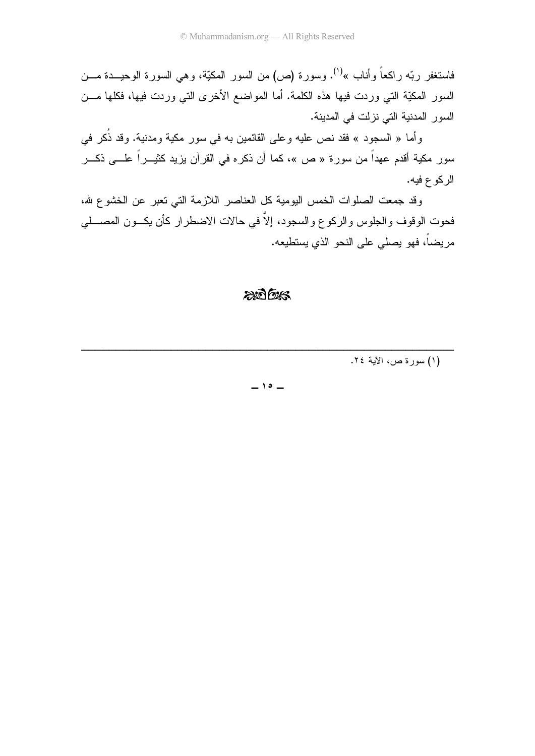فاستغفر ربّه راكعاً وأناب »<sup>(١)</sup>. وسورة (ص) من السور المكيّة، وهي السورة الوحيـــدة مـــن السور المكيَّة التي وردت فيها هذه الكلمة. أما المواضع الأخرى التي وردت فيها، فكلها مـــن السور المدنية التي نزلت في المدينة.

وأما « السجود » فقد نص عليه وعلى القائمين به في سور مكية ومدنية. وقد ذُكر في سور مكية أقدم عهداً من سورة « ص »، كما أن ذكره في القرآن بزيد كثيـــراً علــــي ذكـــر الركوع فيه.

وقد جمعت الصلوات الخمس اليومية كل العناصر اللازمة التي تعبر عن الخشوع شه، فحوت الوقوف والجلوس والركوع والسجود، إلاَّ في حالات الاضطرار كأن يكـــون المصــــلي مريضاً، فهو يصلِّي على النحو الذي يستطيعه.

#### $206$

(١) سورة ص، الآية ٢٤.

 $-10-$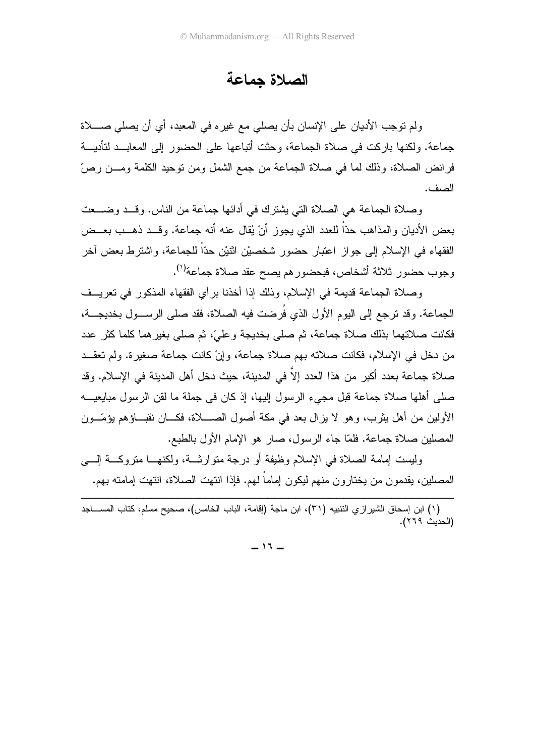الصلاة جماعة

ولم نوجب الأديان على الإنسان بأن يصلي مع غيره في المعبد، أي أن يصلي صــــلاة جماعة. ولكنها باركت في صلاة الجماعة، وحثت أتباعها على الحضور إلى المعابــد لتأديـــة فرائض الصـلاة، وذلك لمـا فـي صـلاة الـجماعة من جمع الشمل ومن نوحيد الكلمة ومـــن رصّ الصف.

وصلاة الجماعة هي الصلاة التي يشترك في أدائها جماعة من الناس. وقـــد وضــــعت بعض الأديان والمذاهب حدًّا للعدد الذي يجوز أنْ يُقال عنه أنه جماعة. وقـــد ذهـــب بعـــض الفقهاء في الإسلام إلى جواز اعتبار حضور شخصيْن اثنيْن حدّاً للجماعة، واشترط بعض آخر رجوب حضور ثلاثة أشخاص، فبحضورهم يصح عقد صلاة جماعة<sup>(١)</sup>.

وصلاة الجماعة قديمة في الإسلام، وذلك إذا أخذنا برأي الفقهاء المذكور في تعريــف الجماعة. وقد ترجع إلى اليوم الأول الذي فرضت فيه الصلاة، فقد صلى الرســـول بخديجـــة، فكانت صلاتهما بذلك صلاة جماعة، ثم صلى بخديجة وعليّ، ثم صلى بغيرهما كلما كثر عدد من دخل في الإسلام، فكانت صلاته بهم صلاة جماعة، وإنْ كانت جماعة صغيرة. ولم تعقــد صلاة جماعة بعدد أكبر من هذا العدد إلا في المدينة، حيث دخل أهل المدينة في الإسلام. وقد صلَّى أهلَّها صلاة جماعة قبل مجيء الرسول إليها، إذ كان في جملة ما لقن الرسول مبايعيـــه الأولين من أهل يثرب، وهو لا يزال بعد في مكة أصول الصــــلاة، فكــــان نقبــــاؤهم يؤمّـــون المصلين صلاة جماعة. فلمّا جاء الرسول، صار هو الإمام الأول بالطبع.

وليست إمامة الصلاة في الإسلام وظيفة أو درجة متوارثــة، ولكنهـــا متروكـــة إلــــى المصلين، يقدمون من يختارون منهم ليكون إماما لـهم. فإذا انتهت الصلاة، انتهت إمامته بـهم.

(١) ابن إسحاق الشير از ي التتبيه (٣١)، ابن ماجة (إقامة، الباب الخامس)، صـحيح مسلم، كتاب المســــاجد (الحديث ٢٦٩).

--

----------------------------------------------------

 $-11 -$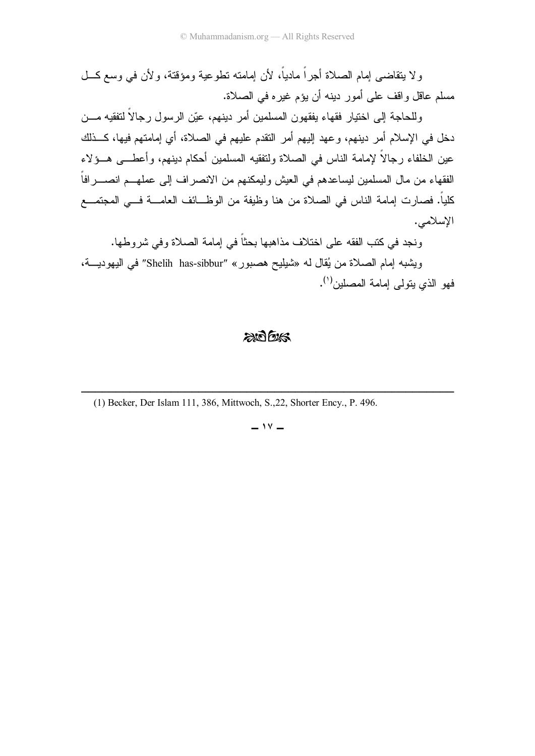ولا يتقاضىي إمام الصلاة أجرًا ماديًا، لأن إمامته نطوعية ومؤقتة، ولأن في وسع كـــل مسلم عاقل واقف على أمور دينه أن يؤم غيره في الصلاة.

وللحاجة إلى اختيار فقهاء يفقهون المسلمين أمر دينهم، عيّن الرسول رجالا لنفقيه مـــن دخل في الإسلام أمر دينهم، وعهد إليهم أمر النقدم عليهم في الصلاة، أي إمامتهم فيها، كــذلك عين الخلفاء رجالا لإمامة الناس في الصلاة ولنفقيه المسلمين أحكام دينهم، وأعطــــى هـــؤلاء الفقهاء من مال المسلمين ليساعدهم في العيش وليمكنهم من الانصر اف إلى عملهـــم انصـــــرافا كليا. فصـارت إمـامـة النـاس فـي الصـلاة من هنا وظيفة من الوظـــائف الـعامــــة فـــي المـجتمـــع الاسلامي.

ونجد في كتب الفقه على اختلاف مذاهبها بحثًا في إمامة الصلاة وفي شروطها.

ويشبه إمام الصلاة من يُقال له «شيليح هصبور» "Shelih has-sibbur" في اليهوديـــة، فهو الذي يتولى إمامة المصلين<sup>(١)</sup>.

#### $200$

--(1) Becker, Der Islam 111, 386, Mittwoch, S.,22, Shorter Ency., P. 496.

-------------------------------

---------------------

 $-14$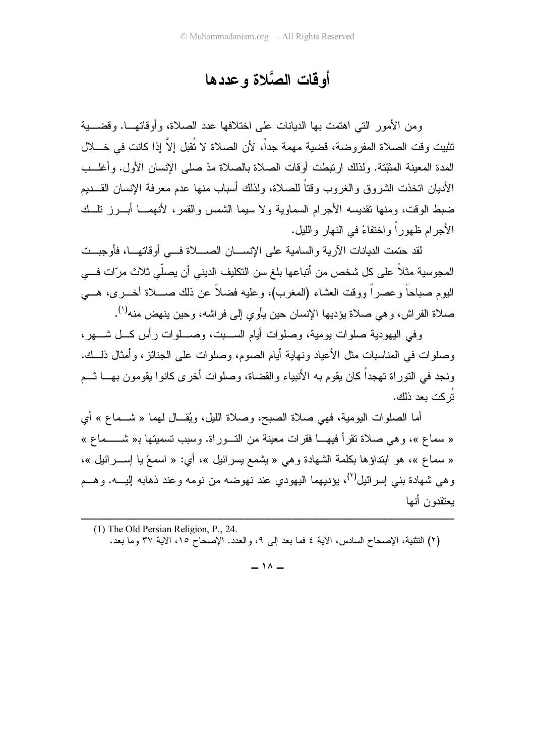### أو قات الصَّلاة و عددها

ومن الأمور التي اهتمت بها الديانات على اختلافها عدد الصلاة، وأوقاتهـــا. وقضــــبة تثبيت وقت الصلاة المفروضة، قضية مهمة جداً، لأن الصلاة لا تُقبل إلاَّ إذا كانت في خــــلل المدة المعينة المثبِّتة. ولذلك ارتبطت أوقات الصلاة بالصلاة مذ صلى الإنسان الأول. وأغلــب الأديان اتخذت الشروق والغروب وقتاً للصلاة، ولذلك أسباب منها عدم معرفة الإنسان القـــديم ضبط الوقت، ومنها نقديسه الأجرام السماوية ولا سيما الشمس والقمر، لأنهمـــا أبــــرز نلـــك الأجر ام ظهور اً و اختفاءً في النهار و الليل.

لقد حتمت الديانات الأرية والسامية على الإنســـان الصــــلاة فـــى أوقاتهـــا، فأوجبـــت المجوسية مثلاً على كل شخص من أتباعها بلغ سن النكليف الديني أن يصلّي ثلاث مرّات فـــى اليوم صباحاً وعصراً ووقت العشاء (المغرب)، وعليه فضلاً عن ذلك صــــلاة أخـــرى، هــــى صلاة الفراش، وهي صلاة بؤديها الإنسان حين يأوي إلى فراشه، وحين ينهض منه<sup>(١</sup>).

وفي اليهودية صلوات يومية، وصلوات أيام الســبت، وصـــلوات رأس كـــل شـــهر، وصلوات في المناسبات مثل الأعياد ونهاية أيام الصوم، وصلوات على الجنائز، وأمثال ذلـــك. ونجد في النوراة تهجداً كان يقوم به الأنبياء والقضاة، وصلوات أخرى كانوا يقومون بهـــا ثـــم تُر كت يعد ذلك.

أما الصلوات اليومية، فهي صلاة الصبح، وصلاة الليل، ويُقـــال لهما « شـــماع » أي « سماع »، وهي صلاة نقر أ فيهـــا فقرات معينة من التـــوراة. وسبب تسميتها بـ« شـــــماع » « سماع »، هو ابتداؤها بكلمة الشهادة وهي « يشمع بسرائيل »، أي: « اسمعْ يا اِســـرائيل »، و هي شهادة بني اِسر ائيل<sup>(٢)</sup>، يؤديهما اليهودي عند نهوضه من نومه و عند ذهابه اليـــه. و هـــم بعثقدون أنبها

(1) The Old Persian Religion, P., 24. (٢) التثنية، الإصحاح السادس، الأية ٤ فما بعد إلى ٩، والعدد. الإصحاحُ ١٥، الأية ٣٧ وما بعد.

 $-11 -$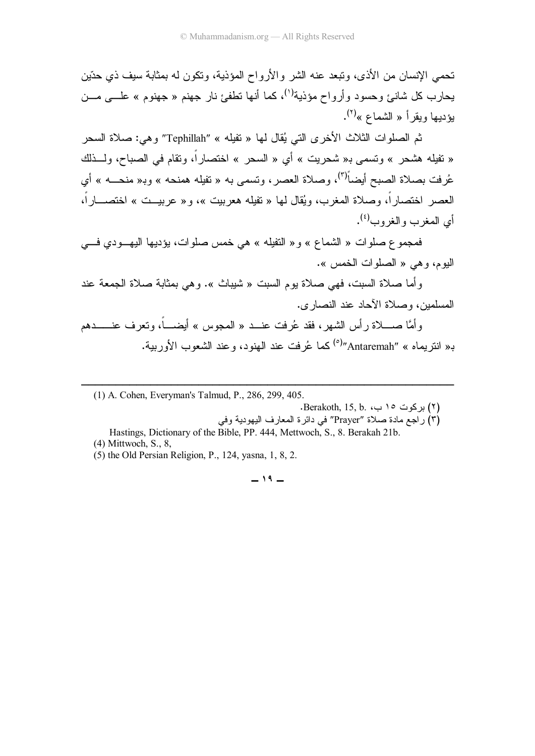تحمي الإنسان من الأذى، وتبعد عنه الشر والأرواح المؤذية، ونكون له بمثابة سيف ذي حدّين جارب کل شانئ وحسود وأرواح مؤذية<sup>(١)</sup>، کما أنها نطفئ نار جهنم « جهنوم » علــــى مـــن يؤديها ويقرأ « الشماع »<sup>(٢)</sup>.

ثم الصلوات الثلاث الأخرى التي يُقال لمها « تفيله » "Tephillah" وهي: صلاة السحر « تفيله هشحر » وتسمى بـ« شحريت » أي « السحر » اختصارًا، وتقام في الصباح، ولــــذلك عُرفت بصلاة الصبح أيضاً<sup>(٣)</sup>، وصلاة العصر ، ونسمى به « نفيله همنحه » وبـ« منحــــه » أي العصر اختصارًا، وصلاة المغرب، ويُقال لمها « تفيله هعربيت »، و« عربيــت » اختصــــارًا، أي المغرب والغروب<sup>(٤)</sup>.

فمجموع صلوات « الشماع » و« النفيله » هي خمس صلوات، يؤديها اليهـــودي فــــي البوم، و هي « الصلو ات الخمس ».

وأما صلاة السبت، فهي صلاة يوم السبت « شيباث ». وهي بمثابة صلاة الجمعة عند المسلمين، وصلاة الآحاد عند النصار ي.

وَأَمَّا صُــَــلاة رأس الشهر، فقد عُرفت عنـــد « المجوس » أيضــــا، وتعرف عنـــــــدهم <sub>ت</sub>« انتريماه » "Antaremah*" كم*ا عُرفت عند الـهنود، وعند الشعوب الأوربية.

--(1) A. Cohen, Everyman's Talmud, P., 286, 299, 405.

------------------------------------

----------------

- .Berakoth, 15, b. بركوت ١٥ ب، Berakoth, 15, b.
- م) راجع مادة صلاة "Prayer" في دائرة المعارف اليهودية وفي
- Hastings, Dictionary of the Bible, PP. 444, Mettwoch, S., 8. Berakah 21b. (4) Mittwoch, S., 8,
- (5) the Old Persian Religion, P., 124, yasna, 1, 8, 2.

#### $-19-$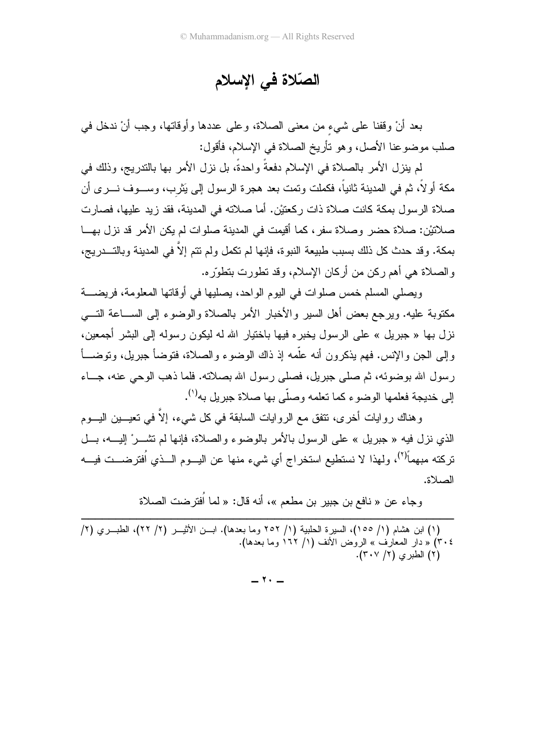### الصّلاة في الإسلام

بعد أنْ وقفنا على شيء من معنى الصلاة، وعلى عددها وأوقاتها، وجب أنْ ندخل في صلب موضوعنا الأصل، وهو تأريخ الصلاة في الإسلام، فأقول:

لم ينزل الأمر بالصلاة في الإسلام دفعةً واحدةً، بل نزل الأمر بها بالندريج، وذلك في مكة أولا، ثم في المدينة ثانيا، فكملت وتمت بعد هجرة الرسول إلى يَثرب، وســـوف نـــرى أن صلاة الرسول بمكة كانت صلاة ذات ركعتيْن. أما صلاته في المدينة، فقد زيد عليها، فصارت صلاتيْن: صلاة حضر وصلاة سفر ، كما أقيمت في المدينة صلوات لم يكن الأمر قد نزل بهـــا بمكة. وقد حدث كل ذلك بسبب طبيعة النبوة، فإنها لم نكمل ولم نتم إلا في المدينة وبالتـــدريج، والصلاة هي أهم ركن من أركان الإسلام، وقد تطورت بتطوّره.

ويصلي المسلم خمس صلوات في اليوم الواحد، يصليها في أوقاتها المعلومة، فريضــــة مكنوبة عليه. ويرجع بعض أهل السير والأخبار الأمر بالصلاة والوضوء إلى الســـاعة النــــي نزل بها « جبريل » على الرسول يخبره فيها باختيار الله له ليكون رسوله إلى البشر أجمعين، رَ إلى الْجَنَّ وَالإِنْس. فَهُمْ يَذْكُرُونَ أَنَّهُ عَلَمَهُ إِذْ ذَاكَ الوضوءِ والصَّلاة، فَتُوضَّأُ جبريل، وتوضـــأ رسول الله بوضوئه، ثم صلَّى جبريل، فصلَّى رسول الله بصلاته. فلما ذهب الوحي عنه، جـــاء إلى خديجة فعلمها الوضوء كما نعلمه وصلَّى بها صلاة جبريل به<sup>(١)</sup>.

وهناك روايات أخرى، نتفق مع الروايات السابقة في كل شيء، إلا في تعيــــين اليــــوم الذي نزل فيه « جبريل » على الرسول بالأمر بالوضوء والصلاة، فإنها لم نشـــرْ إليــــه، بـــل تركته مبهماً<sup>(٢)</sup>، ولهذا لا نستطيع استخراج أي شيء منها عن اليـــوم الـــذي اُفترضـــت فيـــه الصلاة.

وجاء عن « نافع بن جبير بن مطعم »، أنه قال: « لما اُفتر ضت الصلاة

------------------------------------------------------(١) ابن هشام (١/ ١٥٥)، السيرة الحلبية (١/ ٢٥٢ وما بعدها). ابـــن الأنيــــر (٢/ ٢٢)، الطبـــري (٢/ ٣٠٤) « دار المعارف » الروض الأنف (١/ ١٦٢ وما بعدها). (۲) الطبر ي (۲/ ۳۰۷).

 $-1$   $-1$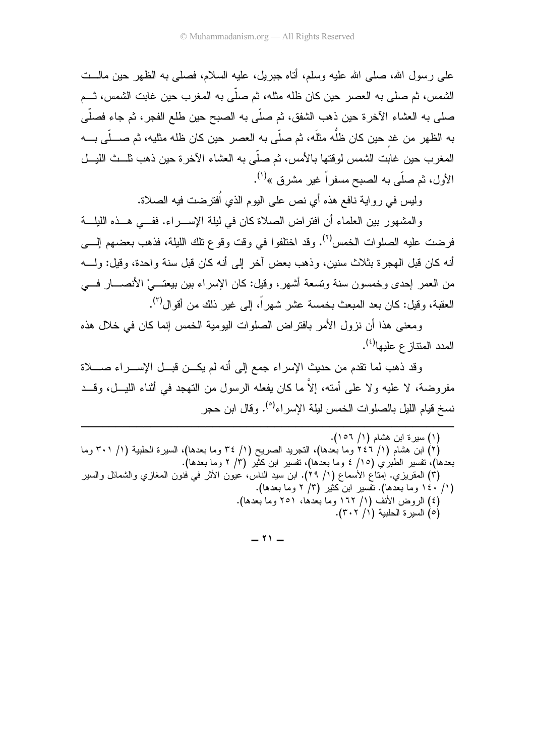علي رسول الله، صلَّى الله عليه وسلَّم، أناه جبريل، عليه السلام، فصلَّى به الظهر حين مالــت الشمس، ثم صلى به العصر حين كان ظله مثله، ثم صلَّى به المغر ب حين غابت الشمس، ثــم صلى به العشاء الآخرة حين ذهب الشفق، ثم صلَّى به الصبح حين طلع الفجر، ثم جاء فصلَّى به الظهر من غد حين كان ظلُّه مثلَه، ثم صلَّى به العصر حين كان ظله مثليه، ثم صــــلّـى بــــه المعغرب حين غابت الشمس لوقتها بالأمس، ثم صلَّى به العشاء الأخرة حين ذهب ثلــث الليـــل الأول، ثم صلَّى به الصبح مسفراً غير مشرق »<sup>(י)</sup>.

وليس في رواية نافع هذه أي نص على اليوم الذي اُفترضت فيه الصلاة.

والمشهور بين العلماء أن افتراض الصلاة كان في ليلة الإســــراء. ففــــي هـــذه الليلــــة فرِ ضت عليه الصلوات الخمس<sup>(٢)</sup>. وقد اختلفوا في وقت وقوع تلك الليلة، فذهب بعضهم إلــــي أنه كان قبل الهجر ة بثلاث سنبن، وذهب بعض آخر إلى أنه كان قبل سنة واحدة، وقبل: ولـــه من العمر إحدى وخمسون سنة وتسعة أشهر، وقيل: كان الإسراء بين بيعتـــيْ الأنصــــار فــــي العقبة، و قبل: كان بعد المبعث بخمسة عشر شهر أ، إلى غبر ذلك من أقو ال<sup>(٣)</sup>.

ومعنى هذا أن نزول الأمر بافتر اض الصلوات اليومية الخمس إنما كان في خلال هذه المدد المتناز ع عليها<sup>(٤)</sup>.

وقد ذهب لما نقدم من حديث الإسراء جمع إلى أنه لم يكــن قبــل الإســـراء صــــلاة مفر وضية، لا عليه و لا علي أمته، إلاَّ ما كان بفعله الرسول من التهجد في أثناء الليسل، وقبـد نسخ قيام الليل بالصلوات الخمس ليلة الإسراء<sup>(0</sup>). وقال ابن حجر

(۱) سیرة ابن هشام (۱/ ۱۰۲). (٢) ابن هشام (١/ ٢٤٦ وما بعدها)، النجريد الصريح (١/ ٣٤ وما بعدها)، السيرة الحلبية (١/ ٣٠١ وما بعدها)، نفسير الطبري (١٥/ ٤ وما بعدها)، نفسير ابن كثير (٣/ ٢ وما بعدها). (٣) المقريزي. إمناع الأسماع (١/ ٢٩). ابن سيد الناس، عيون الأثر في فنون المغازي والشمائل والسير (١/ ١٤٠ وما بعدها). تُفْسير ابن كَثير (٣/ ٢ وما بعدها). (٤) الروض الأنف (١/ ١٦٢ وما بعدها، ٢٥١ وما بعدها). (٥) السبر ة الحلبية (١/ ٣٠٢).

 $-11 -$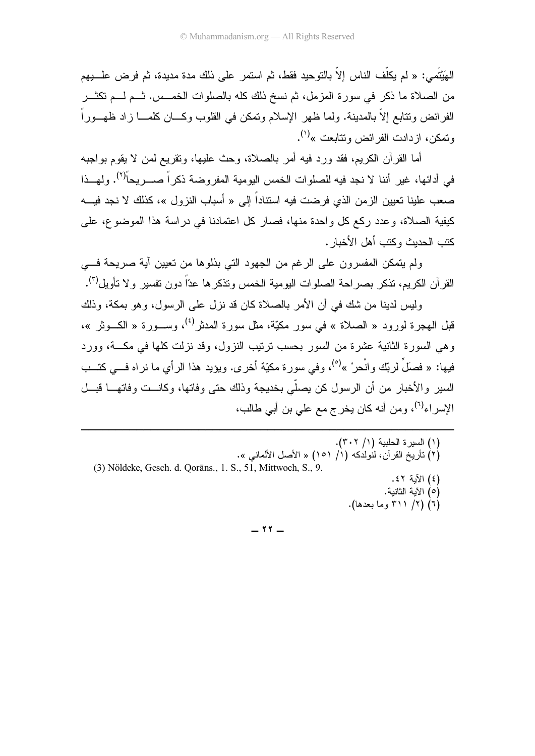الْهَيْتَمي: « لم يكلُّف النَّاس إلا بالنَّوحيد فقط، ثم استمر على ذلك مدة مديدة، ثم فرض علــــبيهم من الصلاة ما ذكر في سورة المزمل، ثم نسخ ذلك كله بالصلوات الخمـــس. ثـــم لـــم تكثـــر الفرائض ونتابع إلا بالمدينة. ولما ظهر الإسلام وتمكن في القلوب وكـــان كلمــــا زاد ظهــــورا رتمكن، ازدادت الفرائض ونتابعت »<sup>(۱)</sup>.

أما القرأن الكريم، فقد ورد فيه أمر بالصلاة، وحث عليها، وتقريع لمن لا يقوم بواجبه في أدائها، غير أننا لا نجد فيه للصلوات الخمس اليومية المفروضة ذكراً صــــريحاً<sup>(٢)</sup>. ولمهــذا صعب علينا تعيين الزمن الذي فرضت فيه استنادا إلى « أسباب النزول »، كذلك لا نجد فيــــه كيفية الصلاة، وعدد ركع كل واحدة منها، فصار كل اعتمادنا في دراسة هذا الموضوع، على كتب الحديث وكتب أهل الأخبار .

ولم يتمكن المفسرون على الرغم من الجهود التي بذلوها من تعيين أية صريحة فـــي القرآن الكريم، تذكر بصراحة الصلوات اليومية الخمس ونذكرها عدّاً دون نفسير و لا نأويل<sup>(٣)</sup>.

وليس لدينا من شك في أن الأمر بالصلاة كان قد نزل على الرسول، وهو بمكة، وذلك <sup>قب</sup>ل الـهجرة لورود « الصـلاة » فـي سور مكيّة، مثل سورة المدثر<sup>(٤)</sup>، وســـورة « الكـــوثر »، رهي السورة الثانية عشرة من السور بحسب نرنيب النزول، وقد نزلت كلها في مكـــة، وورد فيها: « فصلَ لربّك وانْحرْ »<sup>(٥)</sup>، وفي سورة مكيّة أخرى. ويؤيد هذا الرأي ما نراه فـــي كتـــب السير والأخبار من أن الرسول كن يصلي بخديجة وذلك حتى وفاتها، وكانـــت وفاتهـــا قبـــل الإسراء<sup>(٦)</sup>، ومن أنه كان يخرج مع علي بن أبي طالب،

(١) السيرة الحلبية (١/ ٣٠٢). ـ (٢) نَأَرِيخِ القِرْآنِ، لَنُولِدَكَهِ (١/ ١٥١) « الأَصْلِ الأَلمانيي ». (3) Nöldeke, Gesch. d. Qorāns., 1. S., 51, Mittwoch, S., 9. (٤) الأية ٤٢. (0) الأية الثانية. (٦) (٢/ ٣١١ وما بعدها).

------------------------------------------------------

 $-11$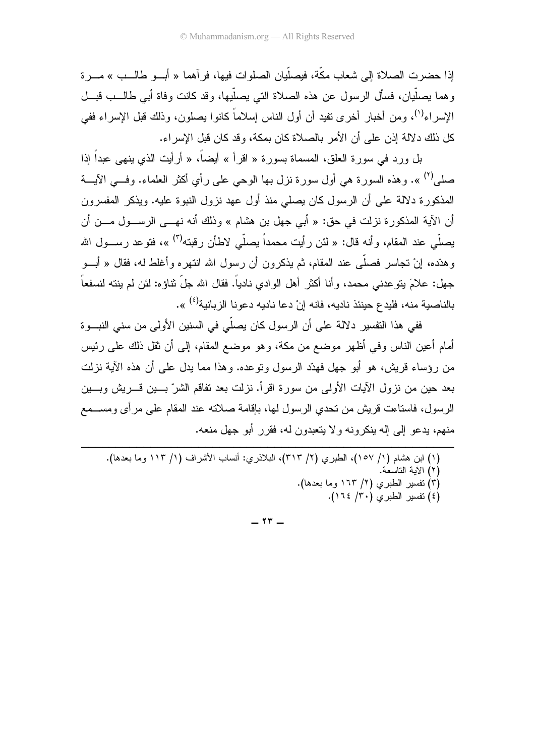إذا حضر ت الصلاة إلى شعاب مكَّة، فيصلِّيان الصلو ات فيها، فر آهما « أبـــو طالـــب » مـــر ة و هما يصلِّيان، فسأل الرسول عن هذه الصلاة التي يصلِّبِها، وقد كانت وفاة أبي طالــب قبــل الإسراء<sup>(י)</sup>، ومن أخبار أخرى نفيد أن أول الناس إسلاماً كانوا بصلون، وذلك قبل الإسراء ففي كل ذلك دلالة إذن على أن الأمر بالصلاة كان بمكة، و قد كان قبل الإسر اء.

بل ورد في سورة العلق، المسماة بسورة « اقرأ » أيضاً، « أرأيت الذي ينهي عبداً إذا صلي<sup>(٢)</sup> ». وهذه السورة هي أول سورة نزل بها الوحي علي رأى أكثر العلماء. وفـــي الآيـــة المذكورة دلالة على أن الرسول كان يصلبي منذ أول عهد نزول النبوة عليه. ويذكر المفسرون أن الآية المذكور ة نزلت في حق: « أبي جهل بن هشام » وذلك أنه نهـــي الرســـول مـــن أن يصلَّى عند المقام، وأنه قال: « لئن رأيت محمداً يصلَّى لاطأن رقبته<sup>(٣)</sup> »، فتوعد رســـول الله و هدّده، إنْ تجاسر فصلَّى عند المقام، ثم بذكر ون أن ر سول الله انتهر ه و أغلط له، فقال « أبـــو جهل: علامَ يتوعدني محمد، وأنا أكثر أهل الوادي نادياً. فقال الله جلّ ثناؤه: لئن لم ينته لنسفعاً بالناصبة منه، فلبدع حبنئذ ناديه، فانه إنْ دعا ناديه دعو نا الز بانية<sup>(٤)</sup> ».

ففي هذا التفسير دلالة على أن الرسول كان يصلِّي في السنين الأولى من سنى النبـــوة أمام أعين الناس وفي أظهر موضع من مكة، وهو موضع المقام، إلى أن ثقل ذلك على رئيس من رؤساء قريش، هو أبو جهل فهدّد الرسول ونوعده. وهذا مما يدل على أن هذه الآية نزلت بعد حبن من نزول الآبات الأولى من سورة اقر أ. نزلت بعد تفاقم الشر ّ بـــبن قــر بش وبـــبن الر سول، فاستاعت قريش من تحدي الر سول لها، بإقامة صلاته عند المقام على مر أي ومســـمع منهم، بدعو إلى إله بنكرونه ولا بتعبدون له، فقرر أبو جهل منعه.

 $-147-$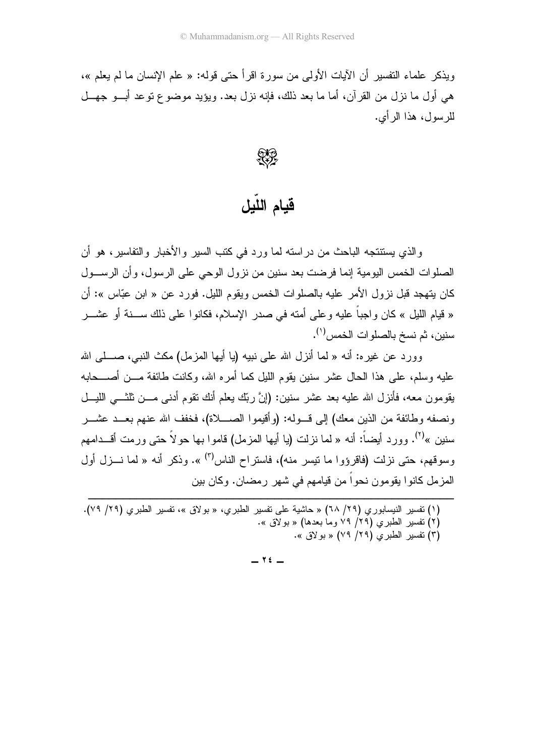ويذكر ً علماء التفسير أن الآيات الأولى من سورة اقر أُ حتى قوله: « علم الإنسان ما لم يعلم »، هي أول ما نزل من القر آن، أما ما بعد ذلك، فإنه نزل بعد. ويؤيد موضوع توعد أب وجهــل للرسول، هذا الر أي.

**RECORD** 

# قيام اللّيل

و الذي يستنتجه الباحث من در استه لما ور د في كتب السير و الأخبار و التفاسير ، هو أن الصلوات الخمس اليومية إنما فرضت بعد سنين من نزول الوحي على الرسول، وأن الرســـول كان يتهجد قبل نزول الأمر عليه بالصلوات الخمس ويقوم الليل. فورد عن « ابن عبّاس »: أن « قيام الليل » كان واجباً عليه وعلى أمته في صدر الإسلام، فكانوا على ذلك ســـنة أو عشـــر سنين، ثم نسخ بالصلوات الخمس<sup>(١)</sup>.

وورد عن غيره: أنه « لما أنزل الله على نبيه (يا أيها المزمل) مكث النبي، صـــــلـى الله عليه وسلم، على هذا الحال عشر سنين يقوم الليل كما أمره الله، وكانت طائفة مـــن أصــــحابه يقومون معه، فأنزل الله عليه بعد عشر سنين: (إنَّ ربِّك يعلم أنك نقوم أدنبي مـــن ثلثـــي الليـــل ونصفه وطائفة من الذين معك) إلى قــوله: (وأقيموا الصــــلاة)، فخفف الله عنهم بعــد عشـــر سنبن »<sup>(۲)</sup>. وورد أبضاً: أنه « لما نزلت (با أبها المزمل) قاموا بها حو لاً حتى ورمت أقـــدامهم وسوقهم، حتى نزلت (فاقرؤوا ما نيسر منه)، فاستراح الناس'') ». وذكر أنه « لما نـــزل أول المزمل كانوا بقومون نحواً من قيامهم في شهر رمضان. وكان بين

- (١) نفسير النيسابوري (٢٩/ ٦٨) « حاشية على نفسير الطبري، « بولاق »، نفسير الطبري (٢٩/ ٧٩).
	- (٢) نفسير الطبري (٢٩/ ٧٩ وما بعدها) « بولاق ».
		- (۳) تفسیر الطبری (۲۹/ ۷۹) « بولاق ».

 $-76-$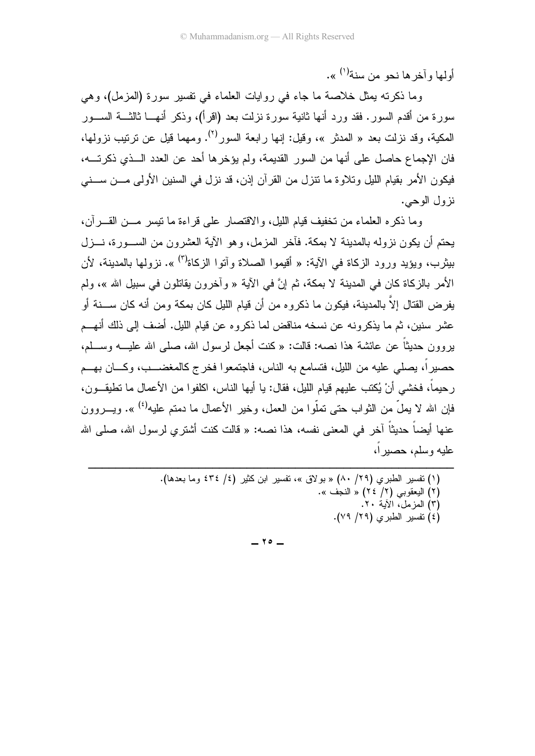أوليها وآخر ها نحو من سنة<sup>(١)</sup> ».

وما ذكرته يمثل خلاصة ما جاء في روايات العلماء في تفسير سورة (المزمل)، وهي سورة من أقدم السور . فقد ورد أنها ثانية سورة نزلت بعد (اقرأ)، وذكر أنهـــا ثالثـــة الســـور المكية، وقد نزلت بعد « المدثر »، وقيل: إنها رابعة السور<sup>(٢)</sup>. ومهما قيل عن نربتيب نزولها، فان الإجماع حاصل على أنها من السور القديمة، ولم يؤخرها أحد عن العدد الـــذي ذكرتــــه، فيكون الأمر بقيام الليل وتلاوة ما تتزل من القرآن إذن، قد نزل في السنين الأولى مـــن ســـني نز ول الوحے.

وما ذكر ه العلماء من تخفيف قيام الليل، والاقتصار على قراءة ما تيسر مـــن القـــر آن، يحتم أن يكون نزوله بالمدينة لا بمكة. فأخر المزمل، وهو الآية العشرون من الســورة، نـــزل بيثر ب، وبؤيد ورود الزكاة في الآية: « أقبموا الصلاة وآتوا الزكاة<sup>(٣)</sup> ». نزولها بالمدبنة، لأن الأمر بالزكاة كان في المدينة لا بمكة، ثم إنَّ في الآية « وآخرون يقاتلون في سبيل الله »، ولم بفر ض القتال إلاّ بالمدينة، فيكون ما ذكر و م من أن قيام الليل كان بمكة و من أنه كان ســـنة أو عشر سنين، ثم ما يذكرونه عن نسخه مناقض لما ذكروه عن قيام الليل. أضف إلى ذلك أنهــم بروون حديثاً عن عائشة هذا نصه: قالت: « كنت أجعل لرسول الله، صلى الله عليـــه وســـلم، حصيرٍاً، بصلَّى عليه من اللَّيل، فتسامع به النَّاس، فاجتمعوا فخرج كالمغضـــب، وكـــان بهـــم ر حيماً، فخشبي أنْ بُكتب عليهم قيام الليل، فقال: يا أيها الناس، اكلفوا من الأعمال ما تطبقــون، فإن الله لا يملُّ من الثواب حتى تملُّوا من العمل، وخير الأعمال ما دمتم عليه<sup>(٤)</sup> ». ويسروون عنها أبضاً حدبثاً آخر في المعنى نفسه، هذا نصه: « قالت كنت أشتر ي لر سول الله، صلى الله عليه وسلم، حصيراً،

> (١) تفسير الطبري (٢٩/ ٨٠) « بولاق »، نفسير ابن كثير (٤/ ٤٣٤ وما بعدها). (٢) اليعقوبي (٢/ ٢٤) « النجف ». (٣) المزمل، الأية ٢٠. (٤) تفسير الطبرى (٢٩/ ٧٩).

> > $-70-$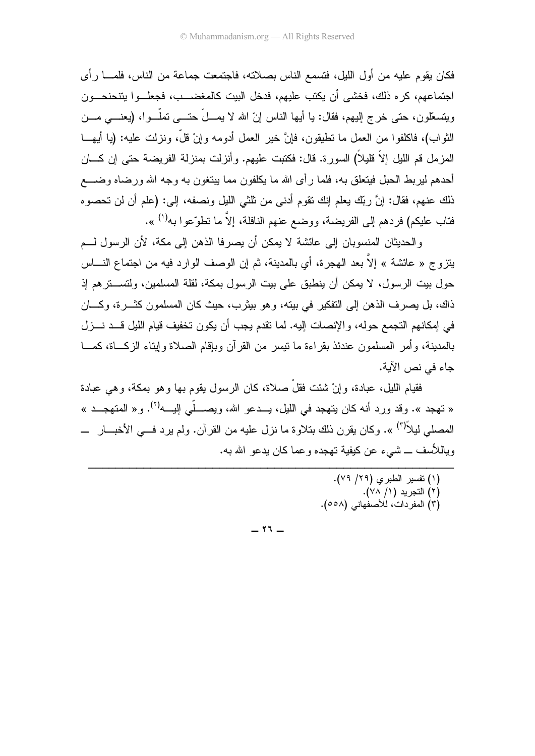فكان يقوم عليه من أول الليل، فتسمع الناس بصلاته، فاجتمعت جماعة من الناس، فلمـــا رأى اجتماعهم، كر ه ذلك، فخشى أن يكتب عليهم، فدخل البيت كالمغضـــب، فجعلــوا ينتحنحـــون ويتسعَّلون، حتى خرج إليهم، فقال: يا أيها الناس إنَّ الله لا يمـــلَّ حتــــى تملُّـــوا، (يعنــــى مـــن النَّواب)، فاكلفوا من العمل ما نطيقون، فإنَّ خير العمل أدومه وإنْ قلَّ، ونزلت عليه: (يا أيهـــا المزمل قم الليل إلاَّ فليلاً) السورة. قال: فكتبت عليهم. وأنزلت بمنزلة الفريضة حتى إن كـــان أحدهم ليربط الحبل فيتعلق به، فلما رأى الله ما يكلفون مما يبتغون به وجه الله ورضاه وضــــع ذلك عنهم، فقال: إنَّ ربِّك يعلم إنك نقوم أدنى من ثلثي الليل ونصفه، إلى: (علم أن لن تحصوه فتاب عليكم) فر دهم إلى الفريضة، ووضع عنهم النافلة، إلاّ ما تطوّ عو ا به<sup>(١)</sup> ».

و الحديثان المنسوبان إلى عائشة لا يمكن أن يصرفا الذهن إلى مكة، لأن الرسول لـــم يتزوج « عائشة » إلاَّ بعد الهجرة، أي بالمدينة، ثم إن الوصف الوارد فيه من اجتماع النــــاس حول بيت الرسول، لا يمكن أن ينطبق على بيت الرسول بمكة، لقلة المسلمين، ولتســـترهم إذ ذاك، بل يصرف الذهن إلى التفكير في بيته، وهو بيثرب، حيث كان المسلمون كثـــرة، وكــــان في إمكانهم التجمع حوله، والإنصات إليه. لما تقدم يجب أن يكون تخفيف قيام الليل قـــد نـــزل بالمدينة، و أمر المسلمون عندئذ بقراءة ما نيسر من القرآن وبإقام الصلاة وإيتاء الزكـــاة، كمـــا جاء في نص الآية.

فقبام اللبل، عبادة، و إنْ شئت فقلْ صلاة، كان الر سول بقوم بـها و هو بمكة، و هي عبادة « تهجد ». وقد ورد أنه كان بتهجد في الليل، يسدعو الله، ويصبــلّي إليـــه<sup>(٢)</sup>. و« المتهجــد » المصلَّى ليلاً<sup>(٣)</sup> ». وكان يقرن ذلك بتلاوة ما نزل عليه من القرآن. ولم يرد فـــي الأخبـــار ـــ وبِاللأسف ـــ شيىء عن كيفية تهجده و عما كان بدعو الله به.

> (١) تفسير الطبري (٢٩/ ٧٩). (٢) التجريد (١/ ٧٨). (٣) المفرِّدات، للأصفِّهاني (٥٥٨).

 $-11 -$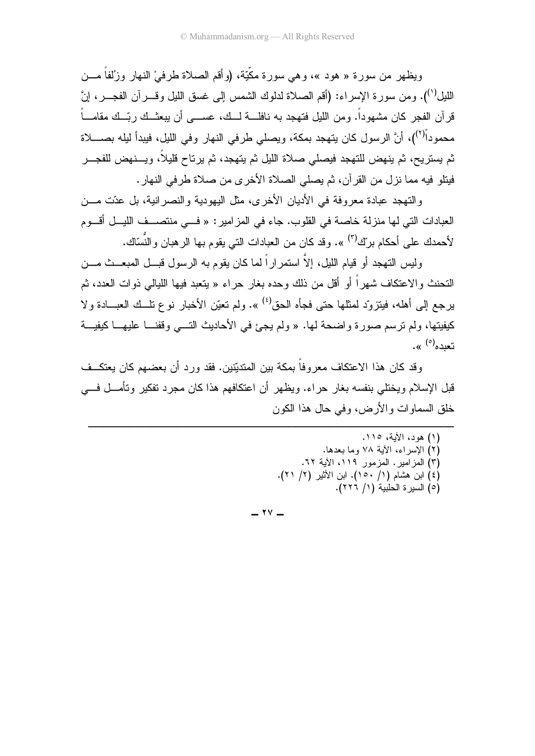ويظهر من سور ة « هود »، و هي سور ة مكَّبَّة، (و أقم الصلاة طر في ْ النهار وز'لفاً مـــن الليل<sup>(י)</sup>). ومن سور ة الإسر اء: (أقم الصلاة لدلوك الشمس إلى غسق الليل وقسر آن الفجسر ، إنَّ قر آن الفجر كان مشهوداً. ومن الليل فتهجد به نافلــــة لـــك، عســــى أن يبعثــك ربّــك مقامــــاً محموداً<sup>(٢)</sup>)، أنَّ الرسول كان يتهجد بمكة، ويصلَّى طرفي النهار وفي الليل، فيبدأ ليله بصــــلاة ثم يستريح، ثم ينهض للتهجد فيصلى صلاة الليل ثم يتهجد، ثم يرتاح قليلاً، ويسنهض للفجـــر فينلو فيه مما نزل من القرآن، ثم يصلي الصلاة الأخرى من صلاة طرفي النهار.

والتهجد عبادة معروفة في الأديان الأخرى، مثل اليهودية والنصرانية، بل عدّت مـــن العبادات التي لها منزلة خاصة في القلوب. جاء في المزامير : « فــي منتصـــف الليـــل أقـــوم لأحمدك على أحكام برآ<sup>ك (٣)</sup> ». وقد كان من العبادات التي يقوم بها الرهبان والنِّسّاك.

وليس التهجد أو قيام الليل، إلاَّ استمر إراً لما كان يقوم به الرسول قبـــل المبعـــث مـــن النَّحنث و الاعتكاف شـهر اً أو أقل من ذلك و حده بغار حر اء « بنعبد فبـها اللبالـي ذو ات العدد، ثم برجع إلى أهله، فيتزوَّد لمثلها حتى فجأه الحق<sup>(٤)</sup> ». ولم تعيّن الأخبار نوع نلّــك العبـــادة ولا كيفيتها، ولم ترسم صورة واضحة لمها. « ولم يجئ في الأحاديث التـــي وقفنـــا عليهـــا كيفيـــة تعدده<sup>(٥)</sup> ».

وقد كان هذا الاعتكاف معروفاً بمكة بين المتديِّنين. فقد ورد أن بعضهم كان يعتكــف قبل الإسلام وبختلي بنفسه بغار حر اء. وبظهر أن اعتكافهم هذا كان مجر د تفكير وتأمــل فـــي خلق السماوات و الأر ض، و في حال هذا الكون

> (١) هود، الآية، ١١٥. (٢) الإسراء، الأية ٧٨ وما بعدها. (٣) المزامير. المزمور ١١٩، الأية ٦٢. (٤) ابن هشام (١/ ١٥٠). ابن الأثير (٢/ ٢١). (٥) السيرة الحلبية (١/ ٢٢٦).

 $-$  ۲۷  $-$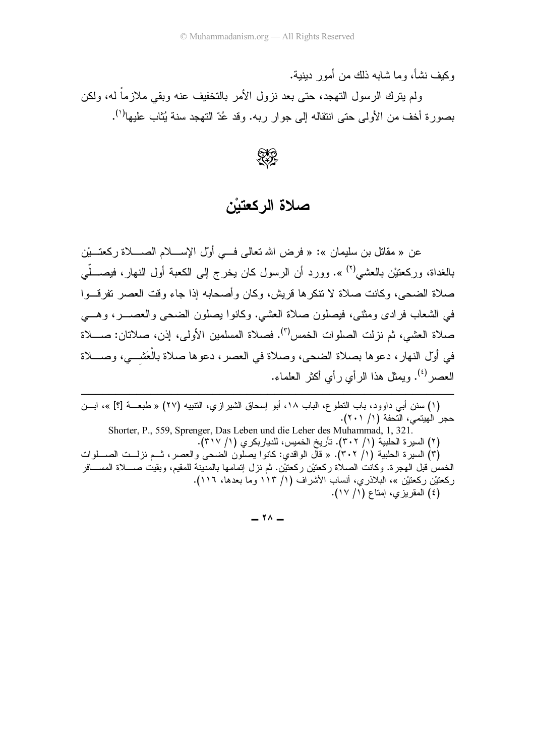ركيف نشأ، وما شابه ذلك من أمور دينية.

ولم يترك الرسول التهجد، حتى بعد نزول الأمر بالتخفيف عنه وبقي ملازما له، ولكن بصورة أخف من الأولى حتى انتقاله إلى جوار ربه. وقد عُدّ التهجد سنة يُثاب عليها<sup>(١)</sup>.



### صلاة الركعتيْن

عن « مقاتل بن سليمان »: « فرض الله تعالى فـــي أول الإســــلام الصــــلاة ركعتــــيْن بالغداة، وركعتيْن بالعشي<sup>(٢)</sup> ». وورد أن الرسول كان يخرج إلى الكعبة أول النهار، فيصــــلّـي صلاة الضحى، وكانت صلاة لا نتكرها قريش، وكان وأصحابه إذا جاء وقت العصر نفرقـــوا في الشعاب فرادى ومثنى، فيصلون صلاة العشي. وكانوا يصلون الضحى والعصــــر، وهــــي صلاة العشي، ثم نزلت الصلوات الخمس<sup>(٣)</sup>. فصلاة المسلمين الأولى، إذن، صلاتان: صــــلاة في أوَّل النهار، دعوها بصلاة الضحى، وصلاة في العصر ، دعوها صلاة بالعَشـــي، وصــــلاة العصـر<sup>(؛)</sup>. ويمثل هذا الرأي رأي أكثر العلماء.

------------------------------------------------------(١) سنن أبي داوود، باب النطوع، الباب ١٨، أبو إسحاق الشيرازي، النتبيه (٢٧) « طبعـــة [؟] »، ابـــن حجر الـهيتمي، التحفة (١/ ٢٠١).

 Shorter, P., 559, Sprenger, Das Leben und die Leher des Muhammad, 1, 321. ـ (٢) السير ة الحلبية (١/ ٣٠٢). تأريخ الخميس، للدياربكر ي (١/ ٣١٧). (٣) السيرة الحلبية (١/ ٣٠٢). « قال الواقدي: كانوا يصلون الضحى والعصر، ثــم نزلــت الصـــلوات الخمس قبل الـهجرة. وكانت الصـلاة ركعتيْن ركعتيْن. ثم نزل إتمامها بالمدينة للمقيم، وبقيت صــــلاة المســــافر ركعتيْن ركعتيْن »، البلاذري، أنساب الأشراف (١/ ١١٣ وما بعدها، ١١٦). (٤) المقريزي، اِمناع (١/ ١٧).

 $\lambda$  -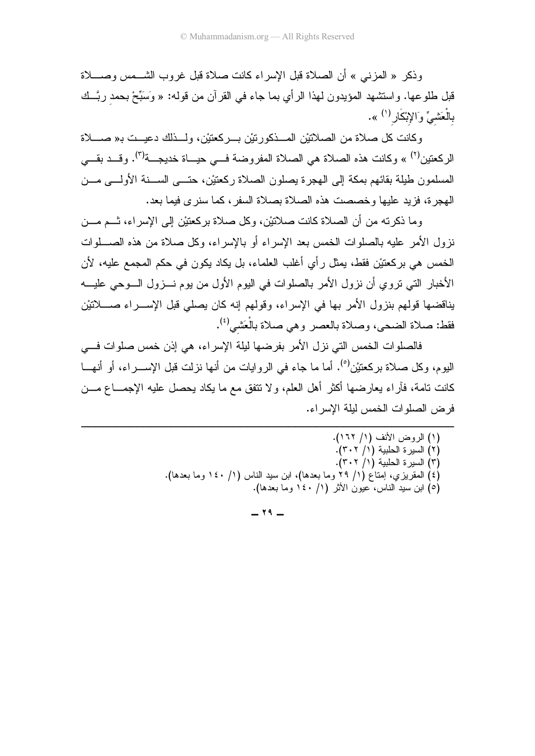وذكر « المزنبي » أن الصلاة قبل الإسراء كانت صلاة قبل غروب الشـــمس وصــــلاة نَّبْلُ طُلُوعُها. وَاسْتَشْهَدْ الْمُؤْيِدُونَ لهذا الرَّأيِ بما جاء في القرَّان من قوله: « وَسَبِّحْ بحمد ربُّــك بالْعَشيِّ وَالإِبْكَار<sup>(١)</sup> ».

وكانت كل صلاة من الصلاتيْن المـــذكورتيْن بـــركعتيْن، ولـــذلك دعيـــت بـ« صــــلاة الركعتين<sup>(٢)</sup> » وكانت هذه الصلاة هي الصلاة المفروضة فـــي حيـــاة خديجـــة<sup>(٣)</sup>. وقـــد بقـــي المسلمون طيلة بقائهم بمكة إلى الـهجرة بصلون الصلاة ركعتيْن، حتـــي الســـنة الأولــــي مـــن الهجرة، فزيد عليها وخصصت هذه الصلاة بصلاة السفر ، كما سنرى فيما بعد.

وما ذكرته من أن الصلاة كانت صلاتيْن، وكل صلاة بركعتيْن إلىي الإسراء، تـــم مـــن نزول الأمر عليه بالصلوات الخمس بعد الإسراء أو بالإسراء، وكل صلاة من هذه الصــــلوات الخمس هي بركعتيْن فقط، يمثِّل رأي أغلب العلماء، بل يكاد يكون في حكم المجمع عليه، لأن الأخبار التي نزوي أن نزول الأمر بالصلوات في اليوم الأول من يوم نـــزول الـــوحي عليــــه بْاقْضُهَا قُولُهُمْ بِنْزُولْ الأَمْرِ بِهَا فِي الإسراء، وقُولُهُمْ إِنَّهُ كَانٍ يَصْلِّي قَبْلُ الإســـراء صــــلاتَيْن فقط: صلاة الضحي، وصلاة بالعصر وهي صلاة بالْعَشي<sup>(٤)</sup>.

فالصلوات الخمس التي نزل الأمر بفرضها ليلة الإسراء، هي إذن خمس صلوات فـــي اليوم، وكل صلاة بركعتيْن<sup>(٥)</sup>. أما ما جاء في الروايات من أنـها نزلت قبل الإســــراء، أو أنـهــــا كانت نامة، فأراء يعارضها أكثر أهل العلم، ولا نتفق مع ما يكاد يحصل عليه الإجمـــاع مـــن فر ض الصلوات الخمس لبلة الإسر اء.

------------------------------------------------------

> (١) الروض الأنف (١/ ١٦٢). (۲) السيرة الحلبية (۱/ ٣٠٢). (٣) السيرة الحلبية (١/ ٣٠٢). (٤) المقريزي، إمتاع (١/ ٢٩ وما بعدها)، ابن سيد الناس (١/ ١٤٠ وما بعدها). (٥) ابن سيد الناس، عيون الأثر (١/ ١٤٠ وما بعدها).

> > $19 -$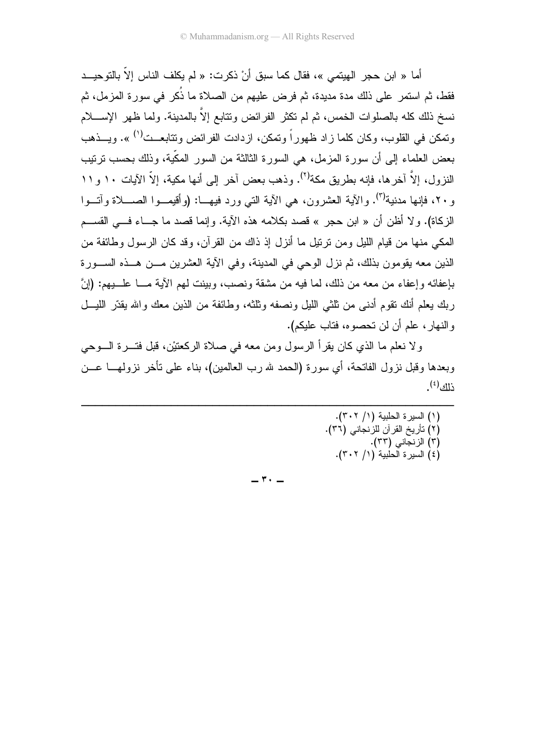)-< 8\$4 d &  :» / E >
 1 \* % « #( < » فقط، ثم استمر على ذلك مدة مديدة، ثم فرض عليهم من الصلاة ما ذكر في سورة المزمل، ثم سخ ذلك كله بالصلوات الخمس، ثم لم نكثر الفرائض ونتابع إلا بالمدينة. ولما ظهر الإســــلام وتمكن في القلوب، وكان كلما زاد ظهوراً وتمكن، ازدادت الفرائض وتتابعــت<sup>(١)</sup> ». ويـــذهب حض العلماء إلى أن سورة المزمل، هي السورة الثالثة من السور المكية، وذلك بحسب نرنيب النزول، إلاّ آخرها، فإنه بطريق مكة<sup>(٢)</sup>. وذهب بعض أخر إلى أنها مكية، إلاّ الآيات ١٠ و ١١ ر ٢٠، فإنها مدنية<sup>(٣)</sup>. والآية العشرون، هي الآية التي ورد فيهـــا: (وأقيمـــوا الصــــلاة وآتـــوا الزكاة). و لا أظن أن « ابن حجر » قصد بكلامه هذه الأية. وإنما قصد ما جـــاء فـــي القســـم المكي منها من قيام الليل ومن نرتيل ما أنزل إذ ذاك من القرآن، وقد كان الرسول وطائفة من الذين معه يقومون بذلك، ثم نزل الوحي في المدينة، وفي الأية العشرين مـــن هـــذه الســــورة بْإعفائه وإعفاء من معه من ذلك، لما فيه من مشقة ونصب، وبينت لمهم الأية مـــا علــــبيهم: (إنَّ ربك يعلم أنك نقوم أدنـي من ثلثـي الليل ونصفه وثلثـه، وطـائفة من الذين معك والله يقدّر الليــــل رِ النـهار ، علم أن لن تـحصـوه، فتاب عليكم).

ولا نعلم ما الذي كان يقرأ الرسول ومن معه في صلاة الركعتيْن، قبل فتــــرة الــــوحي ربعدها وقُبْلُ نزولُ الْفَاتِحَة، أي سورة (الحمد لله رب العالمين)، بناء على نأخر نزولهـــا عـــن  $\mathbb{E}^{(\mathfrak{z})}$ 

------------------------------------------------------

> (١) السيرة الحلبية (١/ ٣٠٢). (۲) نأريخ القرآن للزنجاني (٣٦). (٣) الزنجاني (٣٣). (٤) السيرة الحلبية (١/ ٣٠٢).

 $\mathbf{r}$   $-$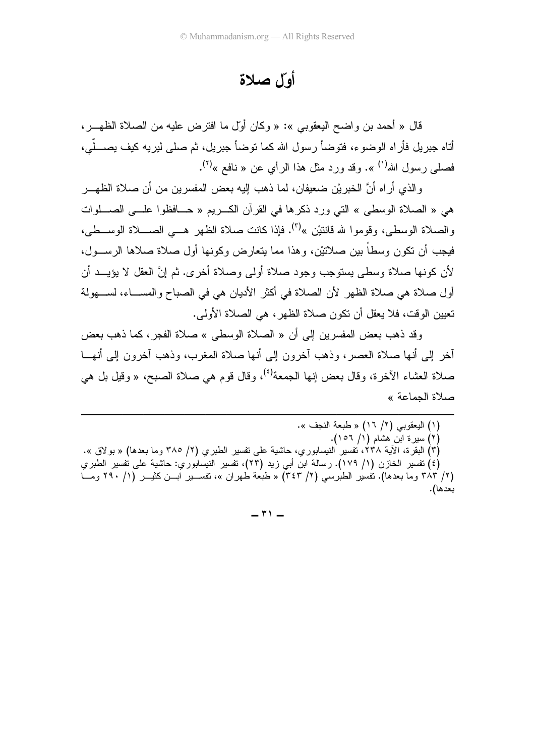### أوّل صلاة

قال « أحمد بن واضح اليعقوبي »: « وكان أولَّ ما افترض عليه من الصلاة الظهـــر ، أتاه جبر بل فأر اه الوضوء، فتوضأ ر سول الله كما توضأ جبر بل، ثم صلى لبر يه كيف بصـــلّـى، فصلي رسول الله<sup>(١)</sup> ». وقد ورد مثل هذا الرأى عن « نافع »<sup>(٢)</sup>.

والذي أراه أنَّ الخبريْن ضعيفان، لما ذهب إليه بعض المفسرين من أن صلاة الظهـــر هي « الصلاة الوسطى » التي ورد ذكرها في القرآن الكريم « حــافظوا علـــي الصـــلوات والصلاة الوسطى، وقوموا لله قانتيْن »<sup>(٣)</sup>. فإذا كانت صلاة الظهر هـــ الصــــلاة الوســـطي، فيجب أن نكون وسطاً بين صلاتيْن، وهذا مما يتعارض وكونها أول صلاة صلاها الرســـول، لأن كونـها صـلاة وسطـي بستوجب وجود صـلاة أولـي وصـلاة أخرى. ثم إنَّ العقل لا بؤيـــد أن أول صلاة هي صلاة الظهر لأن الصلاة في أكثر الأديان هي في الصباح والمســاء، لســـهولة تعيين الوقت، فلا يعقل أن تكون صلاة الظهر ، هي الصلاة الأولى.

وقد ذهب بعض المفسرين إلى أن « الصلاة الوسطى » صلاة الفجر، كما ذهب بعض أخر إلى أنها صلاة العصر، وذهب أخرون إلى أنها صلاة المغرب، وذهب أخرون إلى أنهـــا صلاة العشاء الأخرة، وقال بعض إنها الجمعة<sup>(٤)</sup>، وقال قوم هي صلاة الصبح، « وقيل بل هي صلاة الحماعة »

(١) اليعقوبي (٢/ ١٦) « طبعة النجف ». (٢) سيرة ابن ُهشام (١/ ١٥٦). (٣) البقرة، الأية ٢٣٨، نفسير النيسابوري، حاشية على نفسير الطبري (٢/ ٣٨٥ وما بعدها) « بولاق ». (٤) نفسير الخازن (١/ ١٧٩). رسالة ابن أبي زيد (٢٣)، نفسير النيسابوري: حاشية على نفسير الطبري

(٢/ ٣٨٣ وما بعدها). تفسير الطبرسي (٢/ ٣٤٣) « طبعة طهران »، تفســير ابــن كثيــر (١/ ٢٩٠ ومــا بعدها).

 $\uparrow$   $\uparrow$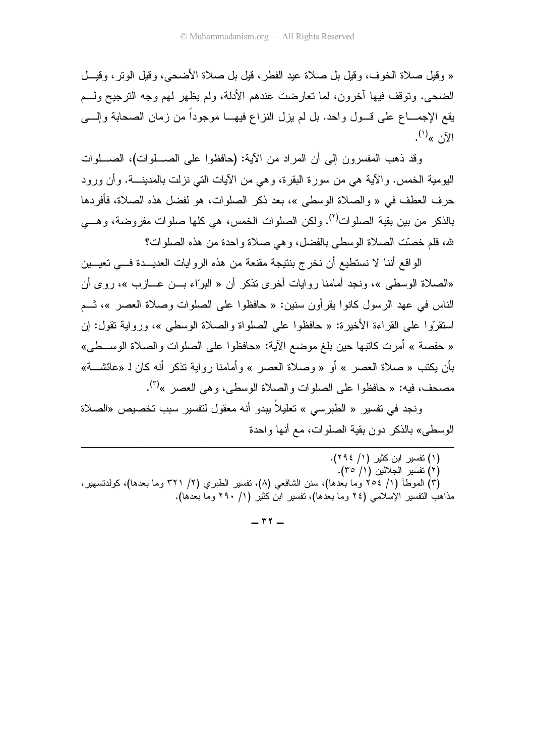« وقيل صلاة الخوف، وقيل بل صلاة عيد الفطر ، قيل بل صلاة الأضحى، وقيل الوتر ، وقيـــل الضحى. ونوفف فيها أخرون، لما نعارضت عندهم الأدلة، ولم يظهر لهم وجه الترجيح ولسم يقع الإجمـــاع علـى قـــول واحد. بل لم يزل النزاع فيهـــا موجوداً من زمان الصحابة وإلــــى  $\mathcal{L}^{(1)}$ <sub>« $\mathcal{L}^{(1)}$ </sub>)

وقد ذهب المفسرون إلى أن المراد من الآية: (حافظوا على الصـــلوات)، الصـــلوات اليومية الخمس. والآية هي من سورة البقرة، وهي من الآيات التي نزلت بالمدينـــة. وأن ورود حرف العطف في « و الصلاة الوسطى »، بعد ذكر الصلوات، هو لفضل هذه الصلاة، فأفردها بالذكر من بين بقية الصلوات<sup>(٢)</sup>. ولكن الصلوات الخمس، هي كلها صلوات مفر وضبة، و هـــي لله، فلم خصَّت الصلاة الوسطى بالفضل، وهي صلاة واحدة من هذه الصلوات؟

الواقع أننا لا نستطيع أن نخرج بنتيجة مقنعة من هذه الروايات العديـــدة فـــي تعيـــين «الصلاة الوسطى »، ونجد أمامنا روايات أخرى نذكر أن « البرّاء بـــن عـــازب »، روى أن الناس في عهد الرسول كانوا بقرأون سنين: « حافظوا على الصلوات وصلاة العصر »، ثــم استقرَّوا على القراءة الأخيرة: « حافظوا على الصلواة والصلاة الوسطى »، ورواية تقول: إن « حفصة » أمرت كاتبها حين بلغ موضع الآية: «حافظوا على الصلوات والصلاة الوســطي» بأن يكتب « صلاة العصر » أو « وصلاة العصر » وأمامنا رواية نذكر أنه كان لـ «عائشـــة» مصبحف، فيه: « حافظو ا على الصلوات و الصلاة الوسطى، و هي العصر »<sup>(٣)</sup>.

ونجد في تفسير « الطبر سي » تعليلاً بيدو أنه معقول لتفسير سبب تخصيص «الصلاة الوسطى» بالذكر دو ن بقية الصلو ات، مع أنها و احدة

 $-$  ۳۲  $-$ 

)، كولدتسهير ،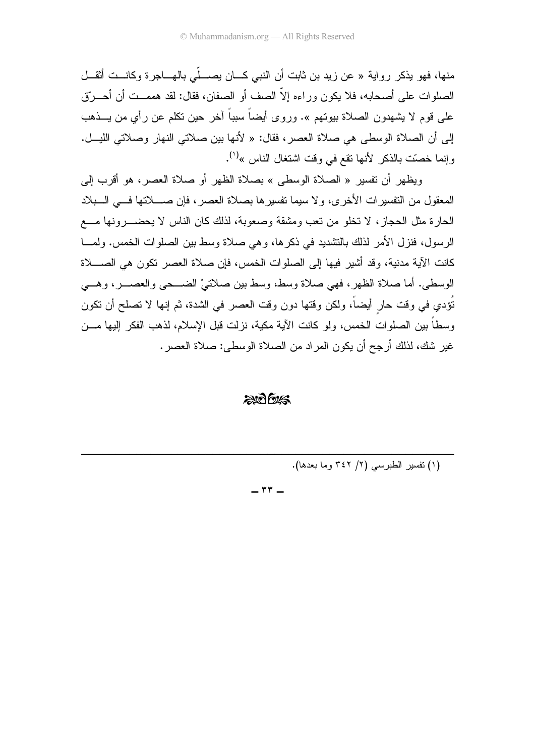منها، فهو يذكر رواية « عن زيد بن ثابت أن النبي كـــان يصـــلّي بالهـــاجر ة وكانـــت أثقــل الصلوات على أصحابه، فلا يكون وراءه إلاَّ الصف أو الصفان، فقال: لقد هممــت أن أحـــروِّق على قوم لا يشهدون الصلاة بيوتهم ». وروى أيضاً سبباً آخر حين نكلم عن رأي من يـــذهب إلى أن الصلاة الوسطى هي صلاة العصر، فقال: « لأنها بين صلاتي النهار وصلاتي الليــل. وإنما خصّت بالذكر لأنها نقع في وقت اشتغال الناس »<sup>(١)</sup>.

ويظهر أن تفسير « الصلاة الوسطى » بصلاة الظهر أو صلاة العصر ، هو أقرب إلى المعقول من التفسير ات الأخرى، ولا سيما تفسير ها بصلاة العصر ، فإن صــــلاتها فــــى الـــبلاد الحار ة مثل الحجاز ، لا تخلو من تعب ومشقة وصعوبة، لذلك كان الناس لا يحضــــر ونـها مــــع الرسول، فنزل الأمر لذلك بالتشديد في ذكر ها، و هي صلاة وسط بين الصلوات الخمس. ولمـــا كانت الآية مدنية، وقد أشير فيها إلى الصلوات الخمس، فإن صلاة العصر تكون هي الصــــلاة الوسطى. أما صلاة الظهر، فهي صلاة وسط، وسط بين صلاتيْ الضـــحي والعصـــر، وهـــي نُؤدي في وقت حار أيضاً، ولكن وقتها دون وقت العصر في الشدة، ثم إنها لا تصلح أن تكون وسطاً بين الصلوات الخمس، ولو كانت الآية مكية، نزلت قبل الإسلام، لذهب الفكر إليها مـــن غير شك، لذلك أرجح أن يكون المراد من الصلاة الوسطى: صلاة العصر .

#### $20025$

(١) تفسير الطبرسي (٢/ ٣٤٢ وما بعدها).

 $-$  ۳۳ $-$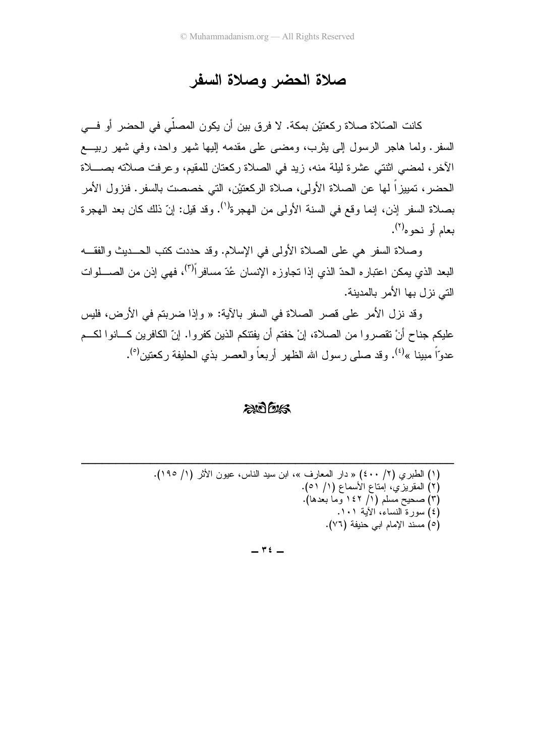### صلاة الحضر وصلاة السفر

كانت الصّلاة صلاة ركعتيْن بمكة. لا فرق بين أن يكون المصلّي في الحضر أو فـــي السفر . ولما هاجر الرسول إلى يثرب، ومضى على مقدمه إليها شهر واحد، وفي شهر ربيــــع الأخر، لمضيي اثنتي عشرة ليلة منه، زيد في الصلاة ركعتان للمقيم، وعرفت صلاته بصــــلاة الحضر، تمييزاً لها عن الصلاة الأولى، صلاة الركعتيْن، التي خصصت بالسفر. فنزول الأمر بصلاة السفر إذن، إنما وقع في السنة الأولى من الهجرة<sup>(١)</sup>. وقد قيل: إنّ ذلك كان بعد الهجرة بعام أو نحو ه<sup>(٢)</sup>.

وصلاة السفر هي على الصلاة الأولى في الإسلام. وقد حددت كتب الحـــديث والفقـــه البعد الذي يمكن اعتباره الحدّ الذي إذا تجاوزه الإنسان عُدّ مسافر<sup>اً(٣)</sup>، فهي إذن من الصـــــلوات التي نزل بها الأمر بالمدبنة.

وقد نزل الأمر على قصر الصلاة في السفر بالأية: « وإذا ضربتم في الأرض، فليس عليكم جناح أنْ نقصروا من الصلاة، إنْ خفتم أن يفتنكم الذين كفروا. إنّ الكافرين كـــانوا لكـــم عدوّاً مبينا »<sup>(٤)</sup>. وقد صلى رسول الله الظهر أربعاً والعصر بذي الحليفة ركعتين<sup>(٥</sup>).

#### $2075$

 $\mathbf{r}$   $\mathbf{t}$   $-$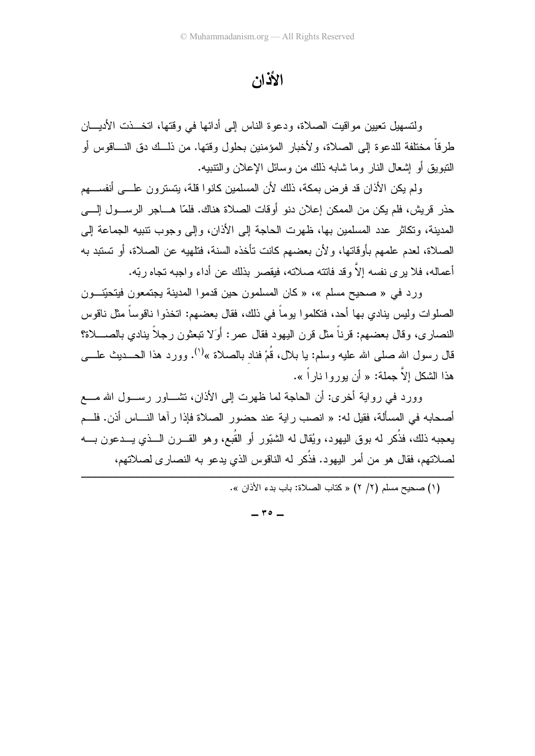الأذان

ولتسهيل تعيين مواقيت الصلاة، ودعوة الناس إلى أدائها في وقتها، انخــذت الأديـــان طر قاً مختلفة للدعو ة إلى الصلاة، و لأخبار المؤمنين بحلول وقتها. من ذلــك دق النـــاقوس أو النبويق أو إشعال النار وما شابه ذلك من وسائل الإعلان والنتبيه.

ولم يكن الأذان قد فرض بمكة، ذلك لأن المسلمين كانوا قلة، يتسترون علـــي أنفســـهم حذر قريش، فلم يكن من الممكن إعلان دنو أوقات الصلاة هناك. فلمّا هـــاجر الرســـول إلــــي المدينة، وتكاثر عدد المسلمين بها، ظهرت الحاجة إلى الأذان، وإلى وجوب تتبيه الجماعة إلى الصلاة، لعدم علمهم بأو قاتها، و لأن بعضهم كانت تأخذه السنة، فتلهبه عن الصلاة، أو تستبد به أعماله، فلا بر ي نفسه إلاَّ وقد فاتته صلاته، فيقصر بذلك عن أداء و اجبه تجاه ربّه.

ور د في « صحيح مسلم »، « كان المسلمون حين قدمو ا المدينة يجتمعون فيتحيِّنــون الصلوات وليس ينادي بها أحد، فتكلموا يوماً في ذلك، فقال بعضهم: اتخذوا ناقوساً مثل ناقوس النصاري، وقال بعضهم: قرناً مثل قرن اليهود فقال عمر: أَوَلا نَبعثون رجلاً بنادي بالصــــلاة؟ قال رسول الله صلى الله عليه وسلم: يا بلال، قُمْ فناد بالصلاة »<sup>(١)</sup>. وورد هذا الحـــديث علــــي هذا الشكل إلاّ جملة: « أن يوروا ناراً ».

وورد في رواية أخرى: أن الحاجة لما ظهرت إلى الأذان، تشـــاور رســول الله مـــع أصحابه في المسألة، فقيل له: « انصب راية عند حضور الصلاة فإذا رآها النـــاس أذن. فلـــم بعجبه ذلك، فذُكر له بوق البهود، وبُقال له الشَّبُّور أو القُبع، وهو القــرن الـــذي بـــدعون بـــه لصلاتهم، فقال هو من أمر اليهود. فذُكر له الناقوس الذي يدعو به النصاري لصلاتهم،

(١) صحبح مسلم (٢/ ٢) « كتاب الصلاة: باب بدء الأذان ».

 $\mathbf{r} \circ -$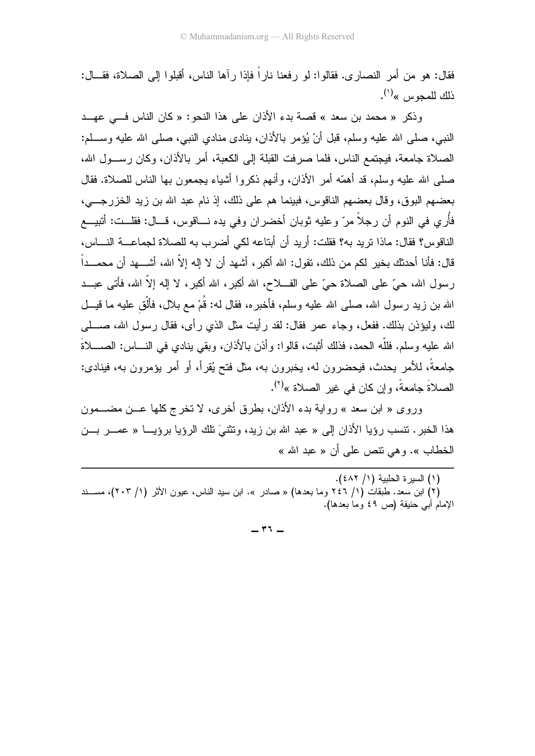فقال: هو من أمر النصار ي. فقالوا: لو رفعنا نار اً فإذا رآها الناس، أقبلوا إلى الصلاة، فقـــال: ذلك للمجوس »<sup>(۱</sup>).

وذكر « محمد بن سعد » قصة بدء الأذان على هذا النحو : « كان الناس في عهــد النبي، صلَّى الله عليه وسلَّم، قُبْلُ أنْ يُؤمِر باﻷذان، بنادي منادي النبي، صلَّى الله عليه وســـلم: الصلاة جامعة، فيجتمع الناس، فلما صرفت القبلة إلى الكعبة، أمر بالأذان، وكان رســـول الله، صلَّى الله عليه وسلَّم، قد أهمَّه أمر الأذان، وأنـهم ذكروا أشياء يجمعون بـها الناس للصـلاة. فقال بعضهم البوق، وقال بعضهم الناقوس، فبينما هم على ذلك، إذ نام عبد الله بن زيد الخزرجـــي، فأُر ي في النو م أن ر جلاً مر ّ و عليه ثوبان أخضر ان و في يده نـــاقوس، قـــال: فقلــت: أتبيـــع الناقوس؟ فقال: ماذا نريد به؟ فقلت: أريد أن أبتاعه لكي أضرب به للصلاة لجماعـــة النــــاس، قال: فأنا أحدثك بخبر لكم من ذلك، تقول: الله أكبر ، أشهد أن لا إله إلاّ الله، أشـــهد أن محمـــداً رسول الله، حيٍّ على الصلاة حيٍّ على الفـــلاح، الله أكبر ، الله أكبر ، لا إله إلاَّ الله، فأتـم عبـــد الله بن زيد رسول الله، صلى الله عليه وسلم، فأخبره، فقال له: قُمْ مع بـلال، فألْق عليه ما قيــل لك، وليؤذن بذلك. ففعل، وجاء عمر فقال: لقد رأيت مثل الذي رأى، فقال رسول الله، صــــلـي الله عليه وسلم. فللَّه الـحمد، فذلك أثبت، قالوا: وأذن بالأذان، وبقى بنادي في النــــاس: الصـــــلاةَ جامعةً، للأمر يحدث، فيحضرون له، يخبرون به، مثل فتح يُقرأ، أو أمر يؤمرون به، فينادى: الصلاةَ جامعةً، وإن كان في غير الصلاة »<sup>(٢)</sup>.

وروى « ابن سعد » رواية بدء الأذان، بطرق أخرى، لا تخرج كلها عــن مضـــمون هذا الخبر . تتسب رؤيا الأذان إلى « عبد الله بن زيد، وتثنيَ تلك الرؤيا برؤيـــا « عصــر بـــن الخطاب ». و هي نتص علي أن « عبد الله »

(٢) ابن سعد. طبقات (١/ ٢٤٦ وما بعدها) « صادر ». ابن سبد الناس، عبون الأثر (١/ ٢٠٣)، مســند الإمام أبي حنيفة (ص ٤٩ وما بعدها).

 $17 -$ 

<sup>(</sup>١) السيرة الحلبية (١/ ٤٨٢).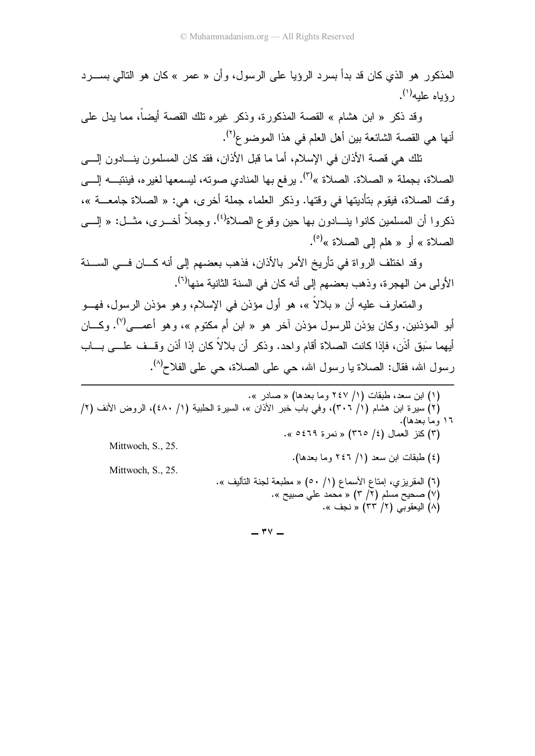المذكور هو الذي كان قد بدأ بسر د الرؤيا على الرسول، وأن « عمر » كان هو التالي بســـر د  $\epsilon$ رۇباھ علىه ( ').

وقد ذكر « ابن هشام » القصة المذكورة، وذكر غيره تلك القصة أيضاً، مما يدل على أنها هي القصبة الشائعة بين أهل العلم في هذا الموضوع<sup>(٢)</sup>.

تلك هي قصة الأذان في الإسلام، أما ما قبل الأذان، فقد كان المسلمون بنـــادون إلــــي الصلاة، بجملة « الصلاة. الصلاة »<sup>(٣)</sup>. يرفع بها المنادي صوته، ليسمعها لغيره، فينتبـــه إلــــي وقت الصلاة، فيقوم بتأديتها في وقتها. وذكر العلماء جملة أخرى، هي: « الصلاة جامعـــة »، ذكروا أن المسلمين كانوا بنـــادون بـها حين وقوع الصـلاة<sup>(٤)</sup>. وجملاً أخــــرى، مثـــل: « إلــــي الصلاة » أو « هلم إلى الصلاة »<sup>(٥)</sup>.

وقد اختلف الرواة في تأريخ الأمر بالأذان، فذهب بعضهم إلى أنه كـــان فـــي الســـنة الأولى من الهجرة، وذهب بعضهم إلى أنه كان في السنة الثانية منها<sup>(٦)</sup>.

والمتعارف عليه أن « بلالاً »، هو أول مؤذن في الإسلام، وهو مؤذن الرسول، فهـــو أبو المؤذنين. وكان يؤذن للرسول مؤذن آخر هو « ابن أم مكتوم »، وهو أعصــي<sup>(٧)</sup>. وكــــان أيهما سَبق أذَن، فإذا كانت الصلاة أقام واحد. وذكر أن بلالاً كان إذا أذن وقــف علـــى بـــاب رسول الله، فقال: الصلاة يا رسول الله، حي على الصلاة، حي على الفلاح<sup>(٨)</sup>.

 $-$  ۳ $-$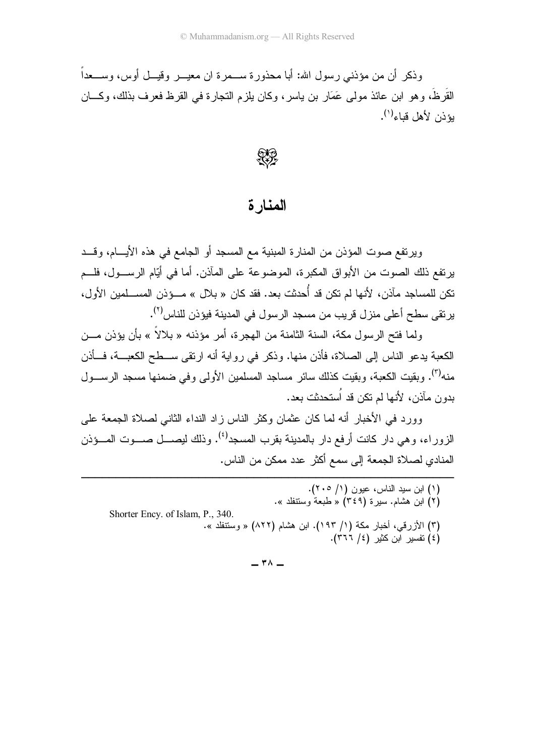وذكر ۖ أن من مؤذنبي ر سول الله: أبا محذور ة ســـمر ة ان معيـــر ۖ وقيــل أوس، وســـعداً ۖ القَرِ ظَ، و هو ابن عائذ مو لم عَمَار بن ياسر ، وكان يلز م التجار ة في القر ظ فعر ف بذلك، وكـــان يؤذن لأهل قياء<sup>(١)</sup>.



#### المنار ة

ويرتفع صوت المؤذن من المنارة المبنية مع المسجد أو الجامع في هذه الأيــــام، وقـــد يرتفع ذلك الصوت من الأبواق المكبرة، الموضوعة على المآذن. أما في أيّام الرســـول، فلـــم نكن للمساجد مآذن، لأنها لم تكن قد أُحدثت بعد. فقد كان « بلال » مـــؤذن المســـلمين الأول، يرتقى سطح أعلى منزل قريب من مسجد الرسول في المدينة فيؤذن للناس<sup>(٢)</sup>.

ولما فتح الرسول مكة، السنة الثامنة من الـهجرة، أمر مؤذنه « بلالاً » بأن يؤذن مـــن الكعبة يدعو الناس إلى الصلاة، فأذن منها. وذكر في رواية أنه ارتقى ســـطح الكعبـــة، فـــأذن منه<sup>(٣)</sup>. وبقيت الكعبة، وبقيت كذلك سائر مساجد المسلمين الأولى وفي ضمنها مسجد الرســـول بدون مآذن، لأنها لم تكن قد اُستحدثت بعد.

وور د في الأخبار أنه لما كان عثمان وكثر الناس ز اد النداء الثاني لصلاة الجمعة على الزور اء، وهي دار كانت أرفع دار بالمدبنة بقرب المسجد<sup>(٤)</sup>. وذلك لبصـــل صـــوت المـــؤذن المنادي لصلاة الجمعة إلى سمع أكثر عدد ممكن من الناس.

(۱) ابن سید الناس، عیون (۱/ ۲۰۵).<br>(۲) ابن هشام. سیرة (۳٤۹) « طبعة وسنتفلد ». Shorter Ency. of Islam, P., 340. (۳) الأزرقي، أخبار مكة (۱/ ۱۹۳). ابن هشام (۸۲۲) « وسنتفلد ».<br>(٤) نفسیر ابن كثیر (٤/ ٣٦٦).

 $-$  ۳۸  $-$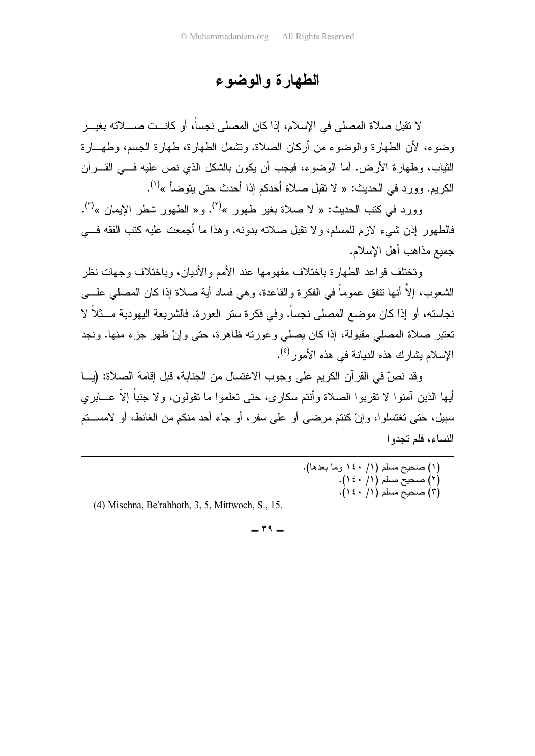## الطهارة والوضوع

لا تقبل صلاة المصلي في الإسلام، إذا كان المصلي نجسا، أو كانـــت صــــلاته بغيـــر رضوء، لأن الطهارة والوضوء من أركان الصلاة. وتشمل الطهارة، طهارة الجسم، وطهـــارة الثياب، وطهارة الأرض. أما الوضوء، فيجب أن يكون بالشكل الذي نص عليه فـــي القــــران الكريم. وورد في الحديث: « لا نقبل صلاة أحدكم إذا أحدث حتى يتوضأ »<sup>(י)</sup>.

وورد في كتب الحديث: « لا صلاة بغير طهور »<sup>(٢)</sup>. و« الطهور شطر الإيمان »<sup>(٣)</sup>. فالطهور إذن شيء لازم للمسلم، ولا نقبل صلاته بدونه. وهذا ما أجمعت عليه كتب الفقه فـــي جمبع مذاهب أهل الإسلام.

وتختلف قواعد الطهارة باختلاف مفهومها عند الأمم والأديان، وباختلاف وجهات نظر الشعوب، إلا أنها نتفق عموما في الفكرة والقاعدة، وهي فساد أية صلاة إذا كان المصلي علــــى حاسنه، أو إذا كان موضع المصلَّى نجسًا. وفي فكرة سنَّر العورة. فالشَّريعة اليهودية مـــثلاً لا تعتبر صلاة المصلي مقبولة، إذا كان يصلي وعورته ظاهرة، حتى وإنْ ظهر جزء منها. ونجد الإسلام بشارك هذه الديانة في هذه الأمور<sup>(٤)</sup>.

وقد نصَّ في القرَّان الكريم على وجوب الاغتسال من الجنابة، قبل إقامة الصلاة: (يـــا أيها الذين أمنوا لا تقربوا الصلاة وأنتم سكارى، حتى تعلموا ما تقولون، ولا جنبا إلا عـــابري سبيل، حتى تغتسلوا، وإنْ كنتم مرضـي أو علـي سفر ، أو جاء أحد منكم من الغائط، أو لامســـتم النساء، فلم تحدو ا

| (۱) صحيح مسلم (۱/ ۱٤۰ وما بعدها).<br>(۲) صحيح مسلم (۱/ ٤٠). |                         |
|-------------------------------------------------------------|-------------------------|
|                                                             |                         |
|                                                             |                         |
|                                                             | (۳) صحيح مسلم (۱/ ۱٤۰). |

(4) Mischna, Be′rahhoth, 3, 5, Mittwoch, S., 15.

-------------

 $\mathsf{r}$   $\mathsf{q}$   $-$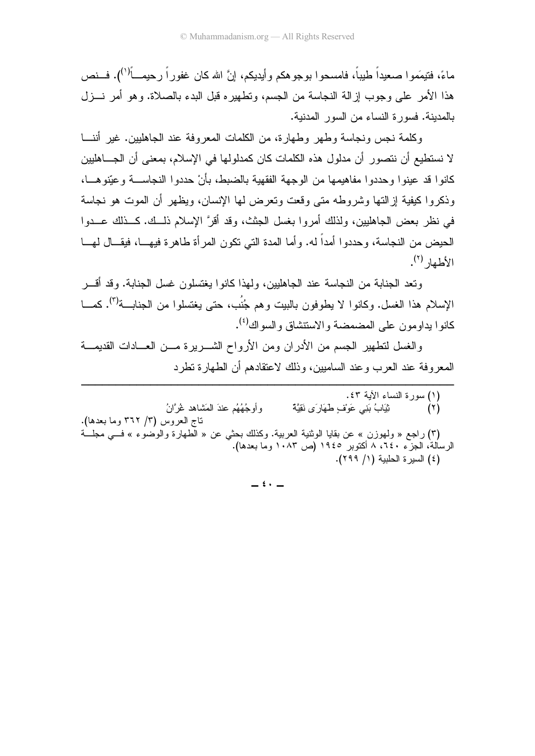ماءً، فتيمَمو ا صعيداً طبياً، فامسحو ا بوجو هكم و أيديكم، إنَّ الله كان غفور اً ر حيمـــأ<sup>(١)</sup>). فـــنص هذا الأمر على وجوب إز الــة النجاسة من الجسم، وتطهير ه قبل البدء بالصلاة. وهو أمر نـــزل بالمدبنة. فسورة النساء من السور المدنبة.

وكلمة نجس ونجاسة وطهر وطهارة، من الكلمات المعروفة عند الجاهليين. غير أننـــا لا نستطيع أن نتصور أن مدلول هذه الكلمات كان كمدلولها في الإسلام، بمعنى أن الجـــاهليين كانوا قد عينوا وحددوا مفاهيمها من الوجهة الفقهية بالضبط، بأنْ حددوا النجاســـة وعيّنوهـــا، وذكر و اكبفية إز التها وشر وطه متى وقعت وتعرض لمها الإنسان، وبظهر أن الموت هو نجاسة في نظر يعض الجاهليين، ولذلك أمر وا يغسل الجثث، وقد أقرَّ الإسلام ذلــك. كــذلك عــدوا الحيض من النجاسة، وحددوا أمداً له. وأما المدة التي نكون المر أة طاهرة فيهـــا، فيقـــال لهـــا  $(\lambda^{(7)})$  delays

وتعد الجنابة من النجاسة عند الجاهليين، ولمذا كانوا بغتسلون غسل الجنابة. وقد أقسر الإسلام هذا الغسل. وكانوا لا بطوفون بالببت وهم جُنُبٍ، حتى بغتسلوا من الجنابية<sup>(٢)</sup>. كمـــا كانو ا بداو مو ن علي المضمضة و الاستتشاق و السو اك<sup>(٤)</sup>.

والغسل لتطهير الجسم من الأدران ومن الأرواح الشـــريرة مـــن العـــادات القديمـــة المعروفة عند العرب وعند الساميين، وذلك لاعتقادهم أن الطهارة نطرد

(١) سورة النساء الأية ٤٣. ثِّيَابُ بَنِي عَوْفٍ طَهَارٍ َي نَقِيَّةٌ و أو جُهُهُم عندَ المَشاهد غُر َّانُ  $(\tau)$ تاج العروس (٣/ ٣٦٢ وما بعدها). (٣) راجع « ولهوزن » عن بقايا الوثنية العربية. وكذلك بحثى عن « الطهارة والوضوء » فسى مجلَّــة الرسالة، الجزء ٢٤٠، ٨ أكتوبر ١٩٤٥ (ص ١٠٨٣ وما بعدها). (٤) السيرة الحلبية (١/ ٢٩٩).

 $\leftrightarrow$   $-$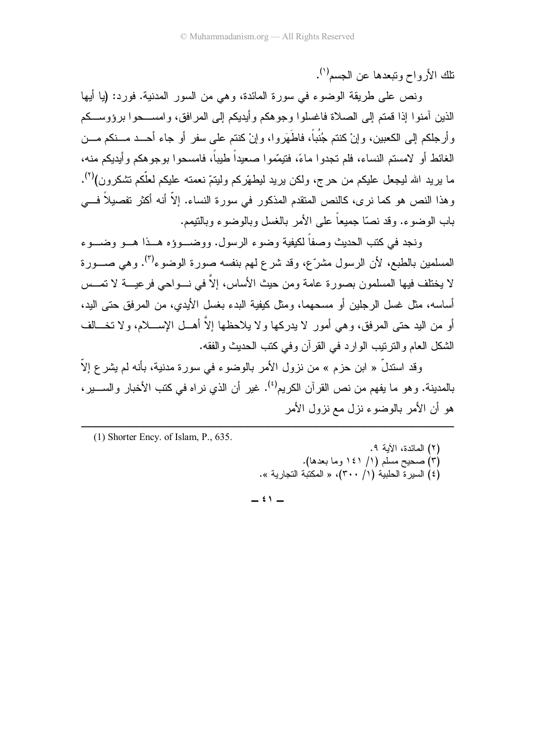تلك الأرواح وتبعدها عن الجسم<sup>(١)</sup>.

ونص على طريقة الوضوء في سورة المائدة، وهي من السور المدنية. فورد: (يا أيها الذين آمنو! إذا قمتم إلى الصلاة فاغسلوا وجوهكم وأيديكم إلى المرافق، وامســـحوا برؤوســـكم وأرجلكم إلى الكعبين، وإنْ كنتم جُنُباً، فاطَهَروا، وإنْ كنتم على سفرٍ أو جاء أحــد مـــنكم مـــن الغائط أو لامستم النساء، فلم تجدوا ماءً، فتيمّموا صعيداً طيباً، فامسحوا بوجوهكم وأيديكم منه، ما بريد الله ليجعل عليكم من حرج، ولكن بريد ليطهّركم وليتمّ نعمته عليكم لعلّكم تشكرون)<sup>(٢)</sup>. وهذا النص هو كما نرى، كالنص المتقدم المذكور في سورة النساء. إلاّ أنه أكثر تفصيلاً فـــي باب الوضوء. وقد نصبًا جميعاً على الأمر بالغسل وبالوضوء وبالتبمم.

ونجد في كتب الحديث وصفاً لكيفية وضوء الرسول. ووضــوؤه هــذا هــو وضــوء المسلمين بالطبع، لأن الرسول مشرَّع، وقد شرع لمهم بنفسه صورة الوضوء<sup>(٣)</sup>. وهي صـــورة لا يختلف فيها المسلمون بصورة عامة ومن حيث الأساس، إلاَّ في نسواحي فرعيسة لا تمسس أساسه، مثل غسل الرجلين أو مسحهما، ومثل كيفية البدء بغسل الأيدي، من المرفق حتى اليد، أو من البد حتى المرفق، وهي أمور لا يدركها ولا يلاحظها إلاَّ أهـــل الإســــلام، ولا تخـــالف الشكل العام والنرنيب الوارد في القرآن وفي كتب الحديث والفقه.

وقد استدلَّ « ابن حزم » من نزول الأمر بالوضوء في سورة مدنية، بأنه لم يشرع إلاَّ بالمدينة. و هو ما يفهم من نص القر آن الكر يم<sup>(٤)</sup>. غير أن الذي نر اه في كتب الأخبار و الســـبر ، هو أن الأمر بالوضوء نزل مع نزول الأمر

 $(1)$  Shorter Ency. of Islam, P., 635.

(٢) المائدة، الآية ٩. (۳) صحيح مسلم (۱/ ۱٤۱ وما بعدها).<br>(٤) السيرة الحلبية (۱/ ٣٠٠)، « المكتبة التجارية ».

 $\stackrel{\frown}{\cdot}$   $-$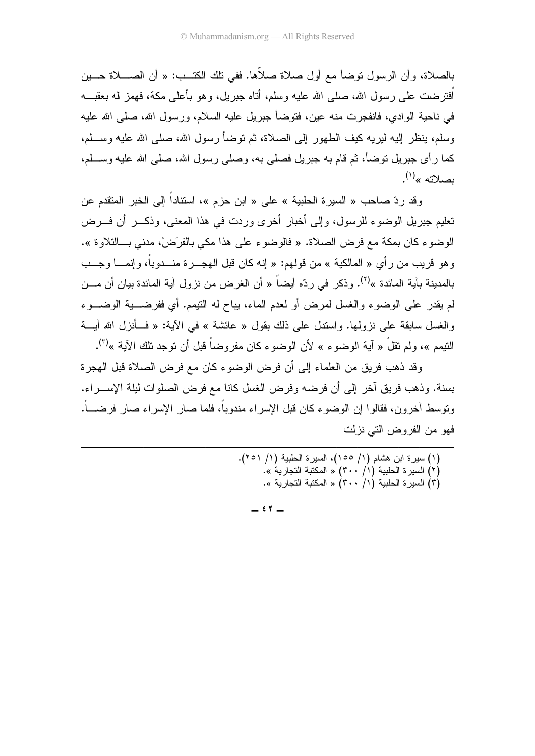بالصلاة، وأن الرسول نوضاً مع أول صلاة صلاها. ففي نلك الكنـــب: « أن الصــــلاة حــــين افترضت علـى رسول الله، صلـى الله عليه وسلم، أناه جبريل، وهو بأعلـى مكة، فهمز لـه بعقبـــه في ناحية الوادي، فانفجرت منه عين، فتوضأ جبريل عليه السلام، ورسول الله، صلبي الله عليه وسلم، ينظر إليه ليريه كيف الطهور إلى الصلاة، ثم توضأ رسول الله، صلى الله عليه وســـلم، كما رأى جبريل نوضأ، ثم قام به جبريل فصلى به، وصلى رسول الله، صلى الله عليه وســـلم، بصلاته »<sup>(۱)</sup>.

وقد ردّ صـاحب « السير ة الـحلبية » على « ابن حزم »، استناداً إلى الخبر المتقدم عن تعليم جبريل الوضوء للرسول، وإلى أخبار أخرى وردت في هذا المعنى، وذكـــر أن فــــرض الوضوء كان بمكة مع فرض الصلاة. « فالوضوء على هذا مكي بالفرَضْ، مدني بـــالتلاوة ». رهو قريب من رأي « المالكية » من قولهم: « إنه كان قبل الهجـــرة منــــدوبا، وإنمـــــا وجـــب بالمدينة بآية المائدة »<sup>(٢)</sup>. وذكر في ردّه أيضاً « أن الغرض من نزول آية المائدة بيان أن مـــن لم يقدر على الوضوء والغسل لمرض أو لعدم الماء، بباح له التيمم. أي ففرضــــية الوضــــوء رالغسل سابقة على نزولها. واستدل على ذلك بقول « عائشة » في الأية: « فـــأنزل الله أيــــة النتيمم »، ولم نقلْ « آية الوضوء » لأن الوضوء كان مفروضاً قبل أن نوجد نلك الآية »<sup>(٣)</sup>.

وقد ذهب فريق من العلماء إلى أن فرض الوضوء كان مع فرض الصلاة قبل المهجرة بسنة. وذهب فريق أخر إلى أن فرضه وفرض الغسل كانا مع فرض الصلوات لبلة الإســــراء. ونوسط أخرون، فقالوا إن الوضوء كان قبل الإسراء مندوبًا، فلما صار الإسراء صار فرضـــًا. فهو من الفر وض التي نز لت

---------------------

--------------------------------.( 5 / ) 8
G P
/ (55 / ) AB2 ! P
/ ( ) «. 8
@ 8 (» / ) 8
G P
/ ( ) «. 8
@ 8 (» / ) 8
G P
/ ( )

-

 $\epsilon$   $\tau$   $-$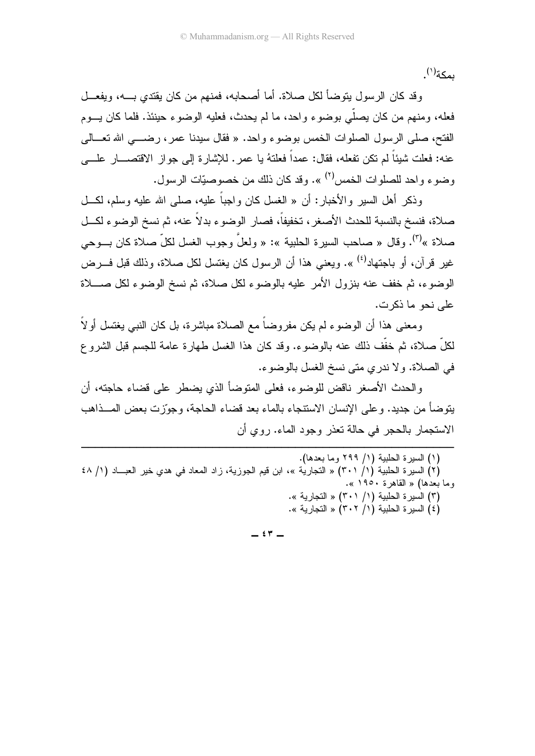ىمكة<sup>(١)</sup>.

و قد كان الر سول بِتوضأ لكل صلاة. أما أصحابه، فمنهم من كان بِقتدى بــــه، ويفعـــل فعله، ومنهم من كان يصلَّى بوضوع واحد، ما لم يحدث، فعليه الوضوع حينئذ. فلما كان يسوم الفتح، صلَّى الرسول الصلوات الخمس بوضوء واحد. « فقال سيدنا عمر، رضــــى الله تعـــالى عنه: فعلت شيئًا لم نكن نفعله، فقال: عمداً فعلنهُ يا عمرٍ. للإشارة إلى جواز الاقتصـــار علــــي وضوع واحد للصلوات الخمس<sup>(٢)</sup> ». وقد كان ذلك من خصوصيّات الرسول.

وذكر أهل السبر والأخبار : أن « الغسل كان واجباً عليه، صلى الله عليه وسلم، لكــل صلاة، فنسخ بالنسبة للحدث الأصغر ، تخفيفاً، فصار الوضوء بدلاً عنه، ثم نسخ الوضوء لكــل صلاة »<sup>(٣)</sup>. وقال « صاحب السير ة الحلبية »: « ولعلٍّ وجوب الغسل لكلٍّ صلاة كان بــوحي غير قرآن، أو باجتهاد<sup>(٤)</sup> ». وبعني هذا أن الر سول كان بغتسل لكل صلاة، وذلك قبل فــر ض الوضوء، ثم خفف عنه بنزول الأمر عليه بالوضوء لكل صلاة، ثم نسخ الوضوء لكل صـــلاة على نحو ما ذكرت.

ومعنى هذا أن الوضوء لم يكن مفروضاً مع الصلاة مباشرة، بل كان النبي يغتسل أو لاً لكلِّ صلاة، ثم خفَّف ذلك عنه بالوضوء. وقد كان هذا الغسل طهارة عامة للجسم قبل الشروع في الصلاة. ولا ندري متى نسخ الغسل بالوضوء.

والحدث الأصغر ناقض للوضوء، فعلى المتوضأ الذي بضطر على قضاء حاجته، أن يتوضأ من جديد. و على الإنسان الاستنجاء بالماء بعد فضاء الحاجة، وجورٍّ ت بعض المـــذاهب الاستجمار بالحجر في حالة نعذر وجود الماء. روى أن

(٢) السيرة الحلبية (١/ ٣٠١) « التجارية »، ابن قيم الجوزية، زاد المعاد في هدي خير العبـــاد (١/ ٤٨ وما بعدها) « القاهرة ١٩٥٠ ». (٣) السيرة الحلبية (١/ ٣٠١) « التجارية ». (٤) السيرة الحلبية (١/ ٣٠٢) « التجارية ».

 $-57-$ 

<sup>(</sup>١) السبر ة الحلبية (١/ ٢٩٩ وما بعدها).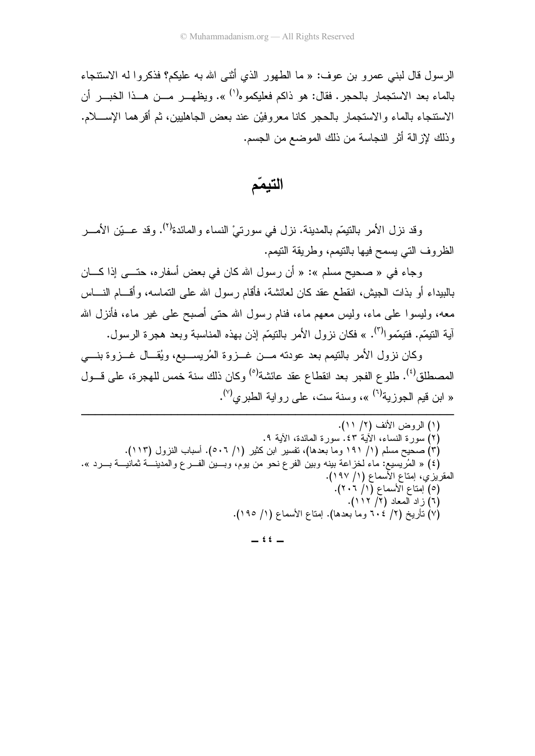الرسول قال لبني عمر و بن عوف: « ما الطهور الذي أثني الله به عليكم؟ فذكر و ا له الاستنجاء بالماء بعد الاستجمار بالحجر . فقال: هو ذاكم فعليكموه<sup>(١)</sup> ». ويظهـــر مـــن هـــذا الخبـــر أن الاستنجاء بالماء والاستجمار بالحجر كانا معروفيْن عند بعض الجاهليين، ثم أقرِّهما الإســــلام. وذلك لإزالة أثر النجاسة من ذلك الموضع من الجسم.

التيممّ

وقد نز ل الأمر بالنبِمِّم بالمدينة. نز ل في سور تيْ النساء و المائدة<sup>(٢)</sup>. وقد عـــبّن الأمـــر الظروف التي يسمح فيها بالنيمم، وطريقة النيمم.

وجاء في « صحيح مسلم »: « أن رسول الله كان في بعض أسفاره، حتـــي إذا كــــان بالبيداء أو بذات الجيش، انقطـع عقد كان لعائشـة، فأقام ر سول الله علـى النمـاسـه، و أقــــام النــــاس معه، وليسوا على ماء، وليس معهم ماء، فنام رسول الله حتى أصبح على غير ماء، فأنزل الله آية النتيمّم. فتيمّموا<sup>(٣)</sup>. » فكان نزول الأمر بالنتيمّم إذن بهذه المناسبة وبعد هجرة الرسول.

وكان نزول الأمر بالتيمم بعد عودته مـــن غـــزوة المُريســـيع، ويُقـــال غـــزوة بنــــي المصطلق<sup>(٤)</sup>. طلوع الفجر بعد انقطاع عقد عائشة<sup>(٥)</sup> وكان ذلك سنة خمس للهجرة، على قـــول « ابن قيم الجوزية<sup>(٦)</sup> »، وسنة ست، علمي رواية الطبر ي<sup>(٧)</sup>.

(١) الروض الأنف (٢/ ١١). (٢) سوَّرة النساء، الأَيةُ ٤٣. سورة المائدة، الأَية ٩. (٣) صحيح مسلم (١/ ١٩١ وما بعدها)، نفسير ابن كثير (١/ ٥٠٦). أسباب النزول (١١٣). (٤) « المُرْيِسيع: ماء لخزاعة بينه وبين الفرع نحو من يوم، وبـــين الفـــرع والمدينــــه تمانيـــة بـــرد ». المقريزي، إمتاع الأسماع (١/ ١٩٧). (٥) أِمِنَاعِ الأَسْمَاعِ (١/ ٢٠٢). (٦) ز اد المعاد (٢/ ١١٢). (٧) نَأْرِيخ (٢/ ٦٠٤ وما بعدها). إمناع الأسماع (١/ ١٩٥).

 $22 -$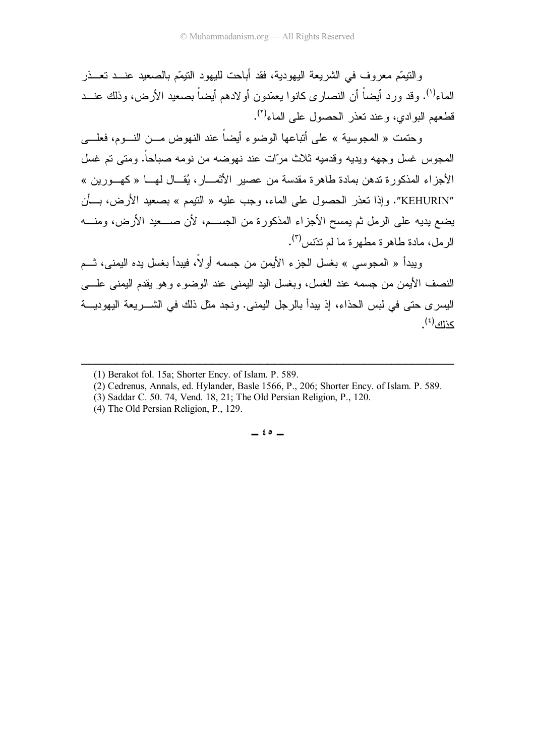والنَّبِيِّم معروف في الشريعة اليهودية، فقد أباحت لليهود النَّبِيِّم بالصعيد عنـــد تعـــذر الماء<sup>(י)</sup>. وقد ورد أيضاً أن النصارى كانوا يعمّدون أولادهم أيضاً بصعيد الأرض، وذلك عنـــد قطعهم البوادي، وعند نعذر الحصول على الماء<sup>(٢)</sup>.

وحتمت « المعوسية » على أتباعها الوضوء أيضًا عند النهوض مـــن النـــوم، فعلــــي المحوس غسل وجهه ويديه وقدميه ثلاث مرّات عند نهوضه من نومه صباحاً. ومتى تم غسل الأجزاء المذكورة ندهن بمادة طاهرة مقدسة من عصير الأثمـــار، يُقـــال لـهـــا «كـهـــورين » "KEHURIN". وإذا تعذر الحصول على الماء، وجب عليه « النيمم » بصعيد الأرض، بـــأن يضع يديه على الرمل ثم يمسح الأجزاء المذكورة من الجســم، لأن صـــعيد الأرض، ومنـــه الرمل، مادة طاهرة مطهرة ما لم تدّنس<sup>(٣)</sup>.

ويبدأ « المجوسي » بغسل الجزء الأيمن من جسمه أولا، فيبدأ بغسل يده اليمني، تـــم النصف الأيمن من جسمه عند الغسل، وبغسل اليد اليمنـي عند الوضـوء وهو يقدم اليمنـي علــــي اليسر ى حتى في لبس الحذاء، إذ ببدأ بالرجل اليمنى. ونجد مثل ذلك في الشـــــريعة اليهوديــــة كذلك<sup>(٤)</sup>.

------------------------------------

----------------

 $\epsilon \circ -$ 

<sup>-</sup>-(1) Berakot fol. 15a; Shorter Ency. of Islam. P. 589.

 <sup>(2)</sup> Cedrenus, Annals, ed. Hylander, Basle 1566, P., 206; Shorter Ency. of Islam. P. 589.

 <sup>(3)</sup> Saddar C. 50. 74, Vend. 18, 21; The Old Persian Religion, P., 120.

 <sup>(4)</sup> The Old Persian Religion, P., 129.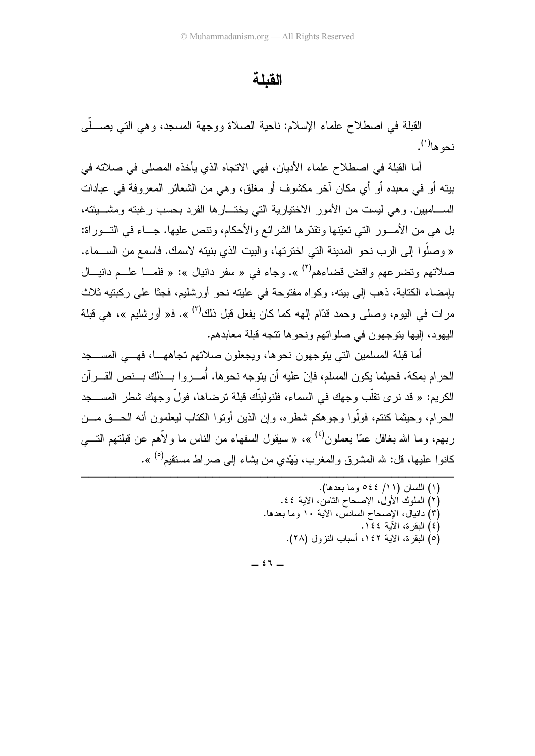#### القنلة

القبلة في اصطلاح علماء الإسلام: ناحية الصلاة ووجهة المسجد، وهي التي يصــــلـي نحو ها<sup>(۱</sup>).

أما القبلة في اصطلاح علماء الأديان، فهي الاتجاه الذي يأخذه المصلي في صلاته في بيته أو في معبده أو أي مكان آخر مكشوف أو مغلق، وهي من الشعائر المعروفة في عبادات الســــاميين. وهي ليست من الأمور الاختيارية التي يختــــارها الفرد بـحسب رغبته ومشــــبئته، بل هي من الأمـــور التي تعيّنها وتقدّر ها الشرائع والأحكام، وتتص عليها. جـــاء في التـــور اة: « وصلُّوا إلى الرب نحو المدينة التي اخترتها، والبيت الذي بنيته لاسمك. فاسمع من الســـماء. صلاتهم وتضرعهم واقض قضاءهم<sup>(٢)</sup> ». وجاء في « سفر دانيال »: « فلمـــا علـــم دانيـــال بإمضاء الكتابة، ذهب إلى بيته، وكواه مفتوحة في عليته نحو أورشليم، فجثًا على ركبتيه ثلاث مر ات في اليوم، وصلى وحمد قدّام إليهه كما كان يفعل قبل ذلك<sup>(٣)</sup> ». ف« أور شليم »، هي قبلة اليهود، إليها يتوجهون في صلواتهم ونحوها تتجه قبلة معابدهم.

أما قبلة المسلمين التبي بتوجهون نحوها، ويجعلون صلاتهم تجاههــا، فهـــي المســـجد الحرام بمكة. فحيثما يكون المسلم، فإنّ عليه أن يتوجه نحوها. أُمـــروا بـــذلك بـــنص القـــرآن الكريم: « قد نر ي تقلُّبٍ وجهك في السماء، فلنولينِّك قبلة تر ضاها، فولَّ وجهك شطر المســـجد الحر ام، و حيثما كنتم، فولُّو ا و جو هكم شطر ه، و إن الذين أو تو ا الكتاب ليعلمو ن أنه الحـــق مـــن ربهم، وما الله بغافل عمّا بعملون<sup>(٤)</sup> »، « سبقول السفهاء من الناس ما و لأهم عن قبلتهم التـــي كانو ا عليها، قل: لله المشر ق و المغر ب، يَهْدي من بِشاء إلى صر اط مستقيم<sup>(٥)</sup> ».

- (١) اللسان (١١/ ٤٤٥ وما بعدها).
- (٢) الملوك الأول، الإصحاح الثامن، الأية ٤٤.
- (٣) دانيال، الإصحاح السادس، الأية ١٠ وما بعدها.
	- (٤) اللقرة، الآية ٤٤١.
	- (٥) البقر ة، الآبة ١٤٢، أسباب النز ول (٢٨).

 $55 -$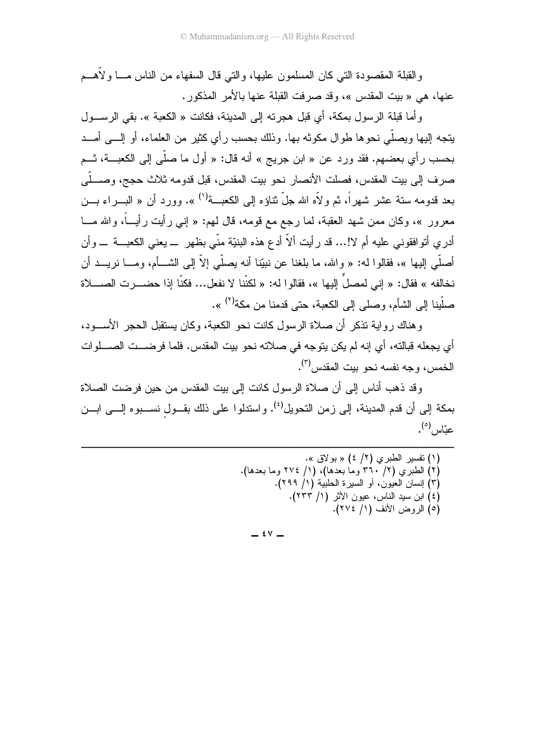والقبلة المقصودة التي كان المسلمون عليها، والتي قال السفهاء من الناس مـــا ولأهـــم عنها، هي « بيت المقدس »، وقد صرفت القبلة عنها بالأمر المذكور .

وأما قبلة الرسول بمكة، أي قبل هجرته إلى المدينة، فكانت « الكعبة ». بقى الرسـول يتجه إليها ويصلَّى نحوها طوال مكونه بها. وذلك بحسب رأي كثير من العلماء، أو إلـــي أمـــد بحسب رأي بعضهم. فقد ورد عن « ابن جريج » أنه قال: « أول ما صلَّى إلى الكعبـــة، شــم صرف إلى بيت المقدس، فصلت الأنصار نحو بيت المقدس، قبل قدومه ثلاث حجج، وصــــلّـى بعد قدومه سنة عشر شهراً، ثم ولأه الله جلَّ ثناؤه إلى الكعبــة<sup>(١)</sup> ». وورد أن « البـــراء بـــن معرور »، وكان ممن شهد العقبة، لما رجع مع قومه، قال لمم: « اِنبي رأيت رأيـــاً، والله مـــا أدري أنو افقوني عليه أم لا!... قد رأيت ألاّ أدع هذه البنيّة منّى بظهر ــ يعني الكعبـــة ـــ وأن أصلَّى الِيها »، فقالوا له: « والله، ما بلغنا عن نبيِّنا أنه يصلَّى إلاَّ إلى الشـــأم، ومـــا نريـــد أن نخالفه » فقال: « إني لمصلٍّ إليها »، فقالو ا له: « لكنّنا لا نفعل... فكنّا إذا حضـــرت الصــــلاة صلَّينا إلى الشأم، وصلى إلى الكعبة، حتى قدمنا من مكة<sup>(٢)</sup> ».

و هناك ر و اية تذكر أن صلاة الر سول كانت نحو الكعبة، وكان يستقبل الحجر الأســـود، أي يجعله قبالته، أي إنه لم يكن يتوجه في صلاته نحو بيت المقدس. فلما فرضـــت الصــــلوات الخمس، وجه نفسه نحو بيت المقدس<sup>(٣)</sup>.

و قد ذهب أناس إلى أن صلاة الرسول كانت إلى بيت المقدس من حين فر ضت الصلاة بمكة إلى أن قدم المدينة، إلى زمن التحويل<sup>(٤)</sup>. واستدلوا على ذلك بقــول نســـبوه إلـــي ابـــن عبّاس<sup>(٥)</sup>.

| (۱) نفسير الطبري (۲/ ٤) « بولاق ».                 |
|----------------------------------------------------|
| (٢) الطبري (٢/ ٣٦٠ وما بعدها)، (١/ ٢٧٤ وما بعدها). |
| (٣) إنسان العيون، أو السيرة الحلبية (١/ ٢٩٩).      |
| (٤) ابن سيد الناس، عيون الأثر (١/ ٢٣٣).            |
| (٥) الروض الأنف (١/ ٢٧٤).                          |

 $\mathfrak{g} \vee -$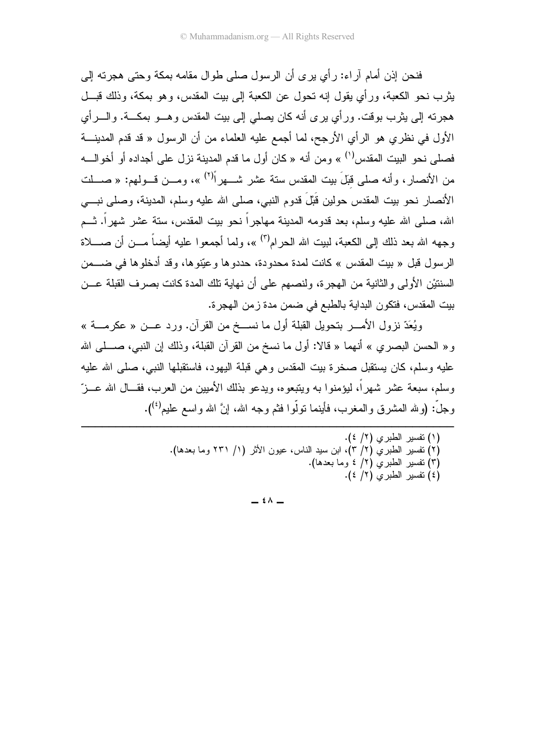فنحن إذن أمام آر اء: ر أي ير ي أن الر سول صلبي طو ال مقامه بمكة وحتى هجر ته إلى يثر ب نحو الكعبة، ور أي يقول إنه تحول عن الكعبة إلى بيت المقدس، و هو بمكة، وذلك قبــل هجرته إلى بِثرب بوقت. ورأى برى أنه كان بصلبي إلى بيت المقدس و هـــو بمكـــة. و الـــرأى الأول في نظري هو الرأي الأرجح، لما أجمع عليه العلماء من أن الرسول « قد قدم المدينــــة فصلى نحو البيت المقدس'') » ومن أنه « كان أول ما قدم المدينة نزل على أجداده أو أخوالــــه من الأنصار، وأنه صلى قبلَ بيت المقدس ستة عشر شـــهراً<sup>(٢)</sup> »، ومـــن قـــولـهم: « صـــلت الأنصار نحو بيت المقدس حولين قَبْلَ قدوم النبي، صلى الله عليه وسلم، المدينة، وصلى نبـــي الله، صلَّى الله عليه وسلَّم، بعد قدومه المدينة مهاجر أ نحو بيت المقدس، ستة عشر شهر أ. شـم وجهه الله بعد ذلك إلى الكعبة، لبيت الله الحر ام<sup>(٢)</sup> »، ولما أجمعو ا عليه أيضاً مـــن أن صــــلاة الر سول قبل « بيت المقدس » كانت لمدة محدودة، حددو ها و عبّنو ها، وقد أدخلو ها في ضــــمن السنتيْن الأولى والثانية من الهجرة، ولنصبهم على أن نهاية تلك المدة كانت بصرف القبلة عـــن بيت المقدس، فتكون البداية بالطبع في ضمن مدة زمن الهجرة.

ويُعَدّ نزول الأمــــر بتحويل القبلة أول ما نســـخ من القرآن. ورد عـــن « عكرمــــة » و « الحسن البصري » أنهما « قالا: أول ما نسخ من القرآن القبلة، وذلك إن النبي، صــــلـى الله عليه وسلم، كان يستقبل صخرة بيت المقدس وهي قبلة اليهود، فاستقبلها النبي، صلى الله عليه وسلم، سبعة عشر شهر أ، لبؤمنوا به وبتبعوه، وبدعو بذلك الأمبين من العرب، فقـــال الله عـــز ّ و جلَّ: (و لله المشر ق و المغر ب، فأينما نو لَّو ا فثم و جه الله، إنَّ الله و اسع عليم<sup>(٤)</sup>).

- (٢) تفسير الطبر ي (٢/ ٣)، ابن سيد الناس، عيون الأثر (١/ ٢٣١ وما بعدها).
	- (٣) نفسير الطبري (٢/ ٤ وما بعدها).
		- (٤) نفسير الطبرى (٢/ ٤).

 $\stackrel{\frown}{\wedge}$   $-$ 

<sup>(</sup>١) نفسير الطبري (٢/ ٤).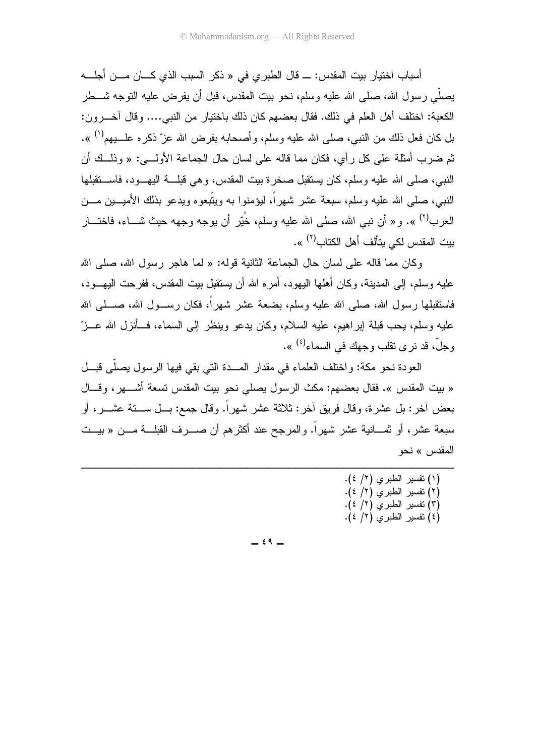أسباب اختيار بيت المقدس: ـــ قال الطبر ي في « ذكر السبب الذي كــــان مــــن أجلــــه يصلِّي ر سول الله، صلى الله عليه وسلم، نحو بيت المقدس، قبل أن يفر ض عليه النوجه شـــطر الكعبة: اختلف أهل العلم في ذلك. فقال بعضهم كان ذلك باختيار من النبي.... وقال آخـــرون: بل كان فعل ذلك من النبي، صلى الله عليه وسلم، وأصحابه بفرض الله عزّ ذكره علــــبيم<sup>(١)</sup> ». ثم ضرب أمثلة على كل رأى، فكان مما قاله على لسان حال الجماعة الأولـــي: « وذلـــك أن النبي، صلَّى الله عليه وسلَّم، كان يستقبل صخرة بيت المقدس، وهي قبلـــة اليهـــود، فاســـتقبلها النبي، صلَّى الله عليه وسلَّم، سبعة عشر شهراً، ليؤمنوا به ويتَّبعوه ويدعو بذلك الأميـــين مـــن العرب<sup>(٢)</sup> ». و « أن نبي الله، صلى الله عليه وسلم، خُيّر أن يوجه وجهه حيث شـــاء، فاختـــار بيت المقدس لكي يتألف أهل الكتاب<sup>(٢)</sup> ».

وكان مما قاله على لسان حال الجماعة الثانية قوله: « لما هاجر رسول الله، صلى الله عليه وسلم، إلى المدينة، وكان أهلها اليهود، أمر ه الله أن يستقبل بيت المقدس، ففر حت اليهــود، فاستقبلها رسول الله، صلى الله عليه وسلم، بضعة عشر شهراً، فكان رســـول الله، صــــلـي الله عليه وسلم، يحب قبلة إبراهيم، عليه السلام، وكان يدعو وينظر إلى السماء، فسأنزل الله عـــزّ وجلَّ، قد نر ي نقلب وجهك في السماء<sup>(٤)</sup> ».

العودة نحو مكة: واختلف العلماء في مقدار المسدة التي بقي فيها الرسول بصلَّى فبسل « بيت المقدس ». فقال بعضهم: مكث الرسول يصلى نحو بيت المقدس تسعة أشــــهر، وقـــال بعض أخر : بل عشر ة، وقال فريق أخر : ثلاثة عشر شهر أ. وقال جمع: بـــل ســـتة عشـــر ، أو سبعة عشر ، أو ثمـــانية عشر شهر أ. والمرجح عند أكثر هم أن صــــرف القبلـــة مـــن « بيـــت المقدس » نحو

> (١) تفسير الطبرى (٢/ ٤). (٢) تفسير الطبري (٢/ ٤). (٣) نفسير الطبري (٢/ ٤). (٤) نفسير الطبرى (٢/ ٤).

 $\epsilon$  9  $-$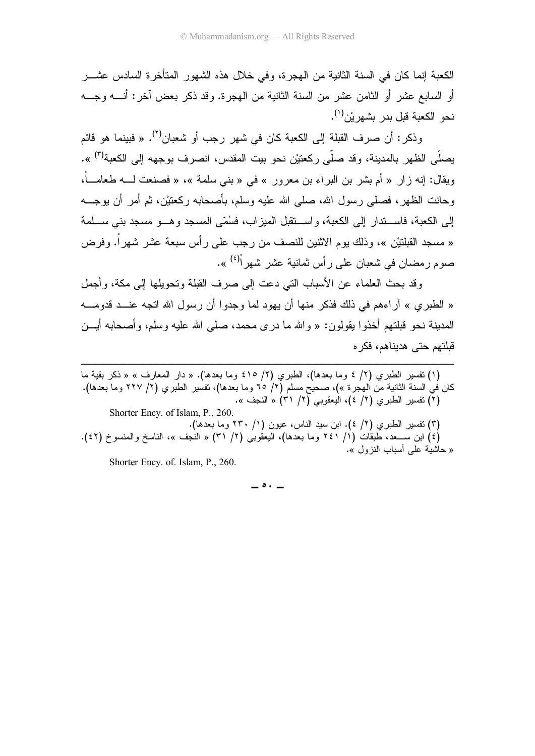الكعبة إنما كان في السنة الثانية من الـهجرة، وفي خلال هذه الشهور المتأخرة السادس عشـــر أو السابع عشر أو الثامن عشر من السنة الثانية من الـهجرة. وقد ذكر بعض أخر : أنــــه وجــــه نحو الكعبة قبل بدر بشهريْن<sup>(י)</sup>.

وذكر : أن صرف القبلة إلى الكعبة كان في شهر رجب أو شعبان<sup>(٢)</sup>. « فبينما هو قائم بصلَّى الظهر بالمدينة، وقد صلَّى ركعتيْن نحو بيت المقدس، انصرف بوجهه إلى الكعبة<sup>(٣)</sup> ». ويقال: إنه زار « أم بشر بن البراء بن معرور » في « بني سلمة »، « فصنعت لــــه طعامـــا، وحانت الظهر، فصلَّى رسول الله، صلَّى الله عليه وسلَّم، بأصحابه ركعتيْن، ثم أمر أن يوجـــه إلى الكعبة، فاســـندار إلـى الكعبة، واســـنقبل الميزاب، فسُمّـى المسجد وهـــو مسجد بنـي ســـلمة « مسجد القبلتيْن »، وذلك يوم الاثنين للنصف من رجب على ر أس سبعة عشر شهر أ. وفرض صوم رمضان في شعبان على رأس ثمانية عشر شهراً<sup>(٤)</sup> ».

وقد بحث العلماء عن الأسباب التي دعت إلى صرف القبلة وتحويلها إلى مكة، وأجمل « الطبري » أراءهم في ذلك فذكر منها أن يهود لما وجدوا أن رسول الله اتجه عنـــد قدومــــه المدينة نـحو قبلتـهم أخذوا بقولون: « والله ما درى مـحمد، صلـي الله عليه وسلم، وأصـحابـه أيـــن قبلتهم حتى هديناهم، فكر ه

------------------------------------------------------(١) تفسير الطبري (٢/ ٤ وما بعدها)، الطبري (٢/ ٤١٥ وما بعدها). « دار المعارف » « ذكر بقية ما " كان في السنة الثانية من الهجرة »)، صحيح مسلم (٢/ ٦٥ وما بعدها)، تفسير الطبري (٢/ ٢٢٧ وما بعدها). «. O@( (» / ) \$. /0( ) 
/' ( ) Shorter Ency. of Islam, P., 260. (٣) نفسير الطبري (٢/ ٤). ابن سيد الناس، عيون (١/ ٢٣٠ وما بعدها). (٤) ابن ســـعد، طبقات (١/ ٢٤١ وما بـعدها)، اليعقوبي (٢/ ٣١) « النجف »، الناسخ والمنسوخ (٤٢). « حاشية على أسباب النزول ». Shorter Ency. of. Islam, P., 260.

 $\circ \cdot$   $-$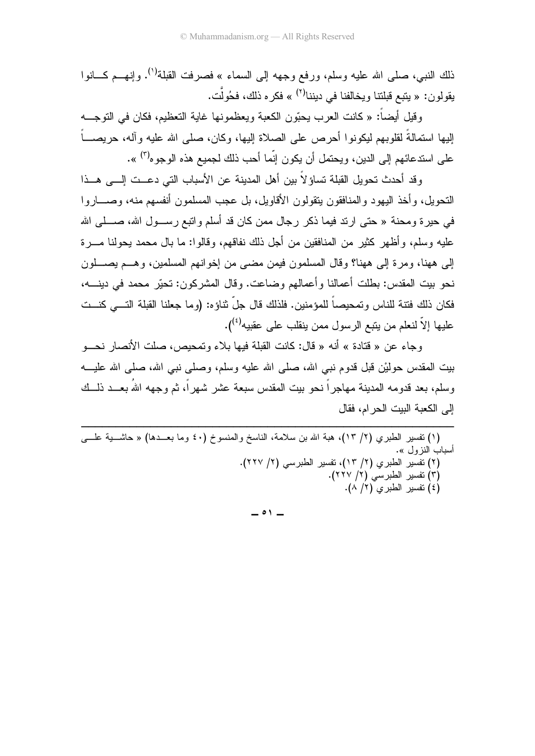ذلك النبي، صلَّى الله عليه وسلَّم، ورفع وجهه إلى السماء » فصرفت القبلة<sup>(١)</sup>. وإنهـــم كـــانوا يقولون: « يتبع قبلتنا ويخالفنا في ديننا<sup>(٢)</sup> » فكره ذلك، فحُولًت.

وقيل أيضاً: « كانت العرب يحبّون الكعبة ويعظمونها غاية التعظيم، فكان في التوجـــه إليها استمالةً لقلوبهم ليكونوا أحرص على الصلاة إليها، وكان، صلى الله عليه وآله، حريصـــاً على استدعائهم إلى الدين، ويحتمل أن يكون إنَّما أحب ذلك لجميع هذه الوجوه<sup>(٣)</sup> ».

و قد أحدث تحويل القبلة تساؤ لاً بين أهل المدينة عن الأسباب التي دعــت إلـــي هــذا النحويل، وأخذ اليهود والمنافقون بتقولون الأقاويل، بل عجب المسلمون أنفسهم منه، وصــــار وا في حير ة ومحنة « حتى ارتد فيما ذكر ر جال ممن كان قد أسلم وانتبع ر ســـول الله، صــــلـي الله عليه وسلم، وأظهر كثير من المنافقين من أجل ذلك نفاقهم، وقالوا: ما بال محمد يحولنا مــــرة إلى ههنا، ومر ة إلى ههنا؟ وقال المسلمون فيمن مضبي من إخوانهم المسلمين، وهــم بصـــلون نحو بيت المقدس: بطلت أعمالنا وأعمالهم وضاعت. وقال المشركون: تحيَّر محمد في دينــــه، فكان ذلك فتنة للناس وتمحيصاً للمؤمنين. فلذلك قال جلِّ ثناؤه: (وما جعلنا القبلة التـــي كنـــت عليها إلاّ لنعلم من يتبع الرسول ممن ينقلب على عقبيه<sup>(٤)</sup>).

وجاء عن « قتادة » أنه « قال: كانت القبلة فيها بلاء وتمحيص، صلت الأنصار نحـــو بيت المقدس حوليْن قبل قدوم نبي الله، صلى الله عليه وسلم، وصلى نبي الله، صلى الله عليـــه وسلم، بعد قدومه المدبنة مهاجر أ نحو ببت المقدس سبعة عشر شهر أ، ثم وجهه اللهُ بعــد ذلــك إلى الكعبة البيت الحر ام، فقال

(١) نفسير الطبري (٢/ ١٣)، هبة الله بن سلامة، الناسخ والمنسوخ (٤٠ وما بعــدها) « حاشــــية علــــي أسباب النز ول ». (٢) تفسير الطبري (٢/ ١٣)، تفسير الطبرسي (٢/ ٢٢٧). (۳) تفسیر الطبرسی (۲/ ۲۲۷).  $\left(\lambda / 7\right)$  تفسير الطبرى (١/ ٨).

 $\overline{\phantom{0}}$   $\circ$   $\overline{\phantom{0}}$   $\overline{\phantom{0}}$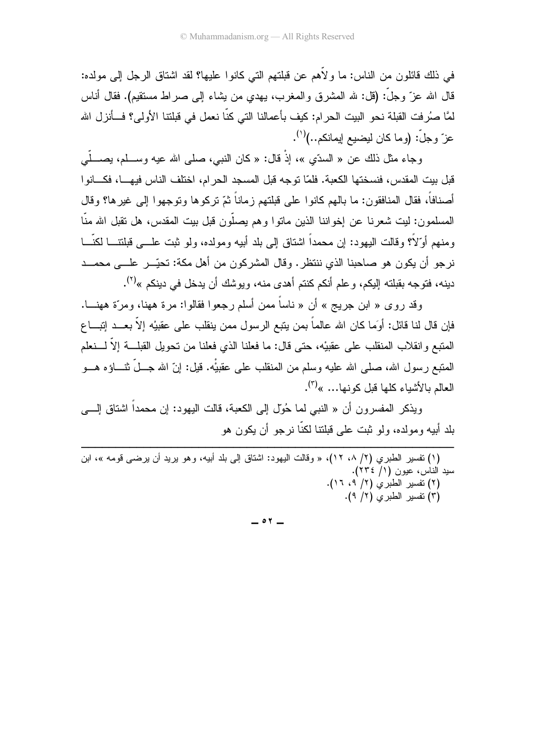في ذلك فائلون من الناس: ما و لأهم عن قبلتهم التي كانوا عليها؟ لقد اشتاق الر جل إلى مولده: قال الله عزَّ وجلَّ: (قل: لله المشرق والمغرب، يهدي من بشاء إلى صراط مستقيم). فقال أناس لمَّا صُرِفت القبلة نحو البيت الحرام: كيف بأعمالنا التي كنَّا نعمل في قبلتنا الأولى؟ فــأنزل الله عزّ وجلّ: (وما كان ليضيع إيمانكم..)<sup>(١)</sup>.

وجاء مثل ذلك عن « السدّي »، إذْ قال: « كان النبي، صلى الله عيه وســـلم، بصـــلّـي قبل بيت المقدس، فنسختها الكعبة. فلمّا توجه قبل المسجد الحرام، اختلف الناس فيهـــا، فكـــانو ا أصنافاً، فقال المنافقون: ما بالـهم كانوا علـى قبلتهم زماناً ثمّ نركوها ونوجهوا إلـى غيرها؟ وقال المسلمون: ليت شعرنا عن إخواننا الذين ماتوا وهم يصلُّون قبل بيت المقدس، هل تقبل الله منَّا ومنهم أوِّلاً؟ وقالت اليهود: إن محمداً اشتاق إلى بلد أبيه ومولده، ولو ثبت علـــي قبلتنـــا لكنّـــا نرجو أن يكون هو صاحبنا الذي ننتظر. وقال المشركون من أهل مكة: تحيّــر علـــي محمـــد دينه، فتوجه بقبلته إليكم، وعلم أنكم كنتم أهدى منه، ويوشك أن يدخل في دينكم »<sup>(٢)</sup>.

وقد روى « ابن جريج » أن « ناساً ممن أسلم رجعوا فقالوا: مرة ههنا، ومرّة ههنـــا. فإن قال لنا قائل: أوَما كان الله عالماً بمن يتبع الرسول ممن ينقلب على عقبيْه إلاَّ بعـــد إنبــــاع المتبع وانقلاب المنقلب على عقبيْه، حتى قال: ما فعلنا الذي فعلنا من نحويل القبلـــة إلاَّ لــــنعلم المتبع رسول الله، صلى الله عليه وسلم من المنقلب على عقبيّْه. قيل: إنّ الله جــلّ نثـــاؤه هـــو العالم بالأشياء كلها قبل كونها... »<sup>(٣)</sup>.

ويذكر المفسر ون أن « النبي لما حُوّل إلى الكعبة، قالت اليهود: إن محمداً اشتاق إلــــي بلد أبيه ومولده، ولو ثبت علي قبلتنا لكنَّا نر جو أن يكون هو

(١) نفسير الطبري (٢/ ٨، ١٢)، « وقالت اليهود: اشتاق إلى بلد أبيه، وهو يريد أن يرضي قومه »، ابن سيد الناس، عيون (١/ ٢٣٤). (٢) نفسير الطبري (٢/ ٩، ١٦).

(٣) نفسير الطبري (٢/ ٩).

 $\circ$   $\circ$   $-$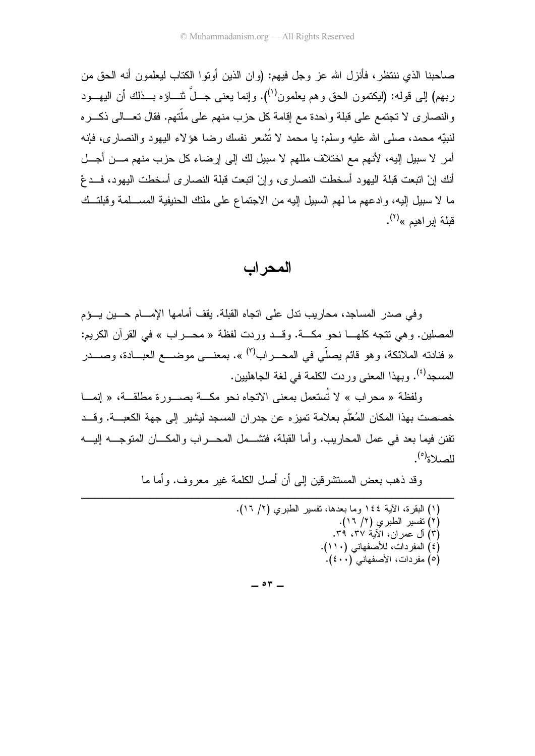صاحبنا الذي ننتظر ، فأنزل الله عز وجل فيهم: (و ان الذين أو تو ا الكتاب ليعلمو ن أنه الحق من ربهم) إلى قوله: (ليكتمون الحق وهم يعلمون<sup>(י)</sup>). وإنما يعني جـــلّ نثــــاؤه بـــذلك أن اليهـــود والنصاري لا تجتمع على قبلة واحدة مع إقامة كل حزب منهم على ملَّتهم. فقال تعـــالـي ذكـــره لنبيّه محمد، صلَّى الله عليه وسلَّم: يا محمد لا نُشعر نفسك رضا هؤلاء اليهود والنصارى، فإنه أمر لا سبيل إليه، لأنهم مع اختلاف مللهم لا سبيل لك إلى إرضاء كل حزب منهم مـــن أجـــل أنك إنْ اتبعت قبلة اليهود أسخطت النصار ى، وإنْ اتبعت قبلة النصار ى أسخطت اليهود، فــدعْ ما لا سبيل إليه، وادعهم ما لهم السبيل إليه من الاجتماع على ملتك الحنيفية المســـلمة وقبلتــك قبلة ابر اهبم »<sup>(۲)</sup>.

المحراب

وفي صدر المساجد، محاريب ندل على اتجاه القبلة. يقف أمامها الإمسام حسين يسؤم المصلين. وهي نتجه كلهـا نحو مكــة. وقــد وردت لفظة « محــراب » في القرآن الكريم: « فنادته الملائكة، وهو قائم يصلّي في المحــــراب<sup>(٣)</sup> ». بمعنـــــي موضـــــع العبــــادة، وصـــــدر المسجد<sup>(٤)</sup>. وبهذا المعنى وردت الكلمة في لغة الجاهليين.

ولفظة « محراب » لا تُستعمل بمعنى الاتجاه نحو مكــة بصـــورة مطلقــة، « إنمـــا خصصت بهذا المكان المُعْلَم بعلامة تميز ه عن جدر ان المسجد ليشير إلى جهة الكعبـــة. و قـــد تفنن فيما بعد في عمل المحار بب. و أما القبلة، فتشـــمل المحـــر اب و المكـــان المتو جــــه البــــه  $\lim_{k \to \infty}$ 

وقد ذهب يعض المستشر قين الى أن أصل الكلمة غير معروف. وأما ما

| (١) البقرة، الأية ١٤٤ وما بعدها، نفسير الطبري (٢/ ١٦). |
|--------------------------------------------------------|
| (۲) تفسير الطبري (۲/ ۱۲).                              |
| (٣) ال عمران، الأية ٣٧، ٣٩.                            |
| (٤) المفردات، للأصفهاني (١١٠).                         |
| (٥) مفردات، الأصفهاني (٤٠٠).                           |
|                                                        |

 $\circ$   $\cdot$   $-$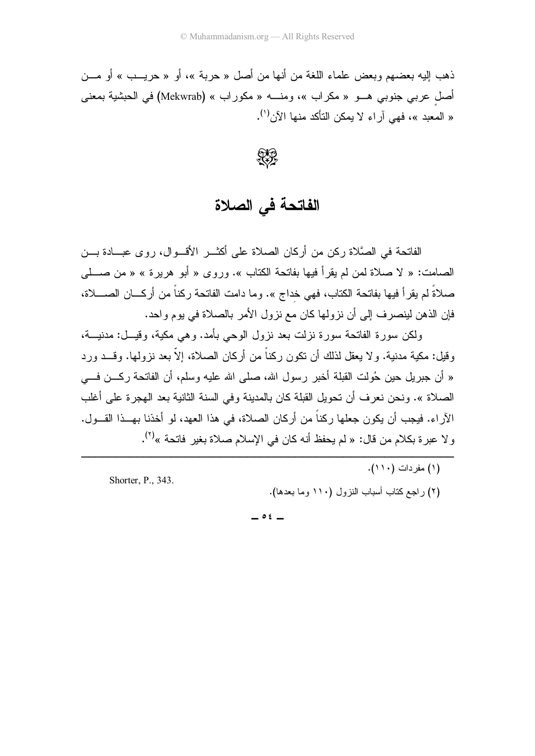ذهب إليه بعضهم وبعض علماء اللغة من أنها من أصل « حربة »، أو « حربـب » أو مـــن أصل عربي جنوبي هـو « مكراب »، ومنـــه « مكوراب » (Mekwrab) في الحبشية بمعنى « المعبد »، فهي أر اء لا بمكن التأكد منها الآن<sup>(י)</sup>.

SS

الفاتحة في الصلاة

الفاتحة في الصَّلاة ركن من أركان الصلاة على أكثــر الأقــوال، روى عبـــادة بـــن الصامت: « لا صلاة لمن لم يقرأ فيها بفاتحة الكتاب ». وروى « أبو هريرة » « من صـــلـي صلاةً لم يقرأ فيها بفاتحة الكتاب، فهي خداج ». وما دامت الفاتحة ركناً من أركـــان الصــــلاة، فإن الذهن لينصرف إلى أن نزولها كان مع نزول الأمر بالصلاة في يوم واحد.

ولكن سورة الفاتحة سورة نزلت بعد نزول الوحى بأمد. وهي مكية، وقيـــل: مدنيــــة، وقيل: مكية مدنية. ولا يعقل لذلك أن نكون ركناً من أركان الصلاة، إلاّ بعد نزولها. وقـــد ورد « أن جبريل حين حُولت القبلة أخبر رسول الله، صلى الله عليه وسلم، أن الفاتحة ركـــن فــــى الصلاة ». ونحن نعرف أن تحويل القبلة كان بالمدينة وفي السنة الثانية بعد الهجرة على أغلب الآر اء. فبجب أن بكون جعلها ركناً من أركان الصلاة، في هذا العهد، لو أخذنا بهــذا القــول. و لا عبر ة بكلام من قال: « لم بحفظ أنه كان في الإسلام صلاة بغبر فاتحة »<sup>(٢)</sup>.

> (١) مفر دات (١١٠). (٢) راجع كتاب أسباب النزول (١١٠ وما بعدها).

 $\circ$   $\epsilon$   $-$ 

Shorter, P., 343.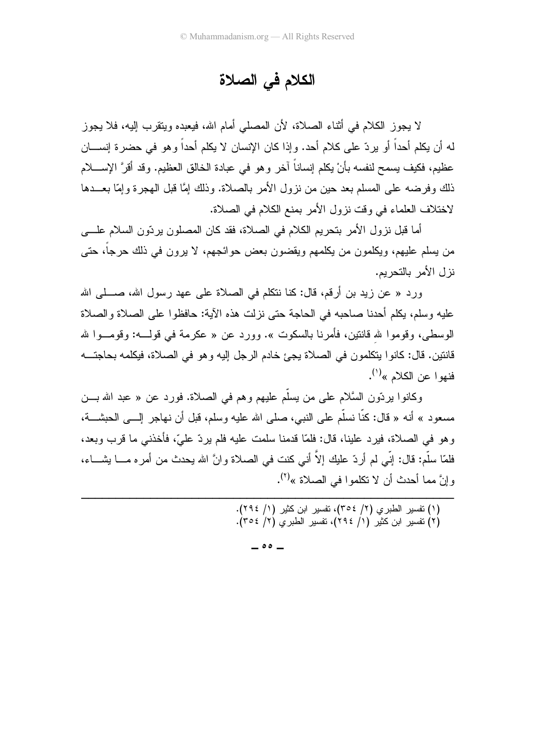# الكلام في الصلاة

لا يجوز الكلام في أثناء الصلاة، لأن المصلى أمام الله، فيعبده وينقرب إليه، فلا يجوز له أن يكلم أحداً أو ير دّ علي كلام أحد. وإذا كان الإنسان لا يكلم أحداً و هو في حضر ة إنســـان عظيم، فكيف يسمح لنفسه بأنْ يكلم إنساناً آخر وهو في عبادة الخالق العظيم. وقد أقرَّ الإســــلام ذلك وفرضه على المسلم بعد حين من نزول الأمر بالصلاة. وذلك إمَّا قبل المهجرة وإمَّا بعـــدها لاختلاف العلماء في وقت نزول الأمر بمنع الكلام في الصلاة.

أما قبل نز ول الأمر بتحريم الكلام في الصلاة، فقد كان المصلون بر دّون السلام علــــى من يسلم عليهم، ويكلمون من يكلمهم ويقضون بعض حوائجهم، لا يرون في ذلك حرجا، حتى نز ل الأمر بالتحر يم.

ورد « عن زيد بن أرقم، قال: كنا نتكلَّم في الصلاة على عهد رسول الله، صــــلـي الله عليه وسلم، يكلِّم أحدنا صاحبه في الحاجة حتى نزلت هذه الآية: حافظوا على الصلاة والصلاة الوسطى، وقوموا لله قانتين، فأمرنا بالسكوت ». وورد عن « عكرمة في قولــــه: وقومــــوا لله قانتين. قال: كانوا بنكلمون في الصلاة يجئ خادم الرجل إليه وهو في الصلاة، فيكلمه بحاجتـــه فنهو ا عن الكلام »<sup>(۱)</sup>.

وكانوا برِدَّون السَّلام على من يسلَّم عليهم وهم في الصلاة. فورد عن « عبد الله بـــن مسعود » أنه « قال: كنَّا نسلَّم على النبي، صلى الله عليه وسلم، قبل أن نـهاجر ٳلــــى الـحبشــــة، و هو في الصلاة، فير د علينا، قال: فلمّا قدمنا سلمت عليه فلم ير دّ عليّ، فأخذني ما قر ب وبعد، فلمّا سلَّم: قال: إنِّي لم أر دّ عليك إلاّ أني كنت في الصلاة و انَّ الله بِحدث من أمر ه مـــا بِشـــاء، وإنَّ مما أحدث أن لا تكلموا في الصلاة »<sup>(٢)</sup>.

(۱) نفسیر الطبری (۲/ ۳۰٤)، نفسیر ابن کثیر (۱/ ۲۹٤).<br>(۲) نفسیر ابن کثیر (۱/ ۲۹٤)، نفسیر الطبری (۲/ ۳۰٤).

 $\sim$  00  $-$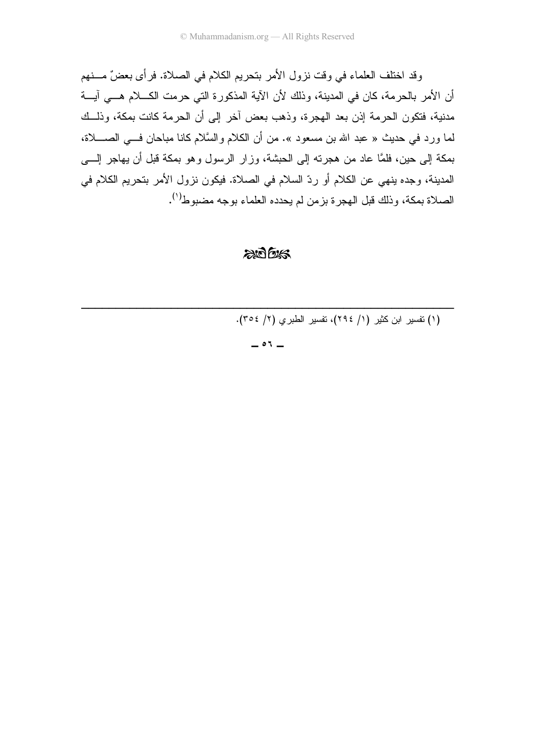وقد اختلف العلماء في وقت نزول الأمر بتحريم الكلام في الصلاة. فرأى بعضٌ مـــنهم أن الأمر بالحرمة، كان في المدينة، وذلك لأن الآية المذكورة التي حرمت الكـــلام هـــي آيـــة مدنية، فتكون الحرمة إذن بعد الهجرة، وذهب بعض أخر إلى أن الحرمة كانت بمكة، وذلــك لما ورد في حديث « عبد الله بن مسعود ». من أن الكلام والسَّلام كانا مباحان فـــي الصـــــلاة، بمكة إلى حين، فلمَّا عاد من هجرته إلى الحبشة، وزار الرسول وهو بمكة قبل أن يهاجر إلــــى المدينة، وجده ينهي عن الكلام أو ردّ السلام في الصلاة. فيكون نزول الأمر بتحريم الكلام في الصلاة بمكة، وذلك قبل الهجرة بزمن لم يحدده العلماء بوجه مضبوط(').

#### $2075/5$

(١) تفسير ابن كثير (١/ ٢٩٤)، تفسير الطبرى (٢/ ٣٥٤).

 $-01 -$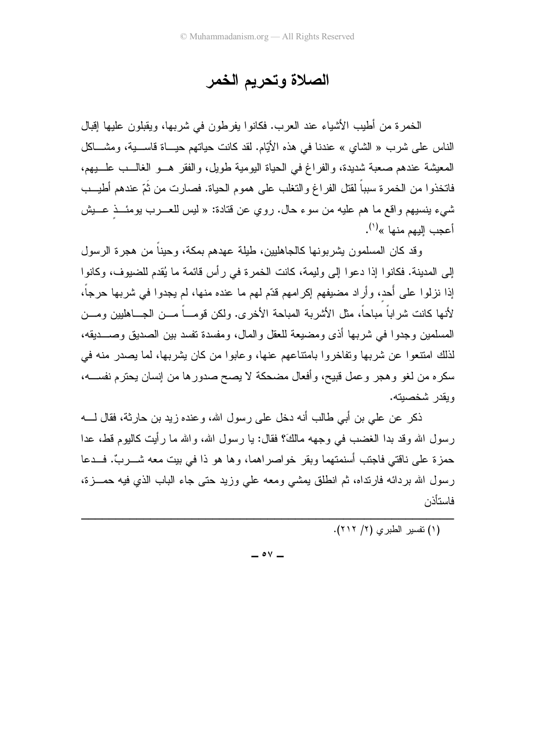# الصلاة وتحريم الخمر

الخمرة من أطيب الأشياء عند العرب. فكانوا يفرطون في شربها، ويقبلون عليها إقبال الناس على شرب « الشاي » عندنا في هذه الأيّام. لقد كانت حياتهم حيــاة قاســـية، ومشـــاكل المعيشة عندهم صعبة شديدة، والفراغ في الحياة اليومية طويل، والفقر هـو الغالــب علـــبهم، فاتخذوا من الخمرة سبباً لقتل الفراغ والتغلب على هموم الحياة. فصارت من ثُمّ عندهم أطيــب شيء بنسيهم واقع ما هم عليه من سوء حال. روى عن قتادة: « ليس للعـــرب بومئـــذ عـــبش أعجب اليهم منها »<sup>(י)</sup>.

وقد كان المسلمون يشربونها كالجاهليين، طَيلة عهدهم بمكة، وحينا من هجرة الرسول إلى المدينة. فكانوا إذا دعوا إلى وليمة، كانت الخمرة في رأس قائمة ما يُقدم للضيوف، وكانوا إذا نزلوا على أَحد، وأراد مضيفهم إكرامهم قدّم لهم ما عنده منها، لم يجدوا في شربها حرجاً، لأنها كانت شر اباً مباحاً، مثل الأشربة المباحة الأخر ي. ولكن قومـــاً مـــن الجـــاهليين ومـــن المسلمين وجدوا في شربها أذى ومضيعة للعقل والمال، ومفسدة نفسد بين الصديق وصـــديقه، لذلك امتنعوا عن شربها وتفاخروا بامتناعهم عنها، وعابوا من كان يشربها، لما يصدر منه في سكره من لغو وهجر وعمل قبيح، وأفعال مضحكة لا يصح صدورها من إنسان يحترم نفســـه، ويقدر شخصيته.

ذكر ٍ عن علي بن أبي طالبٍ أنه دخلٍ علي رسول الله، و عنده زيد بن حارثة، فقال لــــه رسول الله وقد بدا الغضب في وجهه مالكَ؟ فقال: يا رسول الله، والله ما رأيت كالبوم قط، عدا حمز ة على ناقتي فاجتب أسنمتهما وبقر خو اصر اهما، و ها هو ذا في بيت معه شـــر بٍّ. فـــدعا رسول الله بردائه فارتداه، ثم انطلق بمشى ومعه على وزيد حتى جاء الباب الذي فيه حمـــزة، فاستأذن

(۱) تفسير الطبرى (۲/ ۲۱۲).

 $\circ$   $\vee$   $-$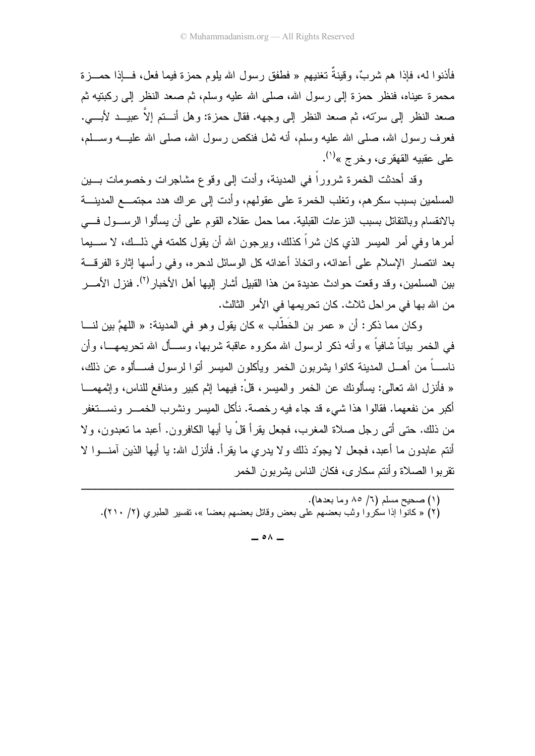فأذنو! له، فإذا هم شربٌ، وقينةٌ تغنيهم « فطفق رسول الله يلوم حمزة فيما فعل، فـــإذا حمـــزة محمرة عيناه، فنظر حمزة إلى رسول الله، صلى الله عليه وسلم، ثم صعد النظر إلى ركبتيه ثم صعد النظر إلى سرَّته، ثم صعد النظر إلى وجهه. فقال حمزة: وهل أنــــنم إلاَّ عبيـــد لأبــــي. .<br>فعرف رسول الله، صلَّى الله عليه وسلَّم، أنه ثمل فنكص رسول الله، صلَّى الله عليـــه وســـلم، على عقبيه القهقري، وخرج »<sup>(١)</sup>.

وقد أحدثت الخمرة شروراً في المدينة، وأدت إلى وقوع مشاجرات وخصومات بـــين المسلمين بسبب سكرهم، ونغلب الخمرة على عقولهم، وأدت إلى عراك هدد مجتمـــع المدينــــة بالانقسام وبالنقاتل بسبب النزعات القبلية. مما حمل عقلاء القوم على أن يسألوا الرســـول فــــي أمر ها وفي أمر الميسر الذي كان شراً كذلك، ويرجون الله أن يقول كلمته في ذلــك، لا ســـبِما بعد انتصار الإسلام على أعدائه، واتخاذ أعدائه كل الوسائل لدحره، وفي رأسها إثارة الفرقـــة بين المسلمين، وقد وقعت حوادث عديدة من هذا القبيل أشار إليها أهل الأخبار<sup>(٢)</sup>. فنزل الأمـــــر من الله بها في مراحل ثلاث. كان تحريمها في الأمر الثالث.

وكان مما ذكر : أن « عمر بن الخَطَّاب » كان يقول وهو في المدينة: « اللهمَّ بين لنـــا في الخمر بياناً شافياً » وأنه ذكر لرسول الله مكروه عاقبة شربها، وســأل الله تحري*م*هـــا، وأن ناســـاً من أهـــل المدينة كانوا يشربون الخمر ويأكلون الميسر أنوا لرسول فســـألوه عن ذلك، « فأنزل الله تعالى: بسألونك عن الخمر والمبسر ، قلْ: فبهما إثم كبير ومنافع للناس، وإثمهمـــا أكبر من نفعهما. فقالو ا هذا شبيء قد جاء فيه ر خصة. نأكل الميسر ونشر ب الخمـــر ونســـتغفر من ذلك. حتى أتى ر جل صلاة المغرب، فجعل بقر أ قلْ يا أيها الكافر ون. أعبد ما تعبدون، و لا أنتم عابدون ما أعبد، فجعل لا يجوِّد ذلك ولا يدري ما يقرأ. فأنزل الله: يا أيها الذين آمنـــوا لا نقر بو ا الصـلاة و أنتم سكار ي، فكان النـاس بشر بو ن الـخمر

 $\circ \wedge$   $-$ 

<sup>(</sup>۱) صحيح مسلم (٦/ ٨٥ وما بعدها). (٢) « كانوًّا إذا سكَّروا وثب بعضهم على بعض وقاتل بعضهم بعضاً »، تفسير الطبري (٢/ ٢١٠).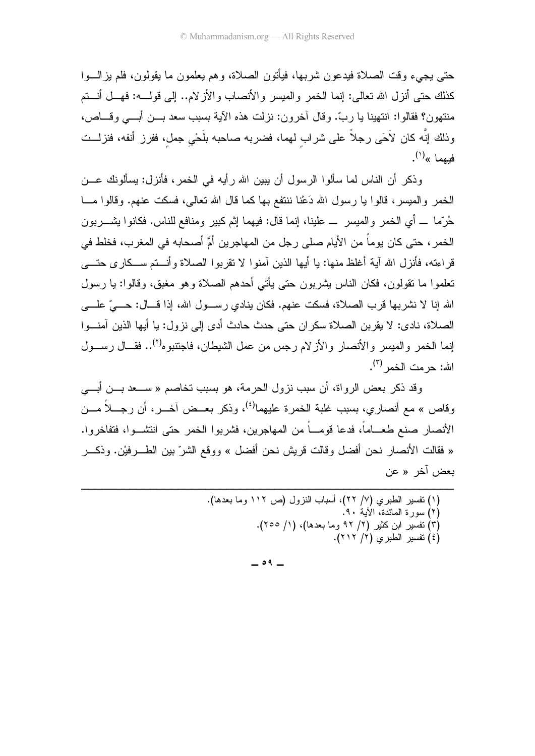حتى يجيء وقت الصلاة فيدعون شربها، فيأتون الصلاة، و هم يعلمون ما يقولون، فلم يز السوا كذلك حتى أنزل الله تعالى: إنما الخمر والميسر والأنصاب والأز لام.. إلى قولـــه: فهــل أنــتم منتهون؟ فقالوا: انتهينا يا ربَّ. وقال أخرون: نزلت هذه الآية بسبب سعد بـــن أبــــي وقــــاص، وذلك إنَّه كان لأحَى رجلاً على شراب لهما، فضربه صاحبه بلَحْي جمل، ففرز أنفه، فنزلــت فيهما » $^{(')}$ .

وذكر أن الناس لما سألوا الرسول أن يبين الله رأيه في الخمر ، فأنزل: يسألونك عـــن الخمر والميسر، قالوا يا رسول الله دَعْنا ننتفع بها كما قال الله تعالى، فسكت عنهم. وقالوا مـــا حُرَّما \_ أي الخمر والميسر \_ علينا، إنما قال: فيهما إثم كبير ومنافع للناس. فكانوا يشــــربون الخمر ، حتى كان يوماً من الأيام صلى رجل من المهاجرين أمَّ أصحابه في المغرب، فخلط في قر اءته، فأنزل الله آبة أغلظ منها: با أبها الذين آمنوا لا تقربوا الصلاة وأنستم سبكار ي حتَّـــي تعلموا ما نقولون، فكان الناس بِشربون حتى بِأتي أحدهم الصلاة وهو مغبق، وقالوا: يا رسول الله إنا لا نشربها قرب الصلاة، فسكت عنهم. فكان ينادي رســـول الله، إذا قـــال: حــــيّ علــــي الصلاة، نادي: لا يقربن الصلاة سكران حتى حدث حادث أدى إلى نزول: يا أيها الذين آمنـــوا إنما الخمر والميسر والأنصار والأزلام رجس من عمل الشيطان، فاجتنبوه<sup>(٢)</sup>.. فقـــال رســـول الله: حر مت الخمر <sup>(٣)</sup>.

و قد ذكر بعض الرواة، أن سبب نزول الحرمة، هو بسبب تخاصم « ســعد بـــن أبـــي وقاص » مع أنصار ي، بسبب غلبة الخمر ة عليهما<sup>(٤)</sup>، وذكر بعــض آخــر ، أن ر جـــلاً مـــن الأنصار صنع طعـــاماً، فدعا قومـــاً من المهاجرين، فشربوا الخمر حتى انتشـــوا، فتفاخروا. « فقالت الأنصـار نـحن أفضـل وقالت قريش نـحن أفضـل » ووقـع الشرّ بين الطــــرفيْن. وذكــــر بعض آخر « عن

> (١) تفسير الطبري (٧/ ٢٢)، أسباب النزول (ص ١١٢ وما بعدها). (٢) سورة المائدة، الآية ٩٠. (٣) نفسير ابن كثير (٢/ ٩٢ وما بعدها)، (١/ ٢٥٥). (٤) تفسير الطبرى (٢/ ٢١٢).

> > $\circ$  9  $-$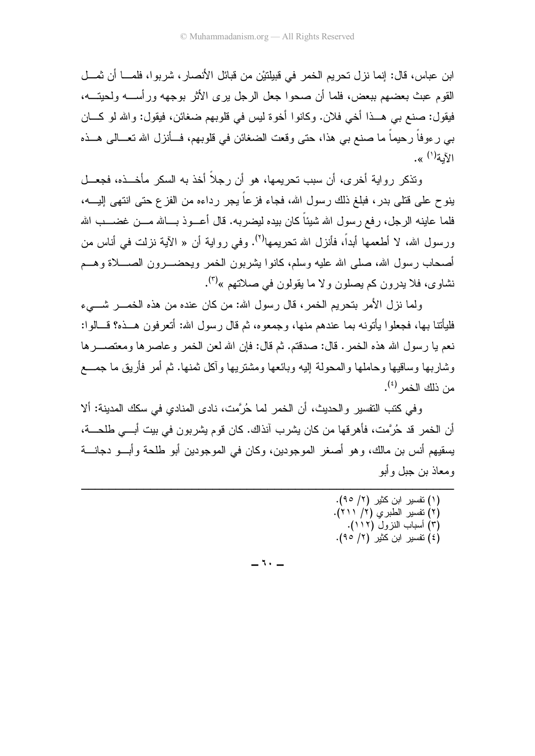ابن عباس، قال: إنما نز ل تحريم الخمر ً في قبيلتيْن من قبائل الأنصار ، شر بو ا، فلمـــا أن ثمـــل القوم عبث بعضهم ببعض، فلما أن صحوا جعل الرجل برى الأثر بوجهه ور أســـه ولحيتـــه، فيقول: صنع بي هـــذا أخي فلان. وكانوا أخوة ليس في قلوبهم ضغائن، فيقول: والله لو كـــان بي ر ءوفاً رحيماً ما صنع بي هذا، حتى وقعت الضغائن في قلوبهم، فـــأنزل الله تعـــالي هـــذه الآمة<sup>(۱)</sup> ».

وتذكر رواية أخرى، أن سبب تحريمها، هو أن رجلاً أخذ به السكر مأخـــذه، فجعـــل ينوح على قتلي بدر ، فبلغ ذلك رسول الله، فجاء فزعاً يجر رداءه من الفزع حتى انتهى إليــــه، فلما عاينه الر جل، ر فع ر سول الله شيئاً كان بيده ليضر به. قال أعـــو ذ بـــالله مــــن غضــــب الله ورسول الله، لا أطعمها أبداً، فأنزل الله تحريمها<sup>(٢)</sup>. وفي رواية أن « الآية نزلت في أناس من أصحاب رسول الله، صلَّى الله عليه وسلَّم، كانوا يشربون الخمر ويحضــــرون الصــــلاة وهـــم نشاوي، فلا يدرون كم يصلون ولا ما يقولون في صلاتهم »<sup>(٣)</sup>.

ولما نزل الأمر بتحريم الخمر، قال رسول الله: من كان عنده من هذه الخمـــر شــــىء فليأننا بها، فجعلوا يأتونه بما عندهم منها، وجمعوه، ثم قال رسول الله: أتعرفون هـــذه؟ قـــالوا: نعم يا رسول الله هذه الخمر . قال: صدقتم. ثم قال: فإن الله لعن الخمر وعاصرها ومعتصــــرها وشاربها وساقيها وحاملها والمحولة إليه وبائعها ومشتريها وأكل ثمنها. ثم أمر فأريق ما جمـــع من ذلك الخمر <sup>(٤)</sup>.

و في كتب التفسير والحديث، أن الخمر لما حُرَّمت، نادي المنادي في سكك المدينة: ألا أن الخمر قد حُر َّمت، فأهر قها من كان بِشر بِ آنذاك. كان قوم بِشر بو ن في بيت أبـــي طلحـــة، يسقيهم أنس بن مالك، وهو أصغر الموجودين، وكان في الموجودين أبو طلحة وأبـــو دجانــــة و معاذ بن جبل و أبو

> (١) تفسير ابن كثير (٢/ ٩٥). (٢) تفسير الطبرى (٢/ ٢١١). (٣) أسباب النزول (١١٢). (٤) تفسير ابن كثير (٢/ ٩٥).

\_ ヽ・\_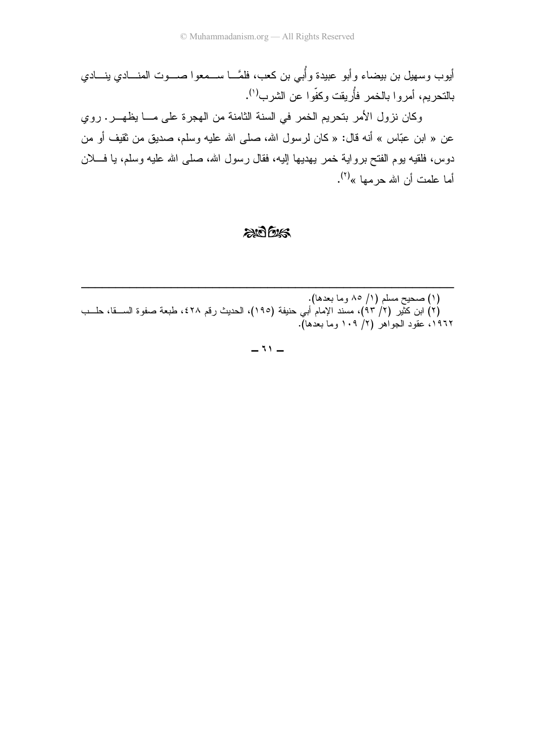أيوب وسهيل بن بيضاء وأبو عبيدة وأُبي بن كعب، فلمَّـــا ســـمعوا صــــوت المنــــادي ينــــادي بالنحريم، أمروا بالخمر فأُريقت وكفّوا عن الشرب<sup>(י)</sup>.

وكان نزول الأمر بتحريم الخمر في السنة الثامنة من الهجرة على مـــا يظهـــر. روي عن « ابن عبّاس » أنه قال: « كان لرسول الله، صلى الله عليه وسلم، صديقٍ من ثقيف أو من دوس، فلقيه بوم الفتح برواية خمر يهديها إليه، فقال رسول الله، صلَّى الله عليه وسلَّم، يا فــــلان أما علمت أن الله حرمها »<sup>(۲)</sup>.

#### ad bus

(۱) صحيح مسلم (۱/ ۸۵ وما بعدها). (٢) ابن كثَّير (٢/ ٩٣)، مسند الإمام أبي حنيفة (١٩٥)، الحديث رقم ٤٢٨، طبعة صفوة الســـقا، حلـــب ١٩٦٢، عقود الجواهر (٢/ ١٠٩ وما بعدها).

 $-11 -$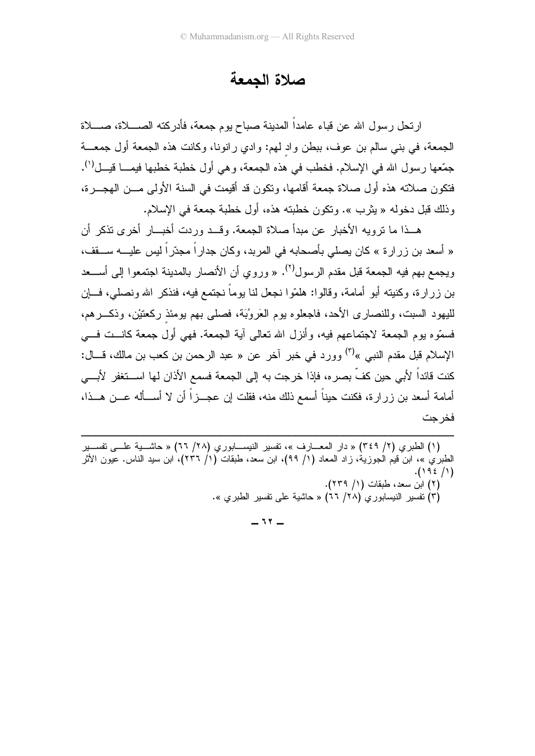### صلاة الحمعة

ارتحل رسول الله عن قباء عامداً المدينة صباح يوم جمعة، فأدركته الصــــلاة، صــــلاة الجمعة، في بني سالم بن عوف، ببطن واد لهم: وادي رانونا، وكانت هذه الجمعة أول جمعـــة جمّعها رسول الله في الإسلام. فخطب في هذه الجمعة، وهي أول خطبة خطبها فيمـــا قيـــل('). فتكون صلاته هذه أول صلاة جمعة أقامها، وتكون قد أقيمت في السنة الأولى مـــن الهجـــرة، وذلك قبل دخوله « بِثر ب ». وتكون خطبته هذه، أول خطبة جمعة في الإسلام.

هــذا ما نرويه الأخبار عن مبدأ صلاة الجمعة. وقــد وردت أخبـــار أخر ي نذكر أن « أسعد بن زِرِ ارة » كان بصلى بأصحابه في المربد، وكان جدارٍ اً مجدّرٍ اً ليس عليـــه ســـقف، ويجمع بهم فيه الجمعة قبل مقدم الرسول<sup>(٢)</sup>. « وروى أن الأنصار بالمدينة اجتمعوا إلى أســـعد بن ز ر ار ة، وكنيته أبو أمامة، وقالوا: هلمّوا نجعل لنا يوماً نجتمع فيه، فنذكر الله ونصلي، فـــان لليهود السبت، وللنصاري الأحد، فاجعلوه بوم العَروُبَة، فصلَّى بهم بومئذ ركعتيْن، وذكـــرهم، فسمَّوه بوم الجمعة لاجتماعهم فيه، وأنزل الله تعالى آية الجمعة. فهي أول جمعة كانـــت فـــي الإسلام قبل مقدم النبي »<sup>(٣)</sup> وورد في خبر آخر عن « عبد الرحمن بن كعب بن مالك، قـــال: كنت قائداً لأبي حين كفٍّ بصر ه، فإذا خرجت به إلى الجمعة فسمع الأذان لها اســـتغفر الأبـــي أمامة أسعد بن ز ر ار ة، فكنت حيناً أسمع ذلك منه، فقلت إن عجـــز اً أن لا أســـأله عـــن هـــذا، فخر حت

(١) الطبري (٢/ ٣٤٩) « دار المعــــارف »، نفسير النيســــابوري (٢٨/ ٦٦) « حاشــــية علــــي نفســـير الطبريُّ »، ابن قيم الجوزية، زاد المعاد (١/ ٩٩)، ابن سعد، طبقات (١/ ٢٣٦)، ابن سيد الناس. عيون الأثر  $. (192/1)$ (٢) ابن سعد، طبقات (١/ ٢٣٩). (٣) تفسير النيسابوري (٢٨/ ٦٦) « حاشية على تفسير الطيري ».

 $-11 -$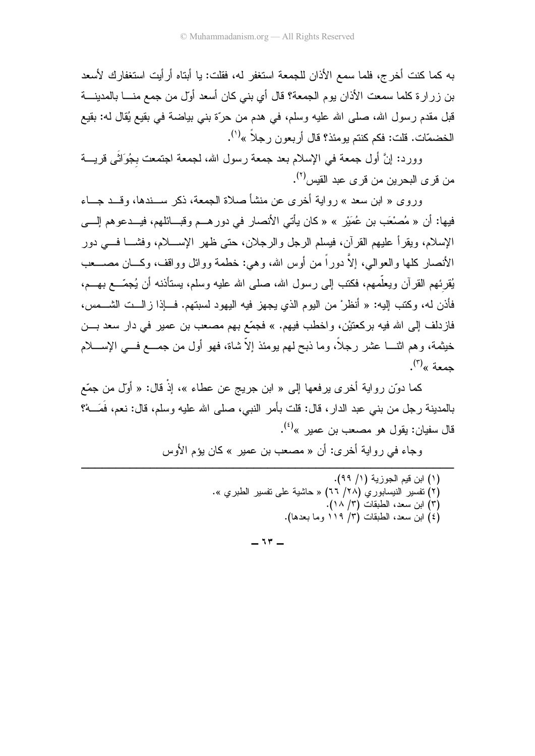به كما كنت أخر ج، فلما سمع الأذان للجمعة استغفر له، فقلت: يا أبتاه أر أيت استغفار ك لأسعد بن زرارة كلما سمعت الأذان يوم الجمعة؟ قال أي بني كان أسعد أوّل من جمع منـــا بالمدينـــة قبل مقدم رسول الله، صلَّى الله عليه وسلَّم، في هدم من حرَّة بني بياضة في بقيع يُقال له: بقيع الخضمّات. قلت: فكم كنتم يومئذ؟ قال أربعون رجلاً »<sup>(י)</sup>.

وورد: إنَّ أول جمعة في الإسلام بعد جمعة رسول الله، لجمعة اجتمعت بجُوَاتًى قريــــة من قر ي البحر بن من قر ي عبد القيس<sup>(٢)</sup>.

وروى « ابن سعد » روابة أخرى عن منشأ صلاة الجمعة، ذكر ســندها، وقــد جــاء فيها: أن « مُصنْعَبٍ بن عُمَيْرٍ » « كان يأتي الأنصار في دور هــم و قبـــائلهم، فيــدعو هم إلـــي الإسلام، ويقرأ عليهم القرآن، فيسلم الرجل والرجلان، حتى ظهر الإســــلام، وفشــــا فــــى دور الأنصار -كلها و العو البي، إلاَّ دور أ من أوس الله، و هي: خطمة وو ائل وو اقف، وكسان مصـــعب يُقرِئهم القرآن ويعلّمهم، فكتب إلى رسول الله، صلى الله عليه وسلم، يستأذنه أن يُجمّـــع بهـــم، فأذن له، وكتب إليه: « أنظرْ من اليوم الذي يجهز فيه اليهود لسبتهم. فـــإذا زالـــت الشـــمس، فازدلف إلى الله فيه بركعتيْن، واخطب فيهم. » فجمّع بهم مصـعب بن عمير في دار سعد بـــن خيثمة، وهم اثنــــا عشر رجلًا، وما ذبح لمهم بومئذ إلاّ شاة، فهو أول من جمــــع فــــى الإســــلام حمعة »<sup>(۳)</sup>.

كما دوّن رواية أخرى يرفعها إلى « ابن جريج عن عطاء »، إذْ قال: « أوّل من جمّع بالمدينة ر جل من بنبي عبد الدار ، قال: قلت بأمر النبي، صلبي الله عليه وسلم، قال: نعم، فَمَـــهْ؟ قال سفيان: بقوال هو مصـعب بن عمبر »<sup>(٤)</sup>.

وجاء في رواية أخرى: أن « مصعب بن عمير » كان يؤم الأوس

(١) ابن قيم الجوزية (١/ ٩٩). (٢) نفسير النيسابوري (٢٨/ ٦٦) « حاشية على نفسبر الطبر ي ». (٣) ابن سعد، الطبقات (٣/ ١٨). (٤) ابن سعد، الطبقات (٣/ ١١٩ وما بعدها).

 $-17 -$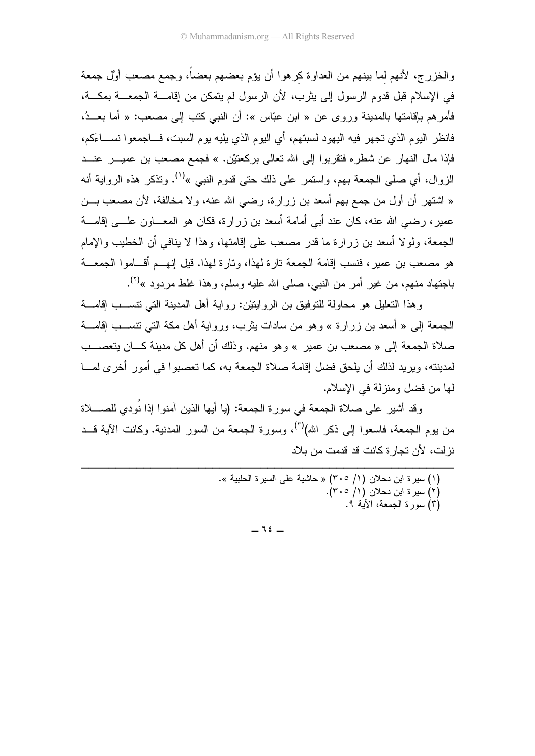والخزرج، لأنهم لما بينهم من العداوة كرهوا أن يؤم بعضهم بعضاً، وجمع مصعب أوَّل جمعة في الإسلام قبل قدوم الرسول إلى بِثرب، لأن الرسول لم يتمكن من إقامــــة الجمعـــة بمكـــة، فأمر هم بإقامتها بالمدينة وروى عن « ابن عبّاس »: أن النبي كتب إلى مصعب: « أما بعـــدُ، فانظر اليوم الذي تجهر فيه اليهود لسبتهم، أي اليوم الذي يليه يوم السبت، فـــاجمعوا نســــاءَكم، فإذا مال النهار عن شطره فتقربوا إلى الله نعالى بركعتيْن. » فجمع مصعب بن عميــــر عنــــد الزوال، أي صلَّى الجمعة بهم، واستمر على ذلك حتى قدوم النبي »<sup>(י)</sup>. وتذكر هذه الرواية أنه « اشتهر أن أول من جمع بهم أسعد بن زرارة، رضي الله عنه، ولا مخالفة، لأن مصعب بـــن عمير ، رضبي الله عنه، كان عند أبي أمامة أسعد بن ز ر ار ة، فكان هو المعـــاو ن علــــى إقامــــة الجمعة، ولو لا أسعد بن ز ر ار ة ما قدر ًمصعب على إقامتها، و هذا لا بنافي أن الخطيب و الإمام هو مصعب بن عمير ، فنسب إقامة الجمعة تار ة لهذا، وتار ة لهذا. قبل إنهــم أقــاموا الجمعــة باجتهاد منهم، من غير أمر من النبي، صلى الله عليه وسلم، وهذا غلط مردود »<sup>(٢)</sup>.

وهذا التعليل هو محاولة للتوفيق بن الروايتيْن: رواية أهل المدينة التي نتســب إقامـــة الجمعة إلى « أسعد بن زرارة » وهو من سادات بثرب، ورواية أهل مكة التي تتســـب إقامــــة صلاة الجمعة إلى « مصعب بن عمير » وهو منهم. وذلك أن أهل كل مدينة كـــان يتعصــــب لمدينته، ويريد لذلك أن يلحق فضل إقامة صلاة الجمعة به، كما تعصبوا في أمور أخرى لمسا لما من فضل ومنزلة في الإسلام.

وقد أشيرٍ على صلاة الجمعة في سور ة الجمعة: (يا أيها الذين آمنوا إذا نُودي للصــــلاة من بوم الجمعة، فاسعو ا إلى ذكر الله)<sup>(٣)</sup>، وسورة الجمعة من السور المدنية. وكانت الآية قــد نز لت، لأن تجار ة كانت قد قدمت من بلاد

> (١) سيرة ابن دحلان (١/ ٣٠٥) « حاشية على السيرة الحلبية ». (۲) سيرة ابن دحلان (۱/ ٢٠٥). (٣) سورة الجمعة، الآية ٩.

> > $-11 =$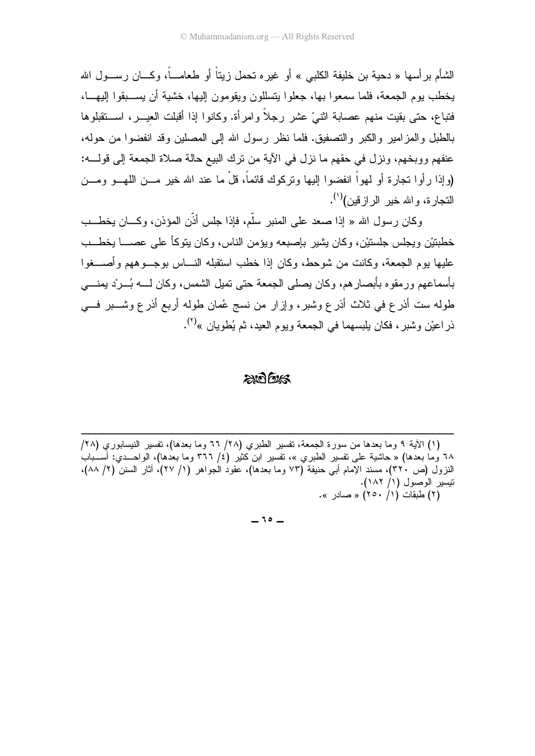الشَّام بر أسها « دحية بن خليفة الكلبي » أو غير ه تحمل زيتاً أو طعامـــاً، و كـــان ر ســـول الله يخطب يوم الجمعة، فلما سمعوا بها، جعلوا يتسللون ويقومون إليها، خشية أن يســبقوا إليهـــا، فتباع، حتى بقيت منهم عصابة اثنىْ عشر رجلاً وامرأة. وكانوا إذا أقبلت العيــــر، اســــتقبلوها بالطبل والمزامير والكبر والتصفيق. فلما نظر رسول الله إلى المصلين وقد انفضوا من حوله، عنفهم ووبخهم، ونزل في حقهم ما نزل في الآية من نرك البيع حالة صلاة الجمعة إلى فولــــه: (وإذا رأوا نجارة أو لمهواً انفضوا إليها ونركوك قائماً، قلْ ما عند الله خير مـــن اللهـــو ومـــن التجار ة، و الله خبر الر از قبن)<sup>(۱)</sup>.

وكان رسول الله « إذا صعد على المنبر سلَّم، فإذا جلس أذَّن المؤذن، وكـــان بخطــب خطبتيْن ويجلس جلستيْن، وكان بشير بإصبعه ويؤمن الناس، وكان يتوكَّأ على عصــــا يخطـــب عليها بوم الجمعة، وكانت من شوحط، وكان إذا خطب استقبله النساس بوجب وههم وأصبحوا بأسماعهم ور مقو ہ بأبصار هم، وكان بصلى الجمعة حتى تمبل الشمس، وكان لـــه بُــر ْد بمنــــى طوله ست أذرع في ثلاث أذرع وشبر، وإزار من نسج عُمان طوله أربع أذرع وشــــبر فــــي ذراعيْن وشبر، فكان يلبسهما في الجمعة ويوم العيد، ثم يُطويان »<sup>(٢)</sup>.

#### $200%$

(١) الأية ٩ وما بعدها من سورة الجمعة، نفسير الطبري (٢٨/ ٦٦ وما بعدها)، نفسير النيسابوري (٢٨/ ٦٨ وما بعدها) « حاشية على نفسير الطبري »، نفسير ابن كثير (٤/ ٣٦٦ وما بعدها)، الواحــدي: أســـباب النزول (ص ٣٢٠)، مسند الإمام أبي حنيفة (٧٣ وما بعدها)، عقود الجواهر (١/ ٢٧)، أثار السنن (٢/ ٨٨)، نيسير الوصول (١/ ١٨٢). (٢) طبقات (١/ ٢٥٠) « صادر ».

 $-10-$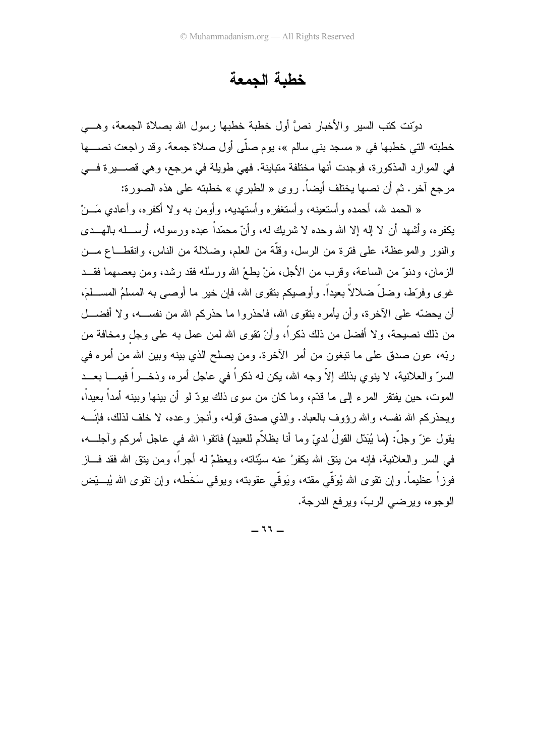# خطبة الجمعة

دوّنت كتب السير والأخبار نصَّ أول خطبة خطبها رسول الله بصلاة الجمعة، وهـــي خطبته التي خطبها في « مسجد بني سالم »، يوم صلَّى أول صلاة جمعة. وقد ر اجعت نصب ا في الموارد المذكورة، فوجدت أنها مختلفة متباينة. فهي طويلة في مرجع، وهي قصــــيرة فـــي مرجع آخر . ثم أن نصها يختلف أيضاً. روى « الطبري » خطبته على هذه الصورة:

« الحمد لله، أحمده وأستعينه، وأستغفر ه وأستهديه، وأو من به ولا أكفره، وأعادى مَـــنْ يكفره، وأشهد أن لا إله إلا الله وحده لا شريك له، وأنّ محمّداً عبده ورسوله، أرســـله بالهـــدى والنور والموعظة، على فترة من الرسل، وقلَّة من العلم، وضلالة من الناس، وانقطـــاع مـــن الزمان، ودنوٌ من الساعة، وقرب من الأجل، مَنْ بطعْ الله ورسُله فقد رشد، ومن يعصهما فقــد غوى وفرّط، وضلَّ ضلالاً بعيداً. وأوصيكم بنقوى الله، فإن خير ما أوصى به المسلمُ المســـلمَ، أن يحضَّه على الأخرة، وأن يأمره بنقوى الله، فاحذروا ما حذركم الله من نفســه، ولا أفضـــل من ذلك نصيحة، ولا أفضل من ذلك ذكراً، وأنّ نقوى الله لمن عمل به على وجل ومخافة من ربّه، عون صدق على ما نبغون من أمر الأخرة. ومن يصلح الذي بينه وبين الله من أمره في السرِّ والعلانية، لا ينوي بذلك إلاَّ وجه الله، يكن له ذكراً في عاجل أمره، وذخـــراً فيمــــا بعـــد الموت، حين يفتقر المرء إلى ما قدَّم، وما كان من سوى ذلك يودّ لو أن بينها وبينه أمداً بعيداً، ويحذركم الله نفسه، والله رؤوف بالعباد. والذي صدق قوله، وأنجز وعده، لا خلف لذلك، فإنَّـــه يقول عزّ وجلّ: (ما يُبَدّل القولُ لدىٍّ وما أنا بظلاّم للعبيد) فاتقوا الله في عاجل أمركم وآجلـــه، في السر والعلانية، فإنه من بنق الله يكفرْ عنه سيِّئاته، ويعظمْ له أجراً، ومن بنق الله فقد فـــاز فوزاً عظيماً. وإن نقوى الله يُوَقّى مقته، ويَوقّى عقوبته، ويوقى سَخَطه، وإن نقوى الله يُبــــتِّض الوجو ه، وبر ضبي الربّ، وبر فع الدرجة.

 $-11 -$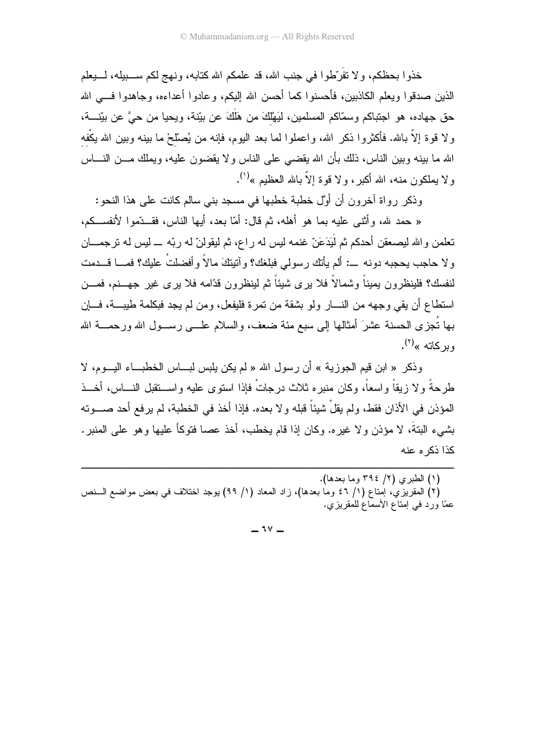خذوا بحظكم، ولا نقُرَّطوا في جنب الله، قد علمكم الله كتابه، ونهج لكم ســـــبيله، لـــــبعلم الذين صدقوا ويعلم الكاذبين، فأحسنوا كما أحسن الله إليكم، و عادوا أعداءه، و جاهدوا فـــى الله حق جهاده، هو اجتباكم وسمَّاكم المسلمين، لَيَهْلُكَ من هَلَكَ عن بيّنة، ويحيا من حيَّ عن بيّنــــة، ولا قوة إلاَّ بالله. فأكثروا ذكر الله، واعملوا لما بعد اليوم، فإنه من يُصلَّحْ ما بينه وبين الله يكْفه الله ما ببنِه وببن الناس، ذلك بأن الله يقضيي على الناس ولا يقضون عليه، ويملك مـــن النــــاس ولا يملكون منه، الله أكبر، ولا قوة إلاّ بالله العظيم »<sup>(י)</sup>.

وذكر رواة أخرون أن أوَّل خطبة خطبها في مسجد بني سالم كانت على هذا النحو:

« حمد لله، وأثنـي عليه بما هو أهله، ثم قال: أمّا بعد، أبـها الناس، فقـــدّموا لأنفســكم، تعلمن و الله ليصعقن أحدكم ثم لَيَدَعَنّ غنمه ليس له راع، ثم ليقولنّ له ربّه ـــ ليس له ترجمـــان ولا حاجب يحجبه دونه ـــ: ألم يأتك رسولي فبلغك؟ وآنيتكَ مالاً وأفضلتُ عليك؟ فمـــا قـــدمت لنفسك؟ فلينظرون بميناً وشمالاً فلا برى شيئاً ثم لينظرون قدّامه فلا برى غير جهـــنم، فمـــن استطاع أن يقى وجهه من النسار ولو بشقة من تمرة فليفعل، ومن لم يجد فبكلمة طيبـــة، فــــإن بـها نُـجزى الـحسنة عشرَ أمثالـها إلـى سبـع مئـة ضـعف، والسلام علــــى رســـول الله ورحمــــة الله و بر کاته »<sup>(۲)</sup>.

وذكر « ابن قيم الجوزية » أن رسول الله « لم يكن يلبس لبـــاس الخطبـــاء اليـــوم، لا طر حةً و لا زبقاً واسعاً، وكان منبر ه ثلاث در جاتٌ فإذا استو ي علبه واســـتقبل النــــاس، أخـــذ المؤذن في الأذان فقط، ولم يقلْ شيئاً قبله و لا بعده. فإذا أخذ في الخطبة، لم ير فع أحد صـــوته بشبيء البنةَ، لا مؤذن و لا غير ه. وكان إذا قام بخطب، أخذ عصبا فتوكأ عليها و هو علي المنبر . كذا ذكر م عنه

(٢) المقريزي، إمناع (١/ ٤٦ وما بعدها)، زاد المعاد (١/ ٩٩) بوجد اختلاف في بعض مواضع السنص عمَّا ورد في إمتاع الأسماع للمقريزي.

 $-14$ 

<sup>(</sup>١) الطبري (٢/ ٣٩٤ وما بعدها).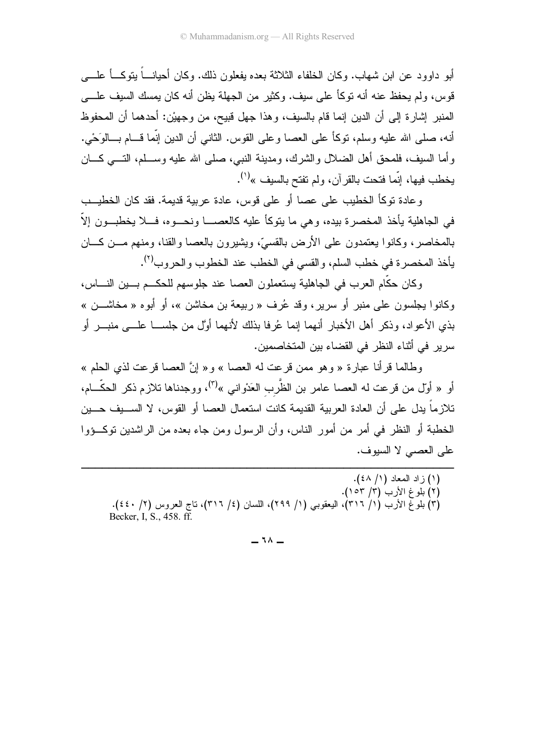أبو داوود عن ابن شهاب. وكان الخلفاء الثلاثة بعده يفعلون ذلك. وكان أحيانـــاً يتوكـــاً علـــــ ٍ قوس، ولم يحفظ عنه أنه توكأ على سيف. وكثير ٍ من الجهلة يظن أنه كان يمسك السيف علـــي المنبر ِ إشار ة إلى أن الدين إنما قام بالسيف، و هذا جهل قبيح، من وجهيْن: أحدهما أن المحفوظ أنه، صلَّى الله عليه وسلَّم، نوكاً على العصا وعلى القوس. الثاني أن الدين إنَّما قـــام بـــالوَحْي. وأما السيف، فلمحق أهل الضلال والشرك، ومدينة النبي، صلى الله عليه وســـلم، التــــي كــــان يخطب فيها، إنَّما فتحت بالقرآن، ولم تفتح بالسيف »<sup>(י)</sup>.

و عادة توكأ الخطيب على عصا أو على قوس، عادة عربية قديمة. فقد كان الخطيــب في الجاهلية يأخذ المخصر ة بيده، و هي ما يتوكأ عليه كالعصــــا ونحـــو ه، فــــلا يخطبـــون إلاّ ــــ بالمخاصر، وكانوا يعتمدون على الأرض بالقسيّ، ويشيرون بالعصا والقنا، ومنهم مـــن كــــان يأخذ المخصرة في خطب السلم، والقسى في الخطب عند الخطوب والحروب<sup>(٢)</sup>.

وكان حكَّام العرب في الجاهلية يستعملون العصا عند جلوسهم للحكـــم بــــين النـــــاس، وكانوا بجلسون على منبر أو سرير، وقد عُرف « ربيعة بن مخاشن »، أو أبوه « مخاشـــن » بذي الأعواد، وذكر أهل الأخبار أنهما إنما عُرفا بذلك لأنهما أوَّل من جلســـا علـــى منبـــر أو سرير في أثناء النظر في القضاء بين المتخاصمين.

وطالما قرأنا عبارة « وهو ممن قرعت له العصا » و« إنَّ العصا قرعت لذي الحلم » أو « أول من قرعت له العصا عامر بن الظَّرب العَدْواني »<sup>(٣)</sup>، ووجدناها تلازم ذكر الحكَّـــام، تلاز ماً يدل على أن العادة العربية القديمة كانت استعمال العصا أو القوس، لا الســـيف حـــين الخطبة أو النظر في أمر من أمور الناس، و أن الر سول و من جاء بعده من الر اشدين توكــؤو ا على العصبي لا السيوف.

- (١) زاد المعاد (١/ ٤٨). (٢) بلوغ الأرب (٣/ ١٥٣).
- (٣) بلوغ الأرب (١/ ٣١٦)، اليعقوبي (١/ ٢٩٩)، اللسان (٤/ ٣١٦)، ناج العروس (٢/ ٤٤٠). Becker, I. S., 458, ff.

 $-11 -$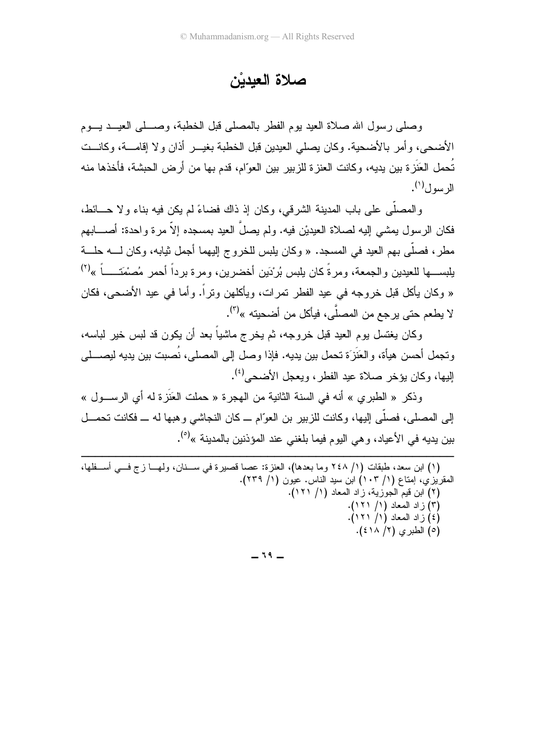صلاة العيدين

وصلى رسول الله صلاة العيد بوم الفطر بالمصلى فبل الخطبة، وصـــلى العيـــد يـــوم الأضحى، و أمر بالأضحية. و كان يصلى العيدين قبل الخطبة بغيـــر أذان و لا إقامــــة، و كانـــت تُحمل العَنَزة بين يديه، وكانت العنزة للزبير بين العوّام، قدم بها من أرض الحبشة، فأخذها منه الرسول $^{(1)}$ .

والمصلَّبي علي باب المدينة الشرقي، وكان إذ ذاك فضاءً لم يكن فيه بناء ولا حـــائط، فكان الر سول بمشبى إليه لصلاة العيديْن فيه. ولم يصلِّ العيد بمسجده إلاَّ مر ة و احدة: أصــــابـهم مطرٍ ، فصلَّى بهم العيد في المسجد. « وكان يلبس للخروج اليهما أجمل ثيابه، وكان لــــه حلـــة يلبســـها للعيدين والجمعة، ومرةً كان يلبس بُرْدَين أخضرين، ومرة برداً أحمر مُصنْمَتـــــاً »<sup>(٢)</sup> « وكان بأكل قبل خروجه في عيد الفطر تمرات، ويأكلهن وتراً. وأما في عيد الأضحى، فكان لا يطعم حتى يرجع من المصلِّي، فيأكل من أضحيته »<sup>(٣)</sup>.

وكان يغتسل بوم العيد قبل خروجه، ثم يخرج ماشياً بعد أن يكون قد لبس خير لباسه، ونجمل أحسن هيأة، والعَنَزَة تحمل بين يديه. فإذا وصل إلى المصلى، نُصبت بين يديه ليصــــلـى إليها، وكان يؤخر صلاة عيد الفطر، ويعجل الأضحى<sup>(٤)</sup>.

وذكر « الطبر ي » أنه في السنة الثانية من الهجر ة « حملت العَذَرَ ة له أي الرســول » إلى المصلي، فصلَّى إليها، وكانت للزبير بن العوَّام ــ كان النجاشي وهبها له ــ فكانت تحمـــل بين بديه في الأعباد، و هي اليو م فيما بلغني عند المؤذنين بالمدينة »<sup>(٥</sup>).

| (١) ابن سعد، طبقات (١/ ٢٤٨ وما بعدها)، العنزة: عصا قصيرة في ســنان، ولهـــا زج فـــي أســـفلها، |                                                        |
|-------------------------------------------------------------------------------------------------|--------------------------------------------------------|
|                                                                                                 | المقريزي، إمتاع (١/ ١٠٣) ابن سيد الناس. عيون (١/ ٢٣٩). |
|                                                                                                 | (٢) ابن قيم الجوزية، زاد المعاد (١/ ١٢١).              |
|                                                                                                 | (۳) زاد المعاد (۱/ ۱۲۱).                               |
|                                                                                                 | (٤) زاد المعاد (١/ ١٢١).                               |
|                                                                                                 | (٥) الطبري (٢/ ٤١٨).                                   |
|                                                                                                 |                                                        |

 $-19-$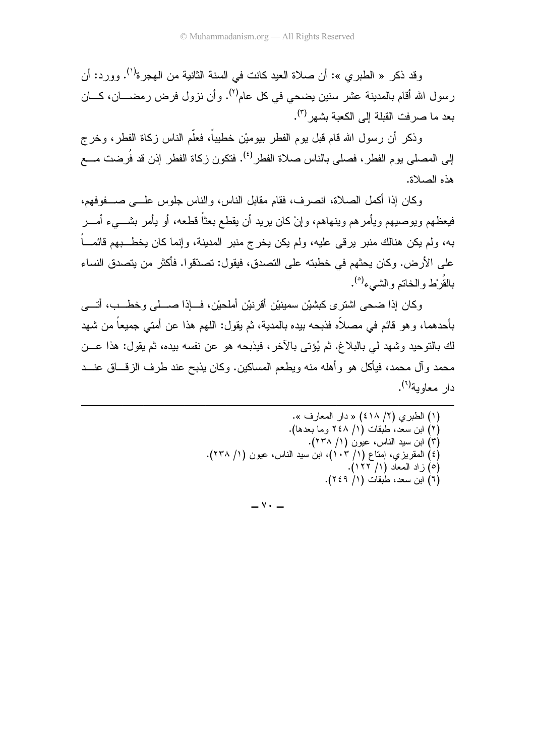وقد ذكر « الطبر ي »: أن صلاة العبد كانت في السنة الثانية من الهجر ة<sup>(١)</sup>. وور د: أن ر سول الله أقام بالمدينة عشر سنين يضحى في كل عام<sup>(٢)</sup>. و أن نز ول فر ض ر مضــــان، كــــان بعد ما صرفت القبلة إلى الكعبة بشهر <sup>(٣)</sup>.

وذكر أن رسول الله قام قبل يوم الفطر بيوميْن خطيباً، فعلَّم الناس زكاة الفطر، وخرج إلى المصلي يوم الفطر، فصلي بالناس صلاة الفطر<sup>(٤)</sup>. فتكون زكاة الفطر إذن قد فُرضت مـــع هذه الصلاة.

وكان إذا أكمل الصلاة، انصر ف، فقام مقابل الناس، والناس جلوس علـــى صــــفوفهم، فيعظهم وبو صبيهم ويأمر هم وينهاهم، و إنْ كان بر يد أن يقطع بعثاً قطعه، أو يأمر بشــــىء أمـــر به، ولم يكن هنالك منبر يرقى عليه، ولم يكن يخرج منبر المدينة، وإنما كان يخط بهم قائمـــاً على الأرض. وكان يحثهم في خطبته على التصدق، فيقول: تصدَّقوا. فأكثر من يتصدق النساء بالقُرْ ط و الخاتير و الشيء<sup>(٥)</sup>.

و كان إذا ضحى اشتر ي كبشبْن سمبنبْن أقر نبْن أملحبْن، فسإذا صسلى وخطــب، أتـــي بأحدهما، و هو قائم في مصلاًه فذبحه بيده بالمدية، ثم يقول: اللهم هذا عن أمتى جميعاً من شهد لك بالتوحيد وشهد لي بالبلاغ. ثم يُؤتى بالآخر، فيذبحه هو عن نفسه بيده، ثم يقول: هذا عـــن محمد وأل محمد، فيأكل هو وأهله منه ويطعم المساكين. وكان يذبح عند طرف الزقـــاق عنـــد دار معاوية<sup>(٢)</sup>.

> (١) الطبري (٢/ ٤١٨) « دار المعارف ». (٢) ابن سعَّد، طبقات (١/ ٢٤٨ و ما بعدها). (٣) ابن سيد الناس، عيون (١/ ٢٣٨). (٤) المقريزي، إمتاع (١/ ١٠٣)، ابن سيد الناس، عيون (١/ ٢٣٨). (٥) زاد المعاد (١/ ١٢٢). (٦) ابن سعد، طبقات (١/ ٢٤٩).

> > $\vee$   $-$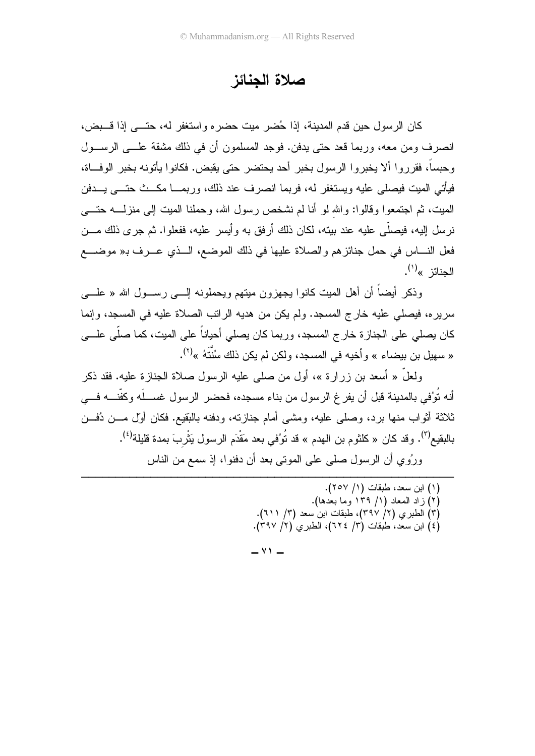### صلاة الجنائز

كان الرسول حين قدم المدينة، إذا حُضر ميت حضره واستغفر له، حتـــي إذا قـــبض، انصر ف ومن معه، وربما قعد حتى يدفن. فوجد المسلمون أن في ذلك مشقة علـــي الرســـول و حبساً، فقر ر و ا ألا يخبر و ا الر سول بخبر أحد يحتضر حتى يقبض. فكانو ا يأتونه بخبر الوفاة، فيأتي الميت فيصلِّي عليه ويستغفر له، فربما انصرف عند ذلك، وربمـــا مكـــث حتــــى يــــدفن الميت، ثم اجتمعوا وقالوا: والله لو أنا لم نشخص رسول الله، وحملنا الميت إلى منزلــــه حتــــي نر سل اليه، فيصلَّى عليه عند بيته، لكان ذلك أر فق به و أيسر عليه، ففعلو ا. ثم جر ي ذلك مـــن فعل النــــاس في حمل جنائز هم والصـلاة عليها في ذلك الموضـع، الـــذي عــــرف بـ« موضــــع الحنائن »<sup>(۱</sup>).

وذكر أيضاً أن أهل الميت كانوا يجهزون ميتهم ويحملونه إلــــى رســـول الله « علـــــى سريره، فيصلَّى عليه خارج المسجد. ولم يكن من هديه الراتب الصلاة عليه في المسجد، وإنما كان يصلى على الجنازة خارج المسجد، وربما كان يصلى أحياناً على الميت، كما صلَّى علــــى « سهيل بن بيضاء » وأخيه في المسجد، ولكن لم يكن ذلك سُنَّتَهُ »<sup>(٢)</sup>.

ولعلَّ « أسعد بن زرارة »، أول من صلى عليه الرسول صلاة الجنازة عليه. فقد ذكر أنه تُوُفي بالمدينة قبل أن يفر غ الر سول من بناء مسجده، فحضر الر سول غســـلَه وكفَّنـــه فــــي ثلاثة أثواب منها بر د، وصلبي عليه، ومشبي أمام جناز ته، ودفنه بالبَقيع. فكان أوَّل مـــن دُفـــن بِالبِقِيعِ<sup>(٣)</sup>. و قد كان « كلثو م بن الهدم » قد تُوُفي بعد مَقْدَمِ الر سو ل بَثْر بَ بِمدة قلبِلة<sup>(٤)</sup>. ور ُو ي أن الر سول صلبي علي الموتبي بعد أن دفنو ا، إذ سمع من الناس

> (١) ابن سعد، طبقات (١/ ٢٥٧). (٢) زاد المعاد (١/ ١٣٩ وما بعدها). (٣) الطبري (٢/ ٣٩٧)، طبقات ابن سعد (٣/ ٢١١). (٤) ابن سعَّد، طبقات (٣/ ٦٢٤)، الطبرى (٦/ ٣٩٧).

 $-$  Y  $-$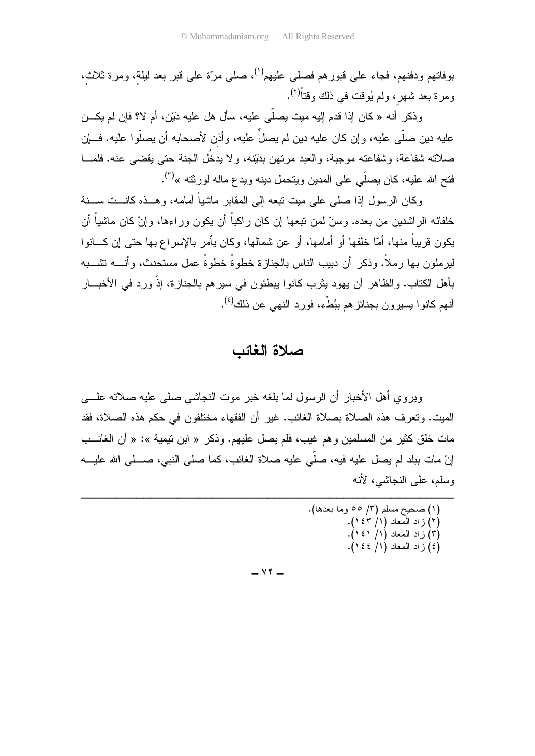بوفاتهم ودفنهم، فجاء علي قبور هم فصلبي عليهم<sup>(١)</sup>، صلبي مرَّة علمي قبر بعد ليلة، ومر ة ثلاث، ومرة بعد شهر، ولم يُوفت في ذلك وقتاً<sup>(٢)</sup>.

وذكر أنه « كان إذا قدم إليه ميت يصلَّى عليه، سأل هل عليه دَيْن، أم لا؟ فإن لم يكـــن عليه دين صلَّى عليه، وإن كان عليه دين لم يصلُّ عليه، وأذن لأصحابه أن يصلُّوا عليه. فـــإن صلاته شفاعة، وشفاعته موجبة، والعبد مرتهن بدَيْنه، ولا يدخُل الجنة حتى يقضي عنه. فلمـــا فتح الله عليه، كان يصلَّى على المدين ويتحمل دينه ويدع ماله لورثته »<sup>(٣)</sup>.

وكان الرسول إذا صلبي على ميت تبعه إلى المقابر ماشياً أمامه، وهــذه كانــت ســنة خلفائه الر اشدين من بعده. وسنّ لمن نبعها إن كان ر اكباً أن يكون ور اءها، و إنْ كان ماشياً أن يكون قريباً منها، أمّا خلفها أو أمامها، أو عن شمالها، وكان يأمر بالإسر اع بها حتى إن كـــانو ا لبر ملون بها ر ملاً. وذكر أن دبيب الناس بالجناز ة خطوةً خطوةً عملٍ مستحدثٍ، وأنسه تشسيه بأهل الكتاب. والظاهر أن يهود يثرب كانوا يبطئون في سيرهم بالجنازة، إذْ ورد في الأخبـــار أنهم كانوا يسيرون بجنائزهم ببُطْء، فورد النهي عن ذلك<sup>(٤)</sup>.

### صلاة الغائب

وبر و ي أهل الأخبار ۖ أن الرَّ سول لما بلغه خبر ۖ موت النجاشي صلَّى عليه صلاته علـــي الميت. ونعر ف هذه الصلاة بصلاة الغائب. غير أن الفقهاء مختلفون في حكم هذه الصلاة، فقد مات خلق كثير من المسلمين و هم غيب، فلم بصل عليهم. و ذكر « ابن تبمية »: « أن الغائـــب إنْ مات ببلد لم يصل عليه فيه، صلَّى عليه صلاة الغائب، كما صلى النبي، صــــلى الله عليـــه وسلم، علي النجاشي، لأنه

```
(۱) صحیح مسلم (۳/ ٥٥ وما بعدها).<br>(۲) زاد المعاد (۱/ ۱٤۳).
             (٣) زاد المعاد (١/ ١٤١).
             (3) ( الد المعاد (١/ ١٤٤).
```
 $YY -$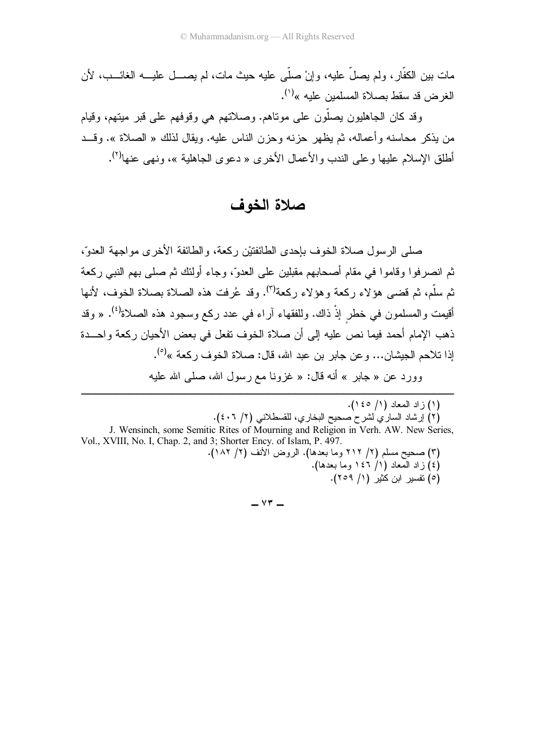وقد كان الجاهليون يصلُّون على موتاهم. وصلاتهم هي وقوفهم على قبر ميتهم، وقيام من بذكر محاسنه وأعماله، ثم يظهر حزبه وحزن الناس عليه. ويقال لذلك « الصلاة ». وقــد أطلق الإسلام عليها وعلى الندب والأعمال الأخرى « دعوى الجاهلية »، ونهى عنها<sup>(٢)</sup>.

صلاة الخوف

صلَّى الرَّسولِ صلاة الخوف بإحدى الطَّائفتيْن رِكعة، والطَّائفة الأخرى مواجهة العدوِّ، ثم انصر فو ا و قامو ا في مقام أصحابهم مقبلين على العدوّ، وجاء أولئك ثم صلى بهم النبي ركعة ثم سلَّم، ثم قضيي هؤلاء ركعة وهؤلاء ركعة<sup>(٣)</sup>. وقد عُرفت هذه الصلاة بصلاة الخوف، لأنها أقيمت والمسلمون في خطر إذْ ذاك. وللفقهاء آراء في عدد ركع وسجود هذه الصلاة<sup>(٤)</sup>. « وقد ذهب الإمام أحمد فيما نص عليه إلى أن صلاة الخوف تفعل في بعض الأحيان ركعة واحـــدة إذا تلاحم الجيشان... و عن جابر بن عبد الله، قال: صلاة الخوف ركعة »<sup>(0)</sup>. وورد عن « جابر » أنه قال: « غزونا مع رسول الله، صلَّى الله عليه

(١) ز اد المعاد (١/ ١٤٥). (٢) إرشاد الساري لشرح صحيح البخاري، للقسطلاني (٢/ ٤٠٦). J. Wensinch, some Semitic Rites of Mourning and Religion in Verh. AW. New Series,

Vol., XVIII, No. I, Chap. 2, and 3; Shorter Ency. of Islam, P. 497. (٣) صحيح مسلم (٢/ ٢١٢ وما بعدها). الروض الأنف (٢/ ١٨٢).

(٤) زاد المعاد (١/ ١٤٦ وما بعدها). (٥) تفسير ابن كُثير (١/ ٢٥٩).

 $\vee$   $\overline{ }$   $-$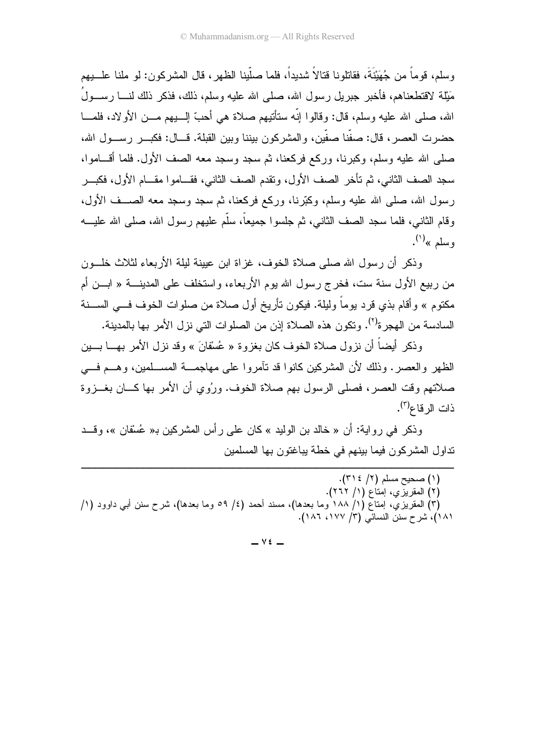وسلم، قو ماً من جُهَيْنَةَ، فقاتلونا قتالاً شديداً، فلما صلَّبِنا الظهر ، قال المشر كون: لو ملنا عل يهم مَثِلة لاقتطعناهم، فأخبر جبريل رسول الله، صلَّى الله عليه وسلَّم، ذلك، فذكر ذلك لنــــا رســـولُ الله، صلَّى الله عليه وسلَّم، قال: وقالوا إنَّه ستأتيهم صلاة هي أحبِّ إلـــبيهم مـــن الأولاد، فلمـــا حضرت العصر ، قال: صفَّنا صفَّين، والمشركون بيننا وبين القبلة. قـــال: فكبـــر رســـول الله، صلَّى الله عليه وسلَّم، وكبرنا، وركع فركعنا، ثم سجد وسجد معه الصف الأول. فلما أقـــاموا، سجد الصف الثاني، ثم تأخر الصف الأول، وتقدم الصف الثاني، فقـــامو ا مقـــام الأول، فكبـــر رسول الله، صلَّى الله عليه وسلَّم، وكبَّرنا، وركع فركعنا، ثم سجد وسجد معه الصـــف الأول، وقام الثاني، فلما سجد الصف الثاني، ثم جلسوا جميعاً، سلَّم عليهم ر سول الله، صلى الله عليـــه وسلم »<sup>(۱)</sup>.

وذكر أن رسول الله صلى صلاة الخوف، غزاة ابن عبينة لبلة الأربعاء لثلاث خلَّــون من ربيع الأول سنة ست، فخرج رسول الله يوم الأربعاء، واستخلف على المدينــــة « ابـــن أم مكتوم » وأقام بذي قرد يوماً وليلة. فيكون تأريخ أول صلاة من صلوات الخوف فـــي الســـنة السادسة من الـهجرة<sup>(٢)</sup>. وتكون هذه الصـلاة إذن من الصلوات التي نزل الأمر بـها بالمدينة.

وذكر أيضاً أن نزول صلاة الخوف كان بغزوة « عُسْفانَ » وقد نزل الأمر بهـــا بــــين الظهر والعصر . وذلك لأن المشركين كانوا قد نأمروا على مهاجمـــة المســلمين، وهـــم فـــي صلاتهم وقت العصر ، فصلي الرسول بهم صلاة الخوف. وربُوي أن الأمر بها كـــان بغــزوة ذات الر قاع<sup>(۳)</sup>.

وذكر في رواية: أن « خالد بن الوليد » كان على رأس المشركين بـ« عُسْفان »، وقـــد نداول المشركون فيما بينهم في خطة يباغتون بها المسلمين

(١) صحيح مسلم (٢/ ٣١٤). (٢) المقريزي، إمتاع (١/ ٢٦٢). (٣) المقريزيِّ، إمتاع (١/ ١٨٨ وما بعدها)، مسند أحمد (٤/ ٥٩ وما بعدها)، شرح سنن أبـي داوود (١/ ١٨١)، شرح سنن النسائي (٣/ ١٧٧، ١٨٦).

 $\vee$   $\epsilon$   $-$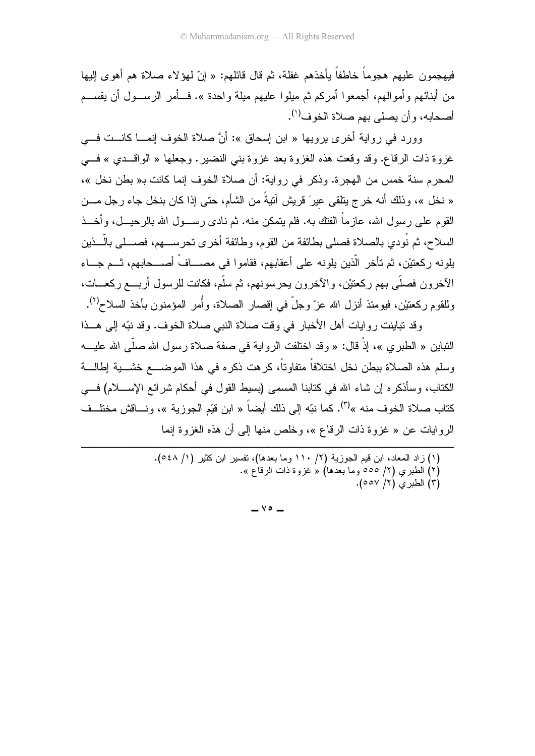فيهجمون عليهم هجوماً خاطفاً يأخذهم غفلة، ثم قال قائلهم: « إنّ لمهؤلاء صـلاة هم أهوى إليها من أبنائهم وأموالـهم، أجمعوا أمركم ثم ميلوا عليهم ميلة واحدة ». فـــأمر الرســـول أن يقســـم أصحابه، وأن يصلي بهم صلاة الخوف<sup>(י)</sup>.

وورد في رواية أخرى يرويها « ابن إسحاق »: أنَّ صلاة الخوف إنمـــا كانـــت فـــي غزوة ذات الرقاع. وقد وقعت هذه الغزوة بعد غزوة بنبي النضبير . وجعلها « الواقـــدي » فـــي المحرم سنة خمس من الهجرة. وذكر في رواية: أن صلاة الخوف إنما كانت بـ« بطن نخل »، « نخل »، وذلك أنه خرج بنلقى عيرَ قريش أننية من الشأم، حتى إذا كان بنخل جاء رجل مـــن القوم على رسول الله، عازما الفتك به. فلم يتمكن منه. ثم نادى رســـول الله بالرحيـــل، وأخـــذ السلاح، ثم نودي بالصلاة فصلي بطائفة من القوم، وطائفة أخرى تحرســــهم، فصــــلـي بالــــذين يلونه ركعتيْن، ثم تأخر الذين يلونه على أعقابهم، فقاموا في مصـــاف أصــــحابهم، ثـــم جـــاء الأخرون فصلي بهم ركعتيْن، والأخرون يحرسونهم، ثم سلم، فكانت للرسول أربـــع ركعــــات، وللقوم ركعتيْن، فيومئذ أنزل الله عزّ وجلّ في إقصار الصلاة، وأمر المؤمنون بأخذ السلاح<sup>(٢)</sup>.

وقد نباينت روايات أهل الأخبار في وقت صلاة النبي صلاة الخوف. وقد نبّه إلى هــذا النباين « الطبري »، إذ قال: « وقد اختلفت الرواية في صفة صلاة رسول الله صلى الله عليــــه رسلم هذه الصلاة ببطن نخل اختلافا متفاوتا، كرهت ذكره في هذا الموضـــع خشـــية إطـالـــة الكتاب، وسأذكره إن شاء الله في كتابنا المسمى (بسيط القول في أحكام شرائع الإســــلام) فــــي كتاب صلاة الخوف منه »<sup>(٣)</sup>. كما نبّه إلى ذلك أيضاً « ابن قيّم الجوزية »، ونـــاقش مختلــف الروايات عن « غزوة ذات الرقاع »، وخلص منها إلى أن هذه الغزوة اِنما

```
(١) زاد المعاد، ابن قيم الجوزية (٢/ ١١٠ وما بعدها)، تفسير ابن كثير (١/ ٥٤٨).
                     ـ (٢) الطبري (٢/ ٥٥٥ وما بعدها) « غزوة ذات الرقاع ».
                                                  (٣) الطبري (٢/ ٥٥٧).
```
-----------------------------------------

--

 $\vee \circ$   $-$ 

-----------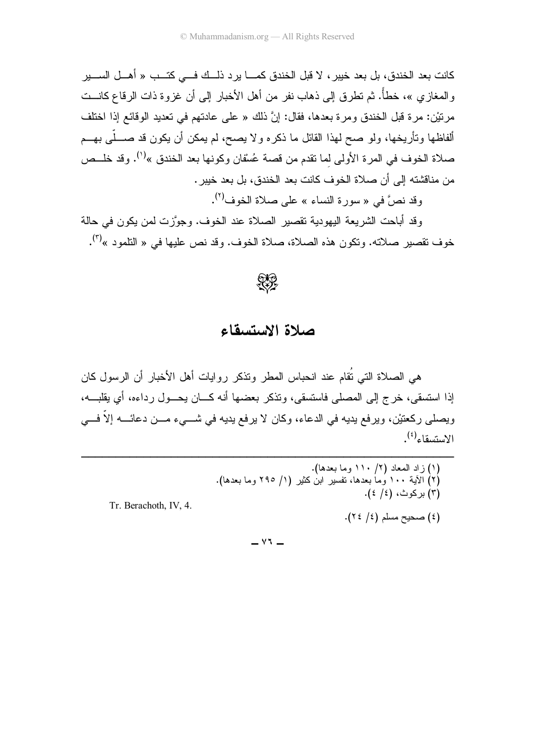كانت بعد الخندق، بل بعد خيبر ، لا قبل الخندق كمــــا ير د ذلـــك فــــى كتـــب « أهـــل الســــير والمغازي »، خطأً. ثم تطرق إلى ذهاب نفر من أهل الأخبار إلى أن غزوة ذات الرقاع كانـــت مرنيْن: مرة قبل الخندق ومرة بعدها، فقال: إنَّ ذلك « على عادتهم في تعديد الوقائع إذا اختلف ألفاظها ونأريخها، ولو صح لهذا القائل ما ذكره ولا يصح، لم يمكن أن يكون قد صــــلّـى بـهـــم صلاة الخوف في المرة الأولى لما نقدم من قصة عُسْقان وكونها بعد الخندق »<sup>(١)</sup>. وقد خلــص من مناقشته إلى أن صلاة الخوف كانت بعد الخندق، بل بعد خيبر .

وقد نص"ً في « سور ة النساء » على صلاة الخوف<sup>(٢)</sup>.

وقد أباحت الشريعة اليهودية تقصير الصلاة عند الخوف. وجوَّزت لمن يكون في حالة خوف نقصير صلاته. ونكون هذه الصلاة، صلاة الخوف. وقد نص عليها في « النلمود »<sup>(٣)</sup>.



## صلاة الاستسقاء

هي الصلاة التي نُقام عند انحباس المطر ونذكر روايات أهل الأخبار أن الرسول كان إذا استسقى، خرج إلى المصلى فاستسقى، وتذكر بعضها أنه كـــان بحـــول رداءه، أي بقلبـــه، ويصلي ركعتيْن، ويرفع بديه في الدعاء، وكان لا يرفع بديه في شـــيء مـــن دعائــــه إلاّ فـــي  $\mathcal{L}^{(2)}$ واء (<sup>٤</sup>)

 $\vee$   $\vee$   $-$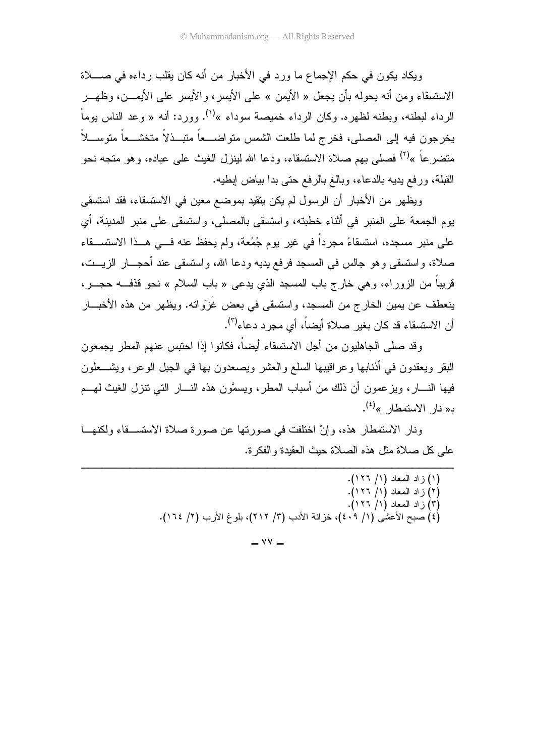وبكاد بكون في حكم الإجماع ما ورد في الأخبار ً من أنه كان بقلب رداءه في صــــلاة الاستسقاء ومن أنه يحوله بأن يجعل « الأيمن » على الأيسر ، والأيسر على الأيمـــن، وظهـــر الرداء لبطنه، وبطنه لظهره. وكان الرداء خميصة سوداء »<sup>(١)</sup>. وورد: أنه « وعد الناس بوماً يخرجون فيه إلى المصلى، فخرج لما طلعت الشمس متواضـــعاً متبــذلاً متخشـــعاً متوســـلاً متضرعاً »<sup>(٢)</sup> فصلى بهم صلاة الاستسقاء، ودعا الله لينزل الغيث على عباده، وهو متجه نحو القبلة، ورفع يديه بالدعاء، وبالغ بالرفع حتى بدا بياض إبطيه.

ويظهر من الأخبار أن الرسول لم يكن يتقيد بموضع معين في الاستسقاء، فقد استسقى يوم الجمعة على المنبر ً في أثناء خطبته، واستسقى بالمصلى، واستسقى على منبر المدينة، أي على منبر مسجده، استسقاءً مجرداً في غير يوم جُمُعة، ولم يحفظ عنه في هـذا الاستســقاء صلاة، واستسقى وهو جالس في المسجد فرفع يديه ودعا الله، واستسقى عند أحجـــار الزيـــت، قريباً من الزوراء، وهي خارج باب المسجد الذي يدعى « باب السلام » نحو قذفـــه حجـــر ، ينعطف عن يمين الخارج من المسجد، واستسقى في بعض غَزَواته. ويظهر من هذه الأخبـــار أن الاستسقاء قد كان بغير صلاة أيضاً، أي مجرد دعاء<sup>(٣)</sup>.

وقد صلى الجاهليون من أجل الاستسقاء أيضـاً، فكانوا إذا احتبس عنهم المطر يجمعون البقر ويعقدون في أذنابها وعراقيبها السلع والعشر ويصعدون بها في الجبل الوعر، ويشـــعلون فيها النسار ، وبز عمون أن ذلك من أسباب المطر ، وبسمَّون هذه النسار التي تتزل الغبث لهسم  $\mathbf{R}^{(i)}$ د« نار الاستمطار »

ونار الاستمطار هذه، وإنْ اختلفت في صورتها عن صورة صلاة الاستســقاء ولكنهـــا على كل صلاة مثل هذه الصلاة حبث العقبدة والفكر ة.

- (١) زاد المعاد (١/ ١٢٦). (٢) ز اد المعاد (١/ ١٢٦). (٣) زاد المعاد (١/ ١٢٦). (٤) صبح الأعشى (١/ ٤٠٩)، خزانة الأدب (٣/ ٢١٢)، بلوغ الأرب (٢/ ٢١٤).
	- $\vee\vee$   $-$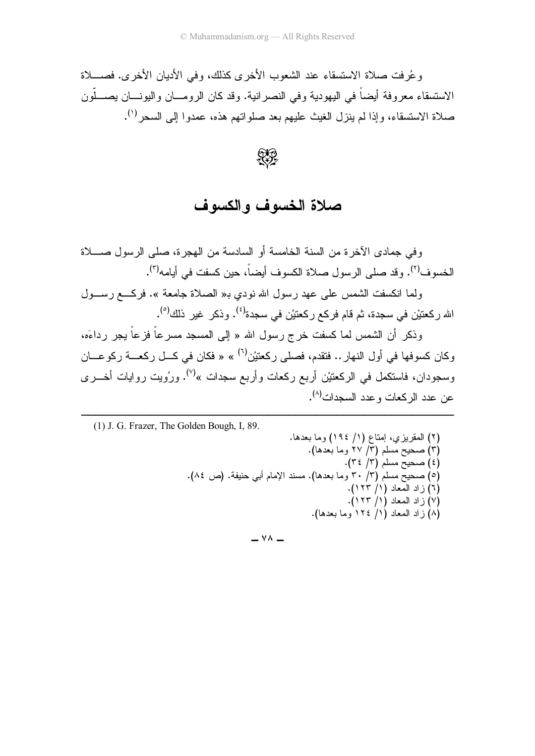و عُرفت صلاة الاستسقاء عند الشعوب الأخرى كذلك، وفي الأديان الأخرى. فصــــلاة الاستسقاء معروفة أيضا في اليهودية وفي النصرانية. وقد كان الرومـــان واليونــــان يصــــلون صلاة الاستسقاء، وإذا لم ينزل الغيث عليهم بعد صلواتهم هذه، عمدوا إلىي السحر<sup>(י)</sup>.

 $\mathbb{R}^2$ 

صلاة الخسوف والكسوف

وفي جمادى الأخرة من السنة الخامسة أو السادسة من الهجرة، صلى الرسول صــــلاة الخسوف<sup>(٢)</sup>. وقد صلى الرسول صلاة الكسوف أيضاً، حين كسفت في أيامه<sup>(٣)</sup>.

ولما انكسفت الشمس على عهد رسول الله نودي بـ« الصـلاة جامعة ». فركــــع رســــول الله ركعتيْن في سجدة، ثم قام فركع ركعتيْن في سجدة<sup>(٤)</sup>. وذكر غير ذلك<sup>(٥)</sup>.

وذكر أن الشمس لما كسفت خرج رسول الله « إلى المسجد مسرعا فزعا يجر رداءَه، وكان كسوفها في أول النهار .. فتقدم، فصلي ركعتيْن<sup>(٦)</sup> » « فكان في كـــل ركعــــة ركوعــــان وسجودان، فاستكمل في الركعنيْن أربع ركعات وأربع سجدات »<sup>(٧)</sup>. ورُويت روايات أخـــرى عن عدد الركعات وعدد السجدات<sup>(٨)</sup>.

--(1) J. G. Frazer, The Golden Bough, I, 89.

---------------------------------------

-------------

. 2. (0 / ) MI ? ( ) .( 2. - / ) A/ J
G\* ( ) .( 0 / ) A/ J
G\* ( )0 .( ,0 C) .8'
(G \$H AQ (/ .(2. / ) A/ J
G\* ( )5 .( / ) . ? ( )1 .( / ) . ? ( )- .( 2. 0 / ) . ? ( ),

 $\vee \wedge -$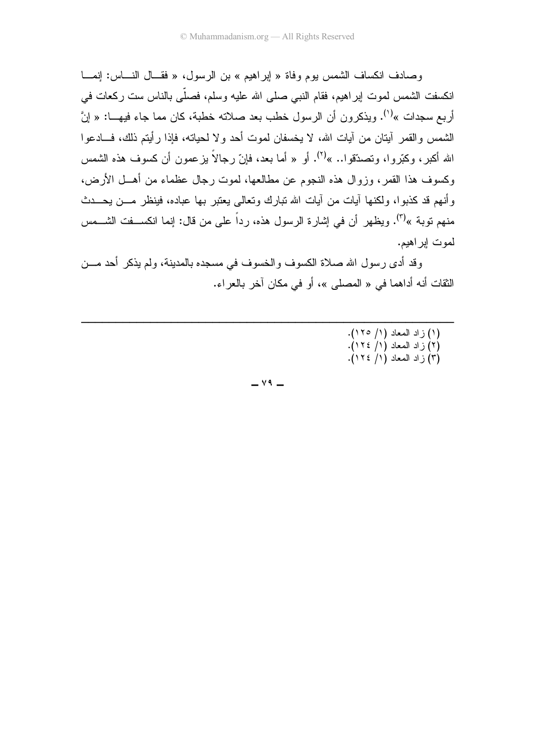وصادف انكساف الشمس يوم وفاة « إبراهيم » بن الرسول، « فقــال النـــاس: إنمـــا انكسفت الشمس لموت ابر اهيم، فقام النبي صلى الله عليه وسلم، فصلَّى بالناس ست ركعات في أربع سجدات »<sup>(١)</sup>. ويذكرون أن الرسول خطب بعد صلاته خطبة، كان مما جاء فيهـــا: « إنَّ الشمس والقمر أيتان من أيات الله، لا يخسفان لموت أحد ولا لحياته، فإذا رأيتم ذلك، فـــادعوا الله أكبر، وكبّروا، وتصدّقوا.. »<sup>(٢)</sup>. أو « أما بعد، فإنّ رجالاً بزعمون أن كسوف هذه الشمس وكسوف هذا القمر، وزوال هذه النجوم عن مطالعها، لموت رجال عظماء من أهـــل الأرض، و أنهم قد كذبو ا، ولكنها آبات من آبات الله تبارك وتعالى بعتبر بها عباده، فبنظر مـــن بحـــدث منهم توبة »<sup>(٣)</sup>. ويظهر أن في إشار ة الرسول هذه، ر داً علي من قال: إنما انكســـفت الشـــمس لموت ابر اهيم.

وقد أدى رسول الله صلاة الكسوف والخسوف في مسجده بالمدينة، ولم يذكر أحد مـــن الثقات أنه أداهما في « المصلي »، أو في مكان آخر بالعر اء.

- (١) زاد المعاد (١/ ١٢٥).
	- (۲) زاد المعاد (۱/ ۱۲۶).<br>(۳) زاد المعاد (۱/ ۱۲۶).

 $\vee$  9  $-$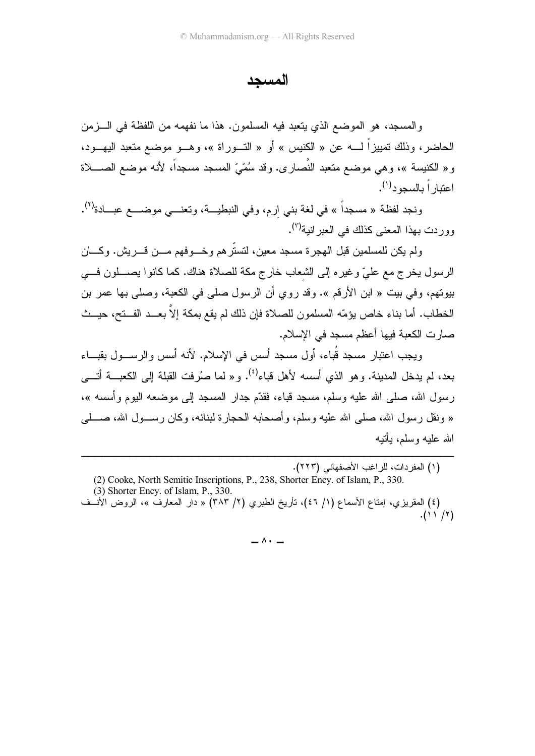المسحد

والمسجد، هو الموضع الذي يتعبد فيه المسلمون. هذا ما نفهمه من اللفظة في الـــزمن الحاضر، وذلك تمييزاً لــــه عن « الكنيس » أو « التـــوراة »، وهـــو موضـع متعبد اليهـــود، و « الكنيسة »، وهي موضع متعبد النَّصارى. وقد سُمّيّ المسجد مسجداً، لأنه موضع الصــــلاة اعتبار أ بالسجود<sup>(۱</sup>).

ونجد لفظة « مسجداً » في لغة بني ارم، وفي النبطيـــة، وتعنــــى موضــــع عبـــادة<sup>(٢)</sup>. وور دت بهذا المعنى كذلك في العبر انبة<sup>(٢)</sup>.

ولم يكن للمسلمين قبل الهجر ة مسجد معين، لتستر هم وخسوفهم مسن قسريش. وكسان الرسول يخرج مع عليّ وغيره إلى الشعاب خارج مكة للصلاة هناك. كما كانوا يصــــلون فـــي بيوتهم، وفي بيت « ابن الأرقم ». وقد روي أن الرسول صلى في الكعبة، وصلى بها عمر بن الخطاب. أما بناء خاص يؤمّه المسلمون للصلاة فإن ذلك لم يقع بمكة إلاّ بعــد الفــتح، حيــث صارت الكعبة فيها أعظم مسجد في الإسلام.

ويجب اعتبار مسجد قُباء، أول مسجد أسس في الإسلام. لأنه أسس والرســـول بقبــــاء بعد، لم يدخل المدينة. وهو الذي أسسه لأهل قباء<sup>(٤)</sup>. و« لما صُرفت القبلة إلى الكعبـــة أتــــى ر سول الله، صلى الله عليه وسلم، مسجد قباء، فقدَّم جدار المسجد إلى موضعه اليوم وأسسه »، « ونقل ر سول الله، صلَّى الله عليه وسلَّم، و أصبحابه الحجار ة لبنائه، وكان ر ســـول الله، صــــلَّ*ى* الله عليه وسلم، بأننه

(١) المفردات، للراغب الأصفهاني (٢٢٣).

(2) Cooke, North Semitic Inscriptions, P., 238, Shorter Ency. of Islam, P., 330 (3) Shorter Ency. of Islam. P., 330. (٤) المقريزي، إمتاع الأسماع (١/ ٤٦)، تأريخ الطبري (٢/ ٣٨٣) « دار المعارف »، الروض الأنُّــف  $.()$   $/$   $/$   $($   $)$ 

 $= \wedge \cdot$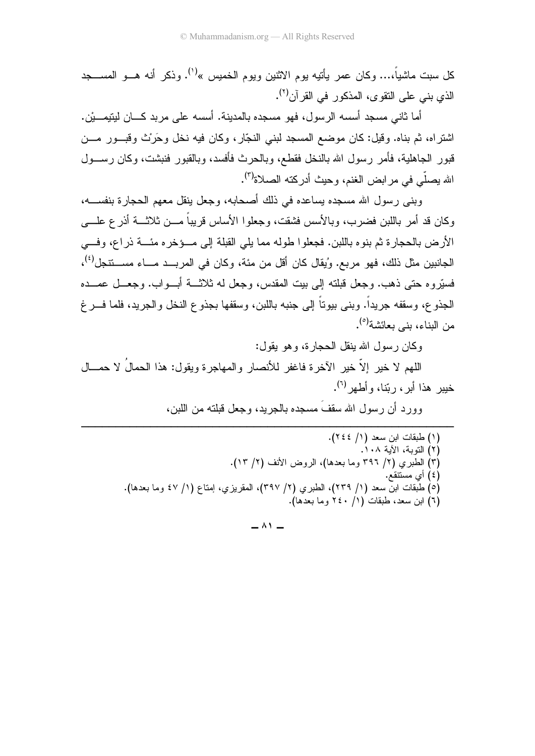كل سبت ماشياً،... وكان عمر يأتيه يوم الاثنين ويوم الخميس »<sup>(١)</sup>. وذكر أنه هـــو المســـجد الذي بنبي علي النقو ي، المذكور في القر آن<sup>(٢)</sup>.

أما ثاني مسجد أسسه الرسول، فهو مسجده بالمدينة. أسسه على مربد كـــان لينيمـــيْن. اشتراه، ثم بناه. وقيل: كان موضع المسجد لبني النجّار، وكان فيه نخل وحَرَث وقبــور مـــن قبور الجاهلية، فأمر رسول الله بالنخل فقطع، وبالحرث فأفسد، وبالقبور فنبشت، وكان رســـول الله يصلَّى في مرابض الغنم، وحيث أدركته الصلاة<sup>(٣)</sup>.

وبني رسول الله مسجده يساعده في ذلك أصحابه، وجعل ينقل معهم الحجارة بنفســه، وكان قد أمر باللبن فضرب، وبالأسس فشقت، وجعلو ا الأساس قريباً مـــن ثلاثــــة أذر ع علــــى الأرض بالحجار ة ثم بنوه باللبن. فجعلوا طوله مما يلي القبلة إلى مسؤخر ه مئسة ذراع، وفسى الجانبين مثل ذلك، فهو مر بـع. وُبقال كان أقل من مئة، و كان في المر بـــد مـــاء مســـنتجل<sup>(٤)</sup>، فسبّر و م حتى ذهب. و جعل قبلته إلى بيت المقدس، و جعل له ثلاثــــة أبـــو اب. و جعـــل عمـــده الجذو ع، وسقفه جريداً. وبني بيوتاً إلى جنبه باللبن، وسقفها بجذو ع النخل والجريد، فلما فـــرغ من البناء، بني بعائشة<sup>(٥)</sup>.

وكان رسول الله ينقل الحجارة، وهو يقول:

اللَّهُمْ لا خَيْرٍ إِلاَّ خَيْرٍ الآخرِةِ فاغفرِ للأنصارِ والمهاجرةِ ويقول: هذا الحمالَ لا حمـــال خبير هذا أبر ، <sub>د</sub> بّنا، وأطهر <sup>(٢)</sup>.

وور د أن رسول الله سقف مسجده بالجريد، وجعل قبلته من اللين،

(١) طبقات ابن سعد (١/ ٢٤٤). (٢) التوبة، الآية ٠٨. أ. (٣) الطبري (٢/ ٣٩٦ وما بعدها)، الروض الأنف (٢/ ١٣). (٤) أي مستنقع. (٥) طبقات ابن سعد (١/ ٢٣٩)، الطبري (٢/ ٣٩٧)، المقريزي، إمتاع (١/ ٤٧ وما بعدها). (٦) ابن سعد، طبقات (١/ ٢٤٠ وما بعدها).

 $\wedge$   $\wedge$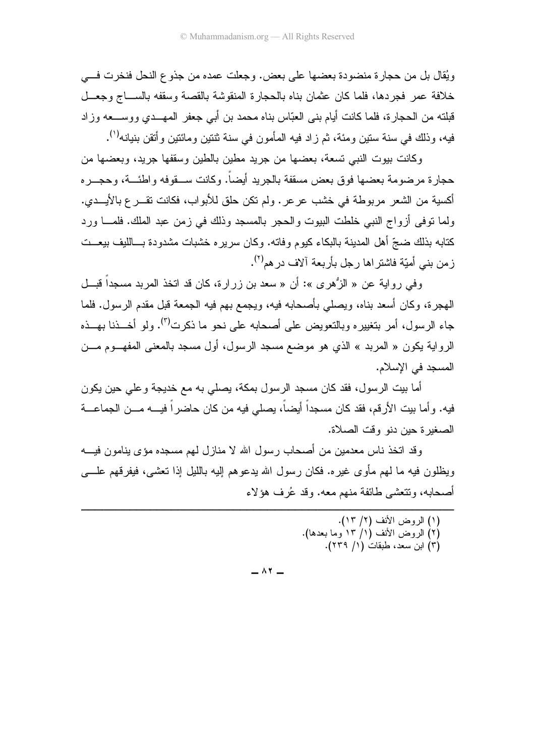ويُقال بل من حجارة منضودة بعضها على بعض. وجعلت عمده من جذوع النحل فنخرت فسي خلافة عمر فجردها، فلما كان عثمان بناه بالحجارة المنقوشة بالقصة وسقفه بالســـاج وجعـــل قبلته من الحجار ة، فلما كانت أيام بني العبّاس بناه محمد بن أبي جعفر المهـــدي ووســـعه وزاد فيه، وذلك في سنة سنين ومئة، ثم زاد فيه المأمون في سنة ثنتين ومائنين و أنقن بنيانه<sup>(١)</sup>.

وكانت بيوت النبي تسعة، بعضها من جريد مطين بالطين وسقفها جريد، وبعضها من حجارة مرضومة بعضها فوق بعض مسقفة بالجريد أيضاً. وكانت ســـقوفه واطئـــة، وحجـــره أكسية من الشعر مربوطة في خشب عرعر . ولم تكن حلق للأبواب، فكانت تقـــر ع بالأيـــدي. ولما نوفي أز واج النبي خلطت البيوت والحجر بالمسجد وذلك في زمن عبد الملك. فلمـــا ور د كتابه بذلك ضجّ أهل المدينة بالبكاء كيوم وفاته. وكان سرير ِه خشبات مشدودة بـــالليف بيعـــت ز من بنے ٍ أمبّة فاشتر اها ر جل بأر بعة آلاف در هم<sup>(۲)</sup>.

وفي رواية عن « الزُّهري »: أن « سعد بن زرارة، كان قد اتخذ المربد مسجداً قبـــل الهجرة، وكان أسعد بناه، ويصلَّى بأصحابه فيه، ويجمع بهم فيه الجمعة قبل مقدم الرسول. فلما جاء الرسول، أمر بتغييره وبالتعويض على أصحابه على نحو ما ذكرت<sup>(٣)</sup>. ولو أخـــذنا بهـــذه الرواية يكون « المربد » الذي هو موضع مسجد الرسول، أول مسجد بالمعنى المفهــوم مـــن المسجد في الإسلام.

أما بيت الرسول، فقد كان مسجد الرسول بمكة، يصلِّي به مع خديجة وعلِّي حين يكون فيه. و أما بيت الأر قم، فقد كان مسجداً أيضاً، يصلي فيه من كان حاضر اً فيــــه مـــن الجماعـــة الصغير ة حين دنو وقت الصلاة.

وقد اتخذ ناس معدمين من أصحاب رسول الله لا منازل لهم مسجده مؤى ينامون فيـــه ويظلون فيه ما لهم مأوى غيره. فكان رسول الله يدعوهم إليه بالليل إذا تعشى، فيفرقهم علــــي أصحابه، وتتعشى طائفة منهم معه. وقد عُرف هؤلاء

- (١) الروض الأنف (٢/ ١٣). (٢) الروض الأنف (١/ ١٣ وما بعدها).
	- (٣) ابن سعد، طبقات (١/ ٢٣٩).

 $\wedge$   $\vee$   $-$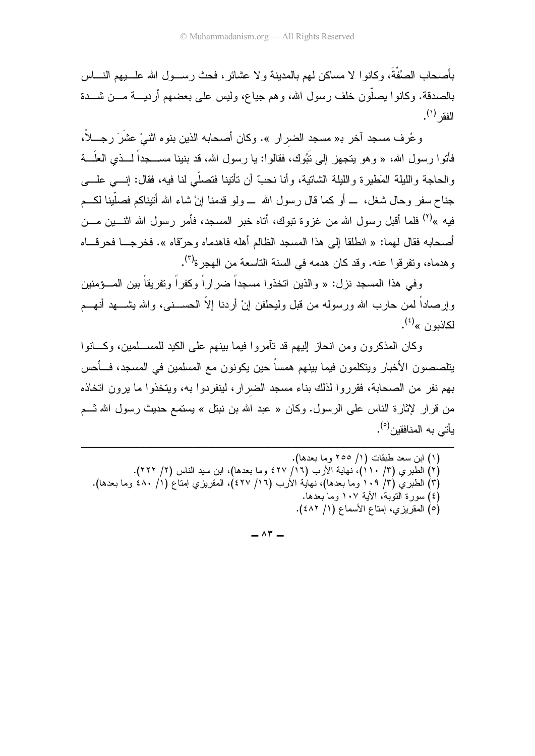بأصحاب الصُفْةَ، وكانوا لا مساكن لمهم بالمدينة ولا عشائر، فحث رســـول الله علـــــبيهم النـــــاس بالصدقة. وكانوا بصلُّون خلف رسول الله، وهم جياع، وليس على بعضهم أرديسة مـــن شـــدة الفقر <sup>(۱</sup>).

و عُرِف مسجد آخر بـ« مسجد الضرار ». وكان أصحابه الذين بنوء اثنـيْ عشَرَ رجـــلاً، فأتوا رسول الله، « وهو يتجهز إلى تَبُوك، فقالوا: يا رسول الله، قد بنينا مســـجداً لـــذى العلّـــة و الحاجة و الليلة المَطير ة و الليلة الشاتية، و أنا نحبّ أن تأتينا فتصلَّى لنا فيه، فقال: إنـــي علـــي جناح سفر وحال شغل، \_ أو كما قال رسول الله \_ ولو قدمنا إنْ شاء الله أنبناكم فصلَّبنا لكـــم فيه »<sup>(٢)</sup> فلما أقبل رسول الله من غزوة تبوك، أتاه خبر المسجد، فأمر رسول الله اثنـــبن مـــن أصحابه فقال لهما: « انطلقا إلى هذا المسجد الظالم أهله فاهدماه وحرّقاه ». فخرجــا فحرقـــاه و هدماه، وتفر قو ا عنه. وقد كان هدمه في السنة التاسعة من الهجر ة<sup>(٣)</sup>.

و في هذا المسجد نز ل: « و الذين اتخذو ا مسجداً ضر ار اً و كفر اً و تفر بقاً بين المـــؤمنين وإرصاداً لمن حارب الله ورسوله من قبل وليحلفن إنْ أردنا إلاّ الحســـنبي، والله يشــــهد أنهـــم لكاذبون »<sup>(٤)</sup>.

وكان المذكرون ومن انحاز إليهم قد نأمروا فيما بينهم على الكيد للمســلمين، وكـــانوا يتلصصون الأخبار ويتكلمون فيما بينهم همساً حين يكونون مع المسلمين في المسجد، فـــأحس بهم نفر ٍ من الصبحابة، فقرر وا لذلك بناء مسجد الضيرار ، لبنفر دوا به، وبتخذوا ما برون اتخاذه من قرار لإثارة الناس على الرسول. وكان « عبد الله بن نبتل » يستمع حديث رسول الله شــم بِأَتِي بِهِ المِنافِقِين<sup>(٥)</sup>.

- (٢) الطبر ي (٣/ ١١٠)، نهاية الأرب (١٦/ ٤٢٧ وما بعدها)، ابن سيد الناس (٢/ ٢٢٢). (٣) الطبري (٣/ ١٠٩ وما بعدها)، نهاية الأرب (١٦/ ٤٢٧)، المقريزي إمتاع (١/ ٤٨٠ وما بعدها). (٤) سورة التوبة، الآية ١٠٧ وما بعدها.
	- (٥) المقريزي، إمناع الأسماع (١/ ٤٨٢).

 $\wedge$   $\vee$   $-$ 

<sup>(</sup>١) ابن سعد طبقات (١/ ٢٥٥ وما بعدها).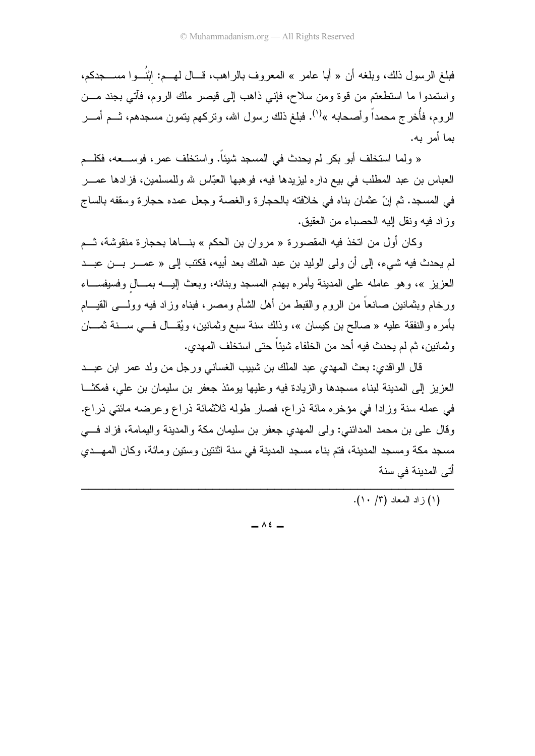فبلغ الرسول ذلك، وبلغه أن « أبا عامر » المعروف بالراهب، قـــال لـهـــم: ابْنُـــوا مســــجدكم، واستمدوا ما استطعتم من قوة ومن سلاح، فإني ذاهب إلى قيصر ملك الروم، فأتني بجند مـــن الروم، فأُخرج محمداً وأصحابه »<sup>(١)</sup>. فبلغ ذلك رسول الله، ونركهم بنمون مسجدهم، ثـــم أمـــر بما أمر به.

« ولما استخلف أبو بكر لم يحدث في المسجد شيئاً. واستخلف عمر ، فوســـعه، فكلـــم العباس بن عبد المطلب في بيع داره ليزيدها فيه، فوهبها العبّاس لله وللمسلمين، فزادها عمـــر في المسجد. ثم إنّ عثمان بناه في خلافته بالحجارة والغصة وجعل عمده حجارة وسقفه بالساج وز اد فيه ونقل اليه الحصياء من العقبق.

وكان أول من اتخذ فيه المقصورة « مروان بن الحكم » بنساها بحجارة منقوشة، شـم لم يحدث فيه شيء، إلى أن ولي الوليد بن عبد الملك بعد أبيه، فكتب إلى « ع*مــــر بـــن عبـــد* العزيز »، وهو عامله على المدينة يأمره بهدم المسجد وبنائه، وبعث إليـــه بمـــال وفسيفســـاء ورخام وبثمانين صانعاً من الروم والقبط من أهل الشأم ومصر، فبناه وزاد فيه وولــــى القيــــام بأمر ه والنفقة عليه « صالح بن كيسان »، وذلك سنة سبع وثمانين، ويُقـــال فـــي ســـنة ثمــــان وثمانين، ثم لم يحدث فيه أحد من الخلفاء شيئاً حتى استخلف المهدي.

قال الواقدي: بعث المهدي عبد الملك بن شبيب الغساني ورجل من ولد عمر ابن عبــد العزيز إلى المدينة لبناء مسجدها والزيادة فيه وعليها يومئذ جعفر بن سليمان بن علي، فمكثـــا في عمله سنة وزادا في مؤخره مائة ذراع، فصار طوله ثلاثمائة ذراع وعرضه مائتي ذراع. وقال على بن محمد المدائني: ولي المهدي جعفر بن سليمان مكة والمدينة واليمامة، فزاد فسي مسجد مكة ومسجد المدينة، فتم بناء مسجد المدينة في سنة اثنتين وسنين ومائة، وكان المهــدي أتي المدينة في سنة

(١) ز اد المعاد (٣/ ١٠).

 $\overline{\phantom{0}}$   $\wedge$   $\overline{\phantom{0}}$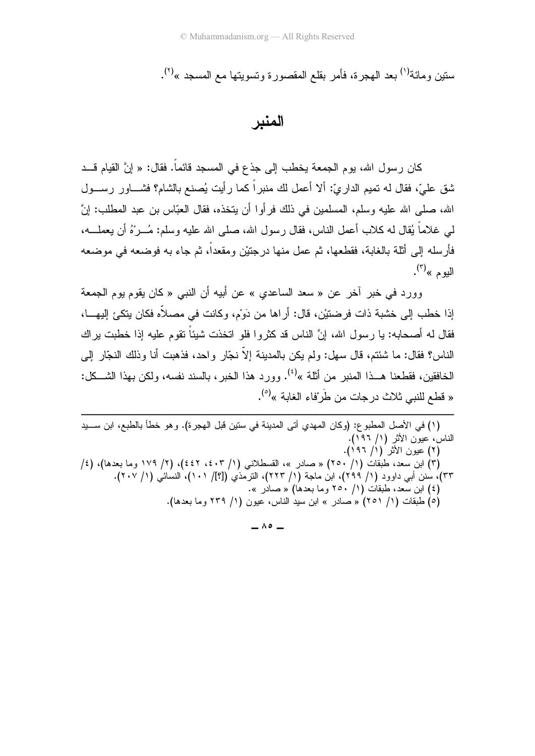سنين و مائة<sup>(١)</sup> بعد الهجر ة، فأمر بقلع المقصور ة و تسويتها مع المسجد »<sup>(٢)</sup>.

المندر

كان رسول الله، يوم الجمعة يخطب إلى جذع في المسجد قائماً. فقال: « إنَّ القيام قـــد شق عليّ، فقال له تميم الداريّ: ألا أعمل لك منبراً كما رأيت يُصنع بالشام؟ فشـــاور رســـول الله، صلى الله عليه وسلم، المسلمين في ذلك فرأوا أن يتخذه، فقال العبّاس بن عبد المطلب: إنَّ لمي غلاماً يُقال له كلاب أعمل الناس، فقال ر سول الله، صلَّى الله عليه وسلَّم: مُـــر ْهُ أن يعملــــه، فأرسله إلى أثلة بالغابة، فقطعها، ثم عمل منها درجتيْن ومقعداً، ثم جاء به فوضعه في موضعه اليو م $\mathbb{R}^{(7)}$ .

وور د في خبر آخر عن « سعد الساعدي » عن أبيه أن النبي « كان يقوم يوم الجمعة إذا خطب إلى خشبة ذات فرضنتيْن، قال: أراها من دَوْم، وكانت في مصلاًه فكان بِتكيَّ إليهـــا، فقال له أصحابه: يا رسول الله، إنَّ الناس قد كثروا فلو انخذت شيئًا نقوم عليه إذا خطبت براك الناس؟ فقال: ما شئتم، قال سهل: ولم يكن بالمدينة إلاَّ نجَّارٍ واحد، فذهبت أنا وذلك النجَّار إلى الخافقين، فقطعنا هــذا المنبر من أثلة »<sup>(٤)</sup>. وورد هذا الخبر ، بالسند نفسه، ولكن بهذا الشـــكل: « قطع للنبي ثلاث در جات من طَر ْفاء الغابة »<sup>(٥)</sup>.

(١) في الأصل المطبوع: (وكان المهدي أتى المدينة في ستين قبل الهجرة). وهو خطأ بالطبع، ابن ســـيد الناسُ، عيون الأثر (١/ ١٩٦). (۲) عَيْوِنِ الأَثْرِ (۱/ ۱۹۲). /٢) ابن سعد، طبقات (١/ ٢٥٠) « صادر »، القسطلانبي (١/ ٤٠٣، ٤٤٢)، (٢/ ١٧٩ وما بعدها)، (٤/ ٣٣)، سنن أبي داوود (١/ ٢٩٩)، ابن ماجة (١/ ٢٢٣)، الترمذي ([؟]/ ١٠١)، النسائي (١/ ٢٠٧). (٤) ابن سعد، طبقات (١/ ٢٥٠ وما بعدها) « صادر ». (٥) طبقات (١/ ٢٥١) « صادر » ابن سيد الناس، عيون (١/ ٢٣٩ وما بعدها).

 $\overline{\phantom{0}}$   $\wedge$   $\circ$   $\overline{\phantom{0}}$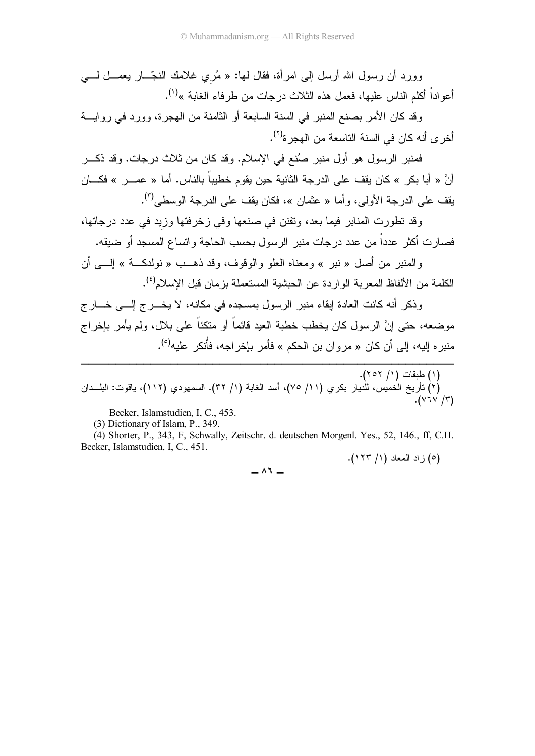وورد أن رسول الله أرسل إلى امرأة، فقال لمها: « مُري غلامك النجّـــار بعمــــل لــــي أعواداً أكلم الناس عليها، فعمل هذه الثلاث درجات من طرفاء الغابة »<sup>(י)</sup>.

وقد كان الأمر بصنع المنبر في السنة السابعة أو الثامنة من الهجرة، وورد في روايــــة أخر ى أنه كان في السنة التاسعة من الهجر ة<sup>(٢)</sup>.

فمنبر الرسول هو أول منبر صُنع في الإسلام. وقد كان من ثلاث درجات. وقد ذكـــر أنّ « أبا بكر » كان يقف على الدرجة الثانية حين يقوم خطيبا بالناس. أما « عمـــر » فكـــان بقف على الدرجة الأولى، وأما « عثمان »، فكان يقف على الدرجة الوسطى<sup>(٣)</sup>.

وقد تطورت المنابر فيما بعد، ونفنن في صنعها وفي زخرفتها وزيد في عدد درجاتها، فصارت أكثر عددا من عدد درجات منبر الرسول بحسب الحاجة واتساع المسجد أو ضبقه.

والمنبر من أصل « نبر » ومعناه العلو والوقوف، وقد ذهــب « نولدكـــة » إلــــي أن الكلمة من الألفاظ المعربة الواردة عن الحبشية المستعملة بزمان قبل الإسلام<sup>(٤)</sup>.

وذكر أنه كانت العادة إبقاء منبر الرسول بمسجده في مكانه، لا يخــــرج إلــــي خــــارج موضعه، حتى إنَّ الرسول كان يخطب خطبة العيد قائما أو منكئا على بلال، ولم يأمر بإخراج منبر ه إليه، إلى أن كان « مروان بن الحكم » فأمر بإخراجه، فأنكر عليه<sup>(٥)</sup>.

.( 5 / ) & ( ) !- : &
 () )/ .( / ) 8< /mH -5( /) 
9 
 ( ) .( -1- / )

Becker, Islamstudien, I, C., 453.

(3) Dictionary of Islam, P., 349.

------------------------------------------------------

 (4) Shorter, P., 343, F, Schwally, Zeitschr. d. deutschen Morgenl. Yes., 52, 146., ff, C.H. Becker, Islamstudien, I, C., 451.

.( / ) . ? ( )5

$$
- \wedge 7 -
$$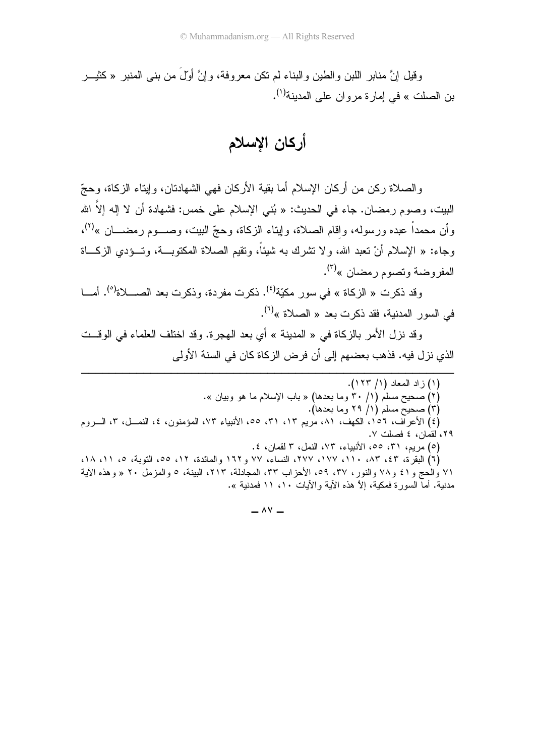وقيل إنَّ منابر اللَّبْنَ والطَّيْنِ والبَّناء لم نكن معروفة، وإنَّ أوَّل من بنبي المُنبر «كَثيـــر بن الصلت » في إمارة مروان على المدينة<sup>(י)</sup>.

أركان الإسلام

والصلاة ركن من أركان الإسلام أما بقية الأركان فهي الشهادتان، وإيتاء الزكاة، وحجّ البيت، وصوم رمضان. جاء في الحديث: « بُني الإسلام على خمس: فشهادة أن لا إله إلاّ الله رأن محمداً عبده ورسوله، واقام الصلاة، وإيناء الزكاة، وحجّ البيت، وصـــوم رمضـــان »<sup>(٢)</sup>، رجاء: « الإسلام أنْ تعبد الله، ولا تشرك به شيئًا، وتقيم الصلاة المكتوبــة، وتـــؤدي الزكــــاة المفروضة وتصوم رمضان »<sup>(٣)</sup>.

وقد ذكرت « الزكاة » في سور مكيّة<sup>(٤)</sup>. ذكرت مفردة، وذكرت بعد الصــــلاة<sup>(٥)</sup>. أمــــا في السور المدنية، فقد ذكرت بعد « الصلاة »<sup>(٦)</sup>.

وقد نزل الأمر بالزكاة في « المدينة » أي بعد الهجرة. وقد اختلف العلماء في الوقـــت الذي نزل فيه. فذهب بعضهم إلى أن فرض الزكاة كان في السنة الأولى

-------------------------------------- --

- (٢) صحيح مسلم (١/ ٣٠ وما بعدها) « باب الإسلام ما هو وبيان ».
	- (٣) صحيح مسلم (١/ ٢٩ وما بعدها).

(٤) الأعراف، ١٥٦، الكهف، ٨١، مريم ١٣، ٣١، ٥٥، الأنبياء ٧٣، المؤمنون، ٤، النمــل، ٣، الـــروم ۲۹، لقمان، ٤ فصلت ٧.

(٥) مريم، ٣١، ٥٥، الأنبياء، ٧٣، النمل، ٣ لقمان، ٤.

(٦) البقرة، ٤٣، ٥١٣، ١٧٧، ١٧٧، ٢٧٧، النساء، ٧٧ و١٦٢ والمائدة، ١٢، ٥٥، التوبة، ٥، ١١، ١٨، ٧١ والحج و ٤١ و ٧٨ والنور ، ٣٧، ٥٩، الأحزاب ٣٣، المجادلة، ٢١٣، البينة، ٥ والمزمل ٢٠ « وهذه الأية مدنية. أما السورة فمكية، إلاّ هذه الأية والأيات ١٠، ١١ فمدنية ».

 $\lambda$ Y  $-$ 

<sup>-</sup>-------------(١) زاد المعاد (١/ ١٢٣).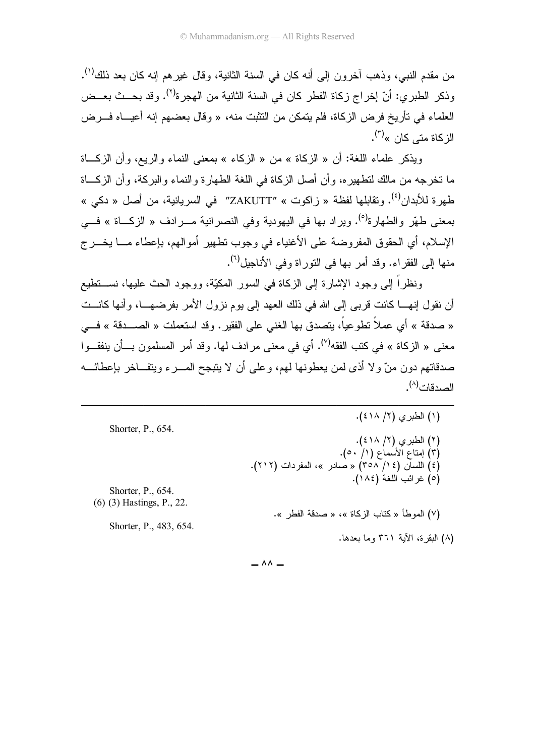من مقدم النبي، وذهب أخرون إلى أنه كان في السنة الثانية، وقال غيرهم إنه كان بعد ذلك<sup>(י)</sup>. رذكر الطبري: أنّ إخراج زكاة الفطر كان في السنة الثانية من الهجرة<sup>(٢)</sup>. وقد بحــث بعــض العلماء في تأريخ فرض الزكاة، فلم يتمكن من النثبت منه، « وقال بعضهم إنه أعيـــاه فـــرض الزكاة متى كا*ن* »<sup>(۳)</sup>.

ويذكر علماء اللغة: أن « الزكاة » من « الزكاء » بمعنى النماء والريع، وأن الزكـــاة ما نخرجه من مالك لنطهيره، وأن أصل الزكاة في اللغة الطهارة والنماء والبركة، وأن الزكـــاة طهرة للأبدان<sup>(٤)</sup>. وتقابلها لفظة « زاكوت » "ZAKUTT" في السريانية، من أصل « دكي » بمعنى طهّر والطهارة<sup>(٥)</sup>. ويراد بها في اليهودية وفي النصرانية مــــرادف « الزكــــاة » فــــي الإسلام، أي الحقوق المفروضة على الأغنياء في وجوب نطهير أموالهم، بإعطاء مـــا يخـــرج منها إلى الفقراء. وقد أمر بها في النوراة وفي الأناجيل<sup>(٢)</sup>.

ونظرًا إلى وجود الإشارة إلى الزكاة في السور المكيَّة، ووجود الحث عليها، نســـنطيع أن نقول إنهــــا كانت قربـي إلـي الله فـي ذلك الـعهد إلـي يوم نزول الأمر بفرضـهــــا، وأنـها كانــــت « صدقة » أي عملا نطوعيا، يتصدق بـها الـغنـي علـي الفقير . وقد استعملت « الصــــدقة » فـــي معنى « الزكاة » في كتب الفقه<sup>(٧)</sup>. أي في معنى مرادف لها. وقد أمر المسلمون بـــأن ينفقـــوا صدقاتهم دون منَّ ولا أذى لمن يعطونها لمهم، وعلى أن لا يتبجح المــــرء ويتفـــاخر بإعطائــــه الصدقات<sup>(^)</sup>.

------------------------------------------------------

| Shorter, P., 654.             | (۱) الطبري (۲/ ٤١٨).                                                           |
|-------------------------------|--------------------------------------------------------------------------------|
|                               | (۲) الطبري (۲/ ٤١٨).                                                           |
|                               | (٣) إمتاع الأسماع (١/ ٥٠).<br>(٤) اللسان (٢٥٨ / ٣٥٨) « صادر »، المفردات (٢١٢). |
| Shorter, P., 654.             | (٥) غرائب اللغة (١٨٤).                                                         |
| $(6)$ $(3)$ Hastings, P., 22. |                                                                                |
| Shorter, P., 483, 654.        | (٧) الموطأ « كتاب الزكاة »، « صدقة الفطر  ».                                   |
|                               | (٨) البقرة، الآية ٣٦١ وما بعدها.                                               |

 $\wedge \wedge -$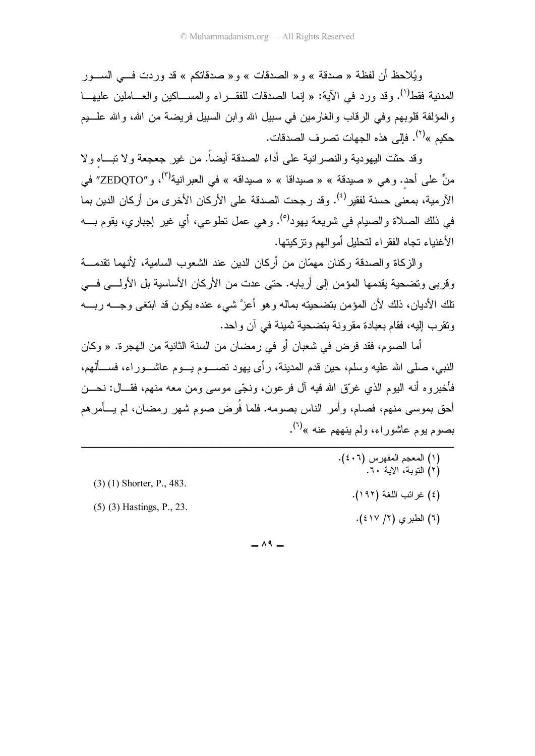ويُلاحظ أن لفظة « صدقة » و « الصدقات » و « صدقاتكم » قد وردت فــي الســـور المدنية فقط<sup>(י)</sup>. وقد ورد في الآية: « إنما الصدقات للفقــر اء والمســـاكين والعـــاملين عليهـــا و المؤلفة قلوبهم وفي الرقاب و الغارمين في سبيل الله و ابن السبيل فريضة من الله، و الله علـــيم حكيم »<sup>(٢)</sup>. فإلى هذه الجهات تصرف الصدقات.

وقد حثت اليهودية والنصرانية على أداء الصدقة أيضاً. من غير جعجعة ولا نبـــاه ولا منٍّ على أحد. وهي « صيدقة » « صيداقا » « صيداقه » في العبر انية<sup>(٣)</sup>، و "ZEDQTO" في الآر مية، بمعنى حسنة لفقير <sup>(٤)</sup>. وقد رجحت الصدقة على الأركان الأخر ي من أركان الدين بما في ذلك الصلاة و الصيام في شريعة يهود<sup>(٥)</sup>. و هي عمل نطو عي، أي غير الجبار ي، يقوم بــــه الأغنياء تجاه الفقر اء لتحليل أمو المهم ونز كيتها.

والزكاة والصدقة ركنان مهمّان من أركان الدين عند الشعوب السامية، لأنهما نقدمـــة وقربي وتضحية يقدمها المؤمن إلى أربابه. حتى عدت من الأركان الأساسية بل الأولـــي فـــي تلك الأديان، ذلك لأن المؤمن بتضحيته بماله وهو أعزَّ شيء عنده يكون قد ابتغى وجــــه ربــــه ونقرب الِيه، فقام بعبادة مقرونة بتضحية ثمينة في آن واحد.

أما الصوم، فقد فرض في شعبان أو في رمضان من السنة الثانية من الهجرة. « وكان النبي، صلَّى الله عليه وسلَّم، حين قدم المدينة، رأى يهود نصــــوم يـــوم عاشـــوراء، فســـألهم، فأخبر و ه أنه البوم الذي غرَّق الله فبه آل فر عون، ونجَّى موسى ومن معه منهم، فقــال: نحـــن أحق بموسى منهم، فصام، وأمر الناس بصومه. فلما فَرض صوم شهر ( مضان، لم يـــأمر هم بصوم بوم عاشور اء، ولم بنههم عنه »<sup>(٦)</sup>.

(۱) المعجم المفهرس (٤٠٦).<br>(۲) التوبة، الأية ٢٠.  $(3)$  (1) Shorter, P., 483. (٤) غرائب اللغة (١٩٢).  $(5)$   $(3)$  Hastings, P., 23. (٦) الطبرى (٢/ ٤١٧).

 $\wedge$  9  $-$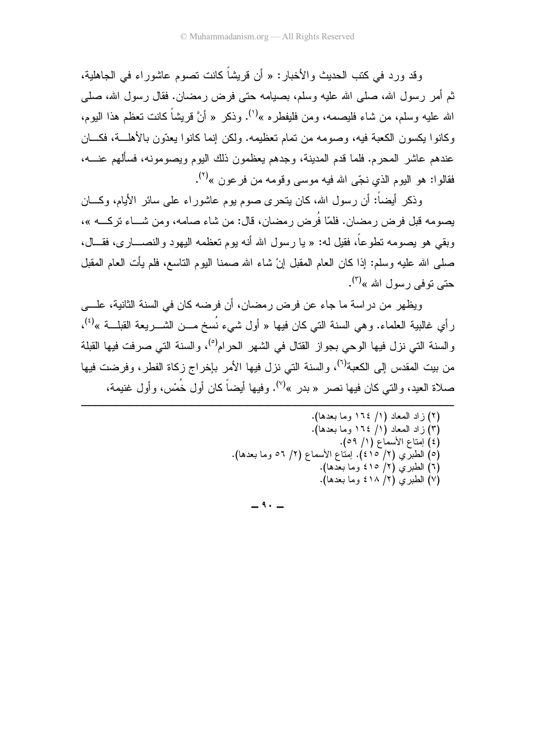وقد ورد في كتب الحديث والأخبار: « أن قريشاً كانت تصوم عاشوراء في الجاهلية، ثم أمر رسول الله، صلَّى الله عليه وسلَّم، بصيامه حتى فرض رمضان. فقال رسول الله، صلَّى الله عليه وسلم، من شاء فليصمه، ومن فليفطر ه »<sup>(١)</sup>. وذكر « أنَّ قريشاً كانت تعظم هذا اليوم، وكانوا بكسون الكعبة فيه، وصومه من تمام تعظيمه. ولكن إنما كانوا بعدّون بالأهلـــة، فكـــان عندهم عاشر المحرم. فلما قدم المدينة، وجدهم يعظمون ذلك اليوم ويصومونه، فسألهم عنــــه، فقالوا: هو اليوم الذي نجّي الله فيه موسى وقومه من فرعون »<sup>(٢)</sup>.

وذكر أيضاً: أن رسول الله، كان يتحرى صوم يوم عاشور اء على سائر الأيام، وكـــان بصومه قبل فرض ر مضان. فلمّا فَرض ر مضان، قال: من شاء صامه، ومن شـــاء تركـــه »، وبقى هو بصومه نطوعاً، فقيل له: « يا رسول الله أنه بوم نعظمه اليهود والنصـــار ي، فقـــال، صلَّى الله عليه وسلَّم: إذا كان العام المقبل إنْ شاء الله صمنا اليوم الناسع، فلم يأت العام المقبل حتے توفے رسول الله »<sup>(۳)</sup>.

ويظهر من دراسة ما جاء عن فرض رمضان، أن فرضه كان في السنة الثانية، علـــي رأى غالبية العلماء. وهي السنة التي كان فيها « أول شيء نُسخ مـــن الشــــريعة القبلـــة »<sup>(٤)</sup>، والسنة التي نزل فيها الوحي بجواز القتال في الشهر الحرام<sup>(٥)</sup>، والسنة التي صرفت فيها القبلة من بيت المقدس إلى الكعبة<sup>(٦)</sup>، والسنة التي نزل فيها الأمر بإخراج زكاة الفطر، وفرضت فيها صلاة العيد، والتي كان فيها نصر « بدر »'". وفيها أيضاً كان أول خُمْس، وأول غنيمة،

> (٢) زاد المعاد (١/ ١٦٤ وما بعدها). (٣) زاد المعاد (١/ ١٦٤ وما بعدها). (٤) إمتاع الأسماع (١/ ٥٩). (٥) الطبري (٢/ ٤١٥). إمتاع الأسماع (٢/ ٥٦ وما بعدها). (٦) الطبري (٢/ ٤١٥ وما بعدها). (٧) الطبري (٢/ ٤١٨ وما بعدها).

 $-9. -$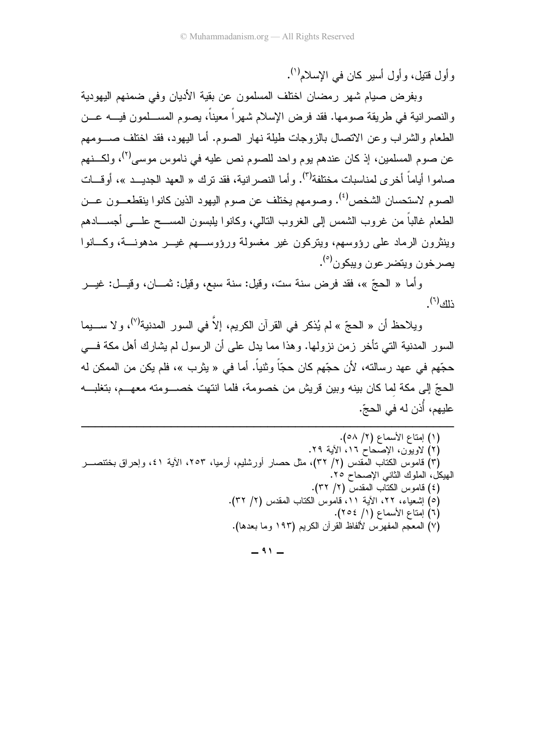و أول قتبل، و أول أسبر كان في الإسلام<sup>(١)</sup>.

وبفر ض صبام شهر ر مضان اختلف المسلمون عن بقية الأديان وفي ضمنهم اليهودية والنصر انية في طريقة صومها. فقد فرض الإسلام شهر أ معيناً، يصوم المســلمون فيـــه عـــن الطعام والشراب وعن الانصال بالزوجات طيلة نهار الصوم. أما اليهود، فقد اختلف صـــومهم عن صوم المسلمين، إذ كان عندهم يوم واحد للصوم نص عليه في ناموس موسى<sup>(٢)</sup>، ولكـــنهم صاموا أياماً أخرى لمناسبات مختلفة<sup>(٣)</sup>. وأما النصر انية، فقد نرك « العهد الجديــد »، أوقـــات الصوم لاستحسان الشخص<sup>(٤)</sup>. وصومهم يختلف عن صوم اليهود الذين كانوا ينقطعــون عــن الطعام غالباً من غروب الشمس إلى الغروب النالي، وكانوا بلبسون المســـح علـــى أجســـادهم وينثرون الرماد علمي رؤوسهم، ويتركون غير مغسولة ورؤوســـهم غيـــر مدهونـــة، وكـــانوا بصر خون وبتضر عون وببکون<sup>(٥)</sup>.

وأما « الحجّ »، فقد فرض سنة ست، وقيل: سنة سبع، وقيل: ثمـــان، وقيـــل: غيـــر  $\mathbb{E}^{(\tau)}$ زالگ

ويلاحظ أن « الحجّ » لم يُذكر في القرآن الكريم، إلاَّ في السور المدنية<sup>(٧)</sup>، و لا ســــيما السور المدنية التي تأخر زمن نزولها. وهذا مما يدل على أن الرسول لم يشارك أهل مكة فـــي حجّهم في عهد رسالته، لأن حجّهم كان حجّاً وثنياً. أما في « يثرب »، فلم يكن من الممكن له الحجِّ إلى مكة لما كان ببنه وببن قريش من خصومة، فلما انتهت خصب منه معهـــم، بتغلبـــه عليهم، أُذن له في الحجّ.

| (١) إمتاع الأسماع (٢/ ٥٨).                                                                |
|-------------------------------------------------------------------------------------------|
| (٢) لاويون، الإصحاح ١٦، الأية ٢٩.                                                         |
| (٣) قاموس الكتاب المقدس (٢/ ٣٢)، مثل حصار أورشليم، أرميا، ٢٥٣، الأية ٤١، وإحراق بختنصـــر |
| لهيكل، الملوك الثاني الإصحاح ٢٥.                                                          |
| (٤) قاموس الكتاب المقدس (٢/ ٣٢).                                                          |
| (٥) إشعياء، ٢٢، الأية ١١، قاموس الكتاب المقدس (٢/ ٣٢).                                    |
| (٦) إمتاع الأسماع (١/ ٢٥٤).                                                               |
| (٧) المعجم المفهرس لألفاظ القرآن الكريم (١٩٣ وما بعدها).                                  |
|                                                                                           |

 $-$  ۹۱ $-$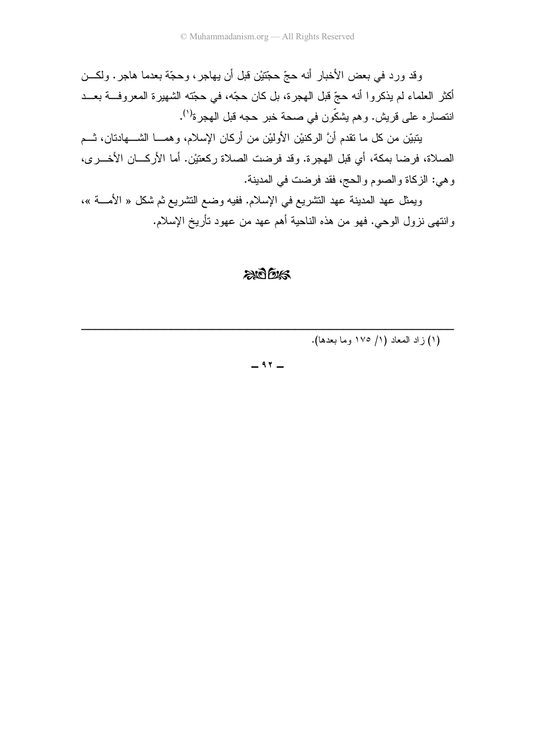وقد ورد في بعض الأخبار أنه حجّ حجّتيْن قبل أن يهاجر، وحجّة بعدما هاجر . ولكـــن أكثر العلماء لم يذكروا أنه حجّ قبل الـهجرة، بل كان حجّه، في حجّته الشـهيرة المعروفـــة بعـــد انتصار ه على قريش. وهم يشكّون في صحة خبر حجه قبل الهجرة<sup>(١)</sup>.

يَتبَيَّن من كل ما نقدم أنَّ الركنيْن الأولَيْن من أركان الإسلام، وهمـــا الشــــهادنان، نـــم الصلاة، فرضا بمكة، أي قبل الهجرة. وقد فرضت الصلاة ركعتيْن. أما الأركـــان الأخـــرى، ر هي: الزكاة والصوم والحج، فقد فرضت في المدينة.

ويمثِّل عهد المدينة عهد التشريع في الإسلام. ففيه وضـع التشريع ثم شكل « الأمــــة »، وانتهى نزول الوحي. فهو من هذه الناحية أهم عهد من عهود تأريخ الإسلام.

## $200$

--------------------(١) زاد المعاد (١/ ١٧٥ وما بعدها).

-

 $97 -$ 

---------------------------------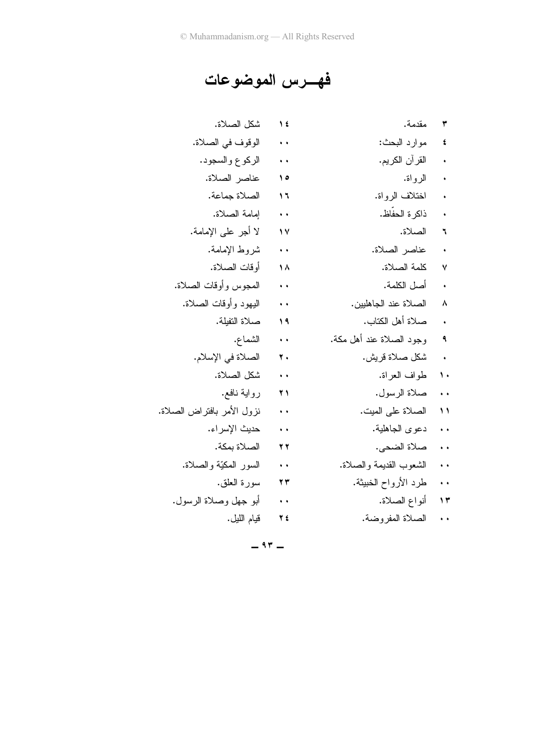## فهـــرس الموضوعات

| شكل الصلاة.                | ۱٤                   | مقدمة.                   | ۳                    |
|----------------------------|----------------------|--------------------------|----------------------|
| الوقوف في الصلاة.          | $\ddot{\phantom{1}}$ | مو ار د البحث:           | ٤                    |
| الركوع والسجود.            | $\ddot{\phantom{1}}$ | القر آن الكريم.          |                      |
| عناصر الصلاة.              | $\Delta$             | الرواة.                  |                      |
| الصلاة جماعة.              | ۱٦                   | اختلاف الرواة.           | $\ddot{\phantom{0}}$ |
| إمامة الصلاة.              | $\ddot{\phantom{1}}$ | ذاكرة الحفاظ.            |                      |
| لا أجر على الإمامة.        | $\gamma$             | الصلاة.                  | ٦                    |
| شروط الإمامة.              | $\ddot{\phantom{1}}$ | عناصر الصلاة.            | $\ddot{\phantom{0}}$ |
| أو قات الصلاة.             | ۸۸                   | كلمة الصلاة.             | ٧                    |
| المجوس وأوقات الصلاة.      | $\rightarrow$        | أصل الكلمة.              | $\ddot{\phantom{0}}$ |
| اليهود وأوقات الصلاة.      | $\ddot{\phantom{1}}$ | الصلاة عند الجاهليين.    | ٨                    |
| صلاة التفيلة.              | ۱۹                   | صلاة أهل الكتاب.         |                      |
| الشماع.                    | $\rightarrow$        | وجود الصلاة عند أهل مكة. | ٩                    |
| الصلاة في الإسلام.         | $\mathbf{r}$ .       | شكل صلاة قريش.           | $\mathcal{A}$        |
| شكل الصلاة.                | $\ddot{\phantom{1}}$ | طواف العراة.             | ١.                   |
| رواية نافع.                | $\overline{r}$       | صلاة الرسول.             | $\sim$               |
| نزول الأمر بافتراض الصلاة. | $\ddot{\phantom{1}}$ | الصلاة على الميت.        | ۱۱                   |
| حديث الإسراء.              | $\ddot{\phantom{1}}$ | دعوى الجاهلية.           | $\ddot{\phantom{1}}$ |
| الصلاة بمكة.               | $\overline{y}$       | صلاة الضحى.              | $\ddot{\phantom{1}}$ |
| السور المكيّة والصلاة.     | $\ddot{\phantom{1}}$ | الشعوب القديمة والصلاة.  | $\ddot{\phantom{1}}$ |
| سورة العلق.                | 23                   | طرد الأرواح الخبيثة.     | $\ddot{\phantom{1}}$ |
| أبو جهل وصلاة الرسول.      | $\ddot{\phantom{1}}$ | أنواع الصلاة.            | $\gamma$             |
| قيام الليل.                | 2 2                  | الصلاة المفروضة.         | $\ddot{\phantom{1}}$ |

 $-97$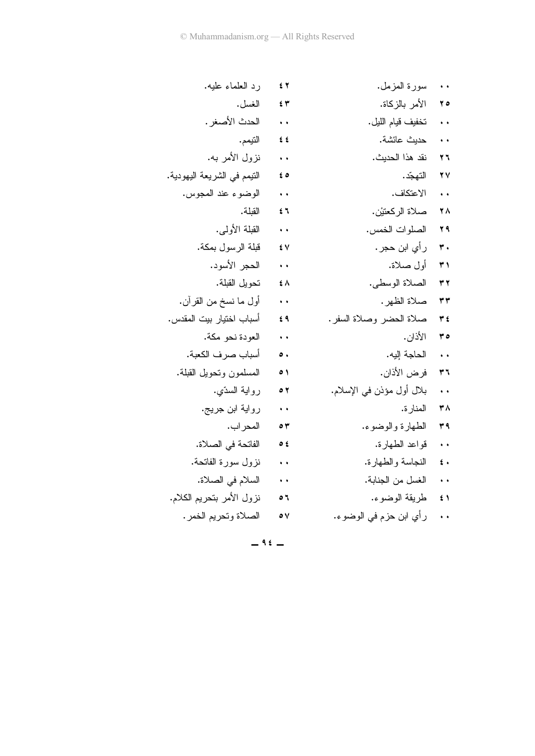| رد العلماء عليه.            | 54                   | سورة المزمل.              | $\ddot{\phantom{1}}$ |
|-----------------------------|----------------------|---------------------------|----------------------|
| الغسل.                      | $f$ $\tau$           | الأمر بالزكاة.            | ه ۲                  |
| الحدث الأصغر .              | $\sim$               | تخفيف قيام الليل.         | $\ddot{\phantom{1}}$ |
| التيمم.                     | 55                   | حديث عائشة.               | $\ddot{\phantom{1}}$ |
| نزول الأمر به.              | $\sim$ 100 $\pm$     | نقد هذا الحديث.           | ۲٦                   |
| النيمم في الشريعة اليهودية. | ه ٤                  | التهجّد .                 | ۲Y                   |
| الوضوء عند المجوس.          | $\ddot{\phantom{1}}$ | الاعتكاف.                 | $\ddot{\phantom{1}}$ |
| القبلة.                     | িহি                  | صلاة الركعتيْن.           | ٢٨                   |
| القبلة الأولى.              | $\ddot{\phantom{1}}$ | الصلوات الخمس.            | ٣٩                   |
| قبلة الرسول بمكة.           | ٤V                   | ر أي ابن حجر .            | ۳.                   |
| الحجر الأسود.               | $\ddot{\phantom{1}}$ | أول صلاة.                 | ۳١                   |
| تحويل القبلة.               | $\sharp$ $\wedge$    | الصلاة الوسطى.            | ۳۲                   |
| أول ما نسخ من القرآن.       | $\ddot{\phantom{1}}$ | صلاة الظهر .              | ۳۳                   |
| أسباب اختيار بيت المقدس.    | ٤٩                   | صلاة الحضر وصلاة السفر.   | ۽ ٣                  |
| العودة نحو مكة.             | $\ddot{\phantom{1}}$ | الأذان.                   | ه ۳                  |
| أسباب صرف الكعبة.           | $\bullet$ .          | الحاجة إليه.              | $\rightarrow$        |
| المسلمون وتحويل القبلة.     | ٥١                   | فرض الأذان.               | ۳٦                   |
| رواية السدّي.               | ۲ ه                  | بلال أول مؤذن في الإسلام. | $\ddot{\phantom{1}}$ |
| رواية ابن جريج.             | $\ddot{\phantom{1}}$ | المنار ة.                 | ٣٨                   |
| المحر اب .                  | ٥٣                   | الطهارة والوضوء.          | ۳۹                   |
| الفاتحة في الصلاة.          | ځ ه                  | قواعد الطهارة.            | $\ddot{\phantom{1}}$ |
| نزول سورة الفانحة.          | $\rightarrow$        | النجاسة والطهارة.         | $\epsilon$ .         |
| السلام في الصلاة.           | $\ddot{\phantom{1}}$ | الغسل من الجنابة.         | $\ddot{\phantom{1}}$ |
| نزول الأمر بتحريم الكلام.   | ٥٦                   | طريقة الوضوء.             | $\sharp$ \           |
| الصلاة وتحريم الخمر .       | ٥٧                   | ر أي ابن حزم في الوضوء.   | $\ddot{\phantom{1}}$ |
|                             |                      |                           |                      |

 $-96$